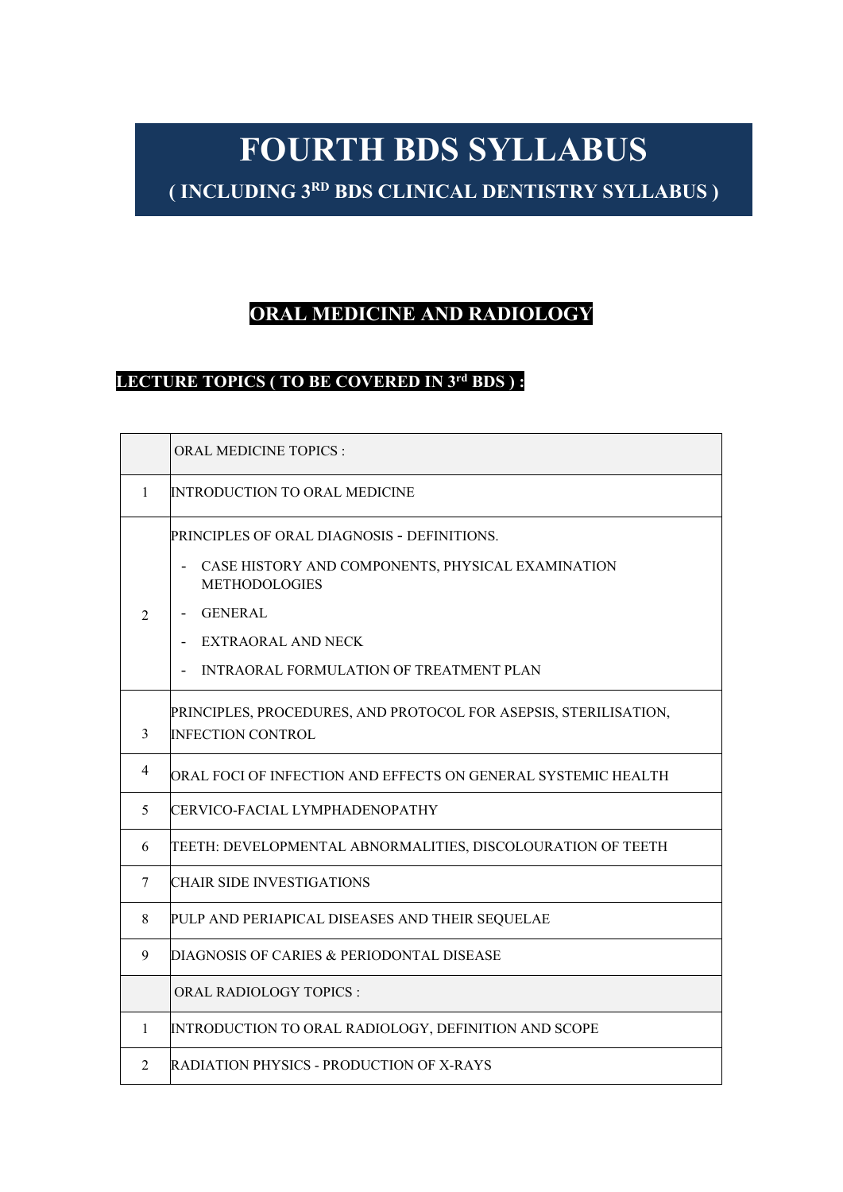# **FOURTH BDS SYLLABUS**

**( INCLUDING 3RD BDS CLINICAL DENTISTRY SYLLABUS )**

# **ORAL MEDICINE AND RADIOLOGY**

### **LECTURE TOPICS ( TO BE COVERED IN 3rd BDS ) :**

|                | <b>ORAL MEDICINE TOPICS:</b>                                                                                                                                                                 |  |  |  |
|----------------|----------------------------------------------------------------------------------------------------------------------------------------------------------------------------------------------|--|--|--|
| 1              | <b>INTRODUCTION TO ORAL MEDICINE</b>                                                                                                                                                         |  |  |  |
| $\mathfrak{D}$ | PRINCIPLES OF ORAL DIAGNOSIS - DEFINITIONS.<br>CASE HISTORY AND COMPONENTS, PHYSICAL EXAMINATION<br><b>METHODOLOGIES</b><br>GENERAL<br><b>EXTRAORAL AND NECK</b><br>$\overline{\phantom{a}}$ |  |  |  |
| 3              | INTRAORAL FORMULATION OF TREATMENT PLAN<br>PRINCIPLES, PROCEDURES, AND PROTOCOL FOR ASEPSIS, STERILISATION,<br><b>INFECTION CONTROL</b>                                                      |  |  |  |
| 4              | ORAL FOCI OF INFECTION AND EFFECTS ON GENERAL SYSTEMIC HEALTH                                                                                                                                |  |  |  |
| 5              | CERVICO-FACIAL LYMPHADENOPATHY                                                                                                                                                               |  |  |  |
| 6              | TEETH: DEVELOPMENTAL ABNORMALITIES, DISCOLOURATION OF TEETH                                                                                                                                  |  |  |  |
| 7              | ICHAIR SIDE INVESTIGATIONS                                                                                                                                                                   |  |  |  |
| 8              | PULP AND PERIAPICAL DISEASES AND THEIR SEQUELAE                                                                                                                                              |  |  |  |
| 9              | DIAGNOSIS OF CARIES & PERIODONTAL DISEASE                                                                                                                                                    |  |  |  |
|                | ORAL RADIOLOGY TOPICS:                                                                                                                                                                       |  |  |  |
| $\mathbf{1}$   | INTRODUCTION TO ORAL RADIOLOGY, DEFINITION AND SCOPE                                                                                                                                         |  |  |  |
| 2              | <b>RADIATION PHYSICS - PRODUCTION OF X-RAYS</b>                                                                                                                                              |  |  |  |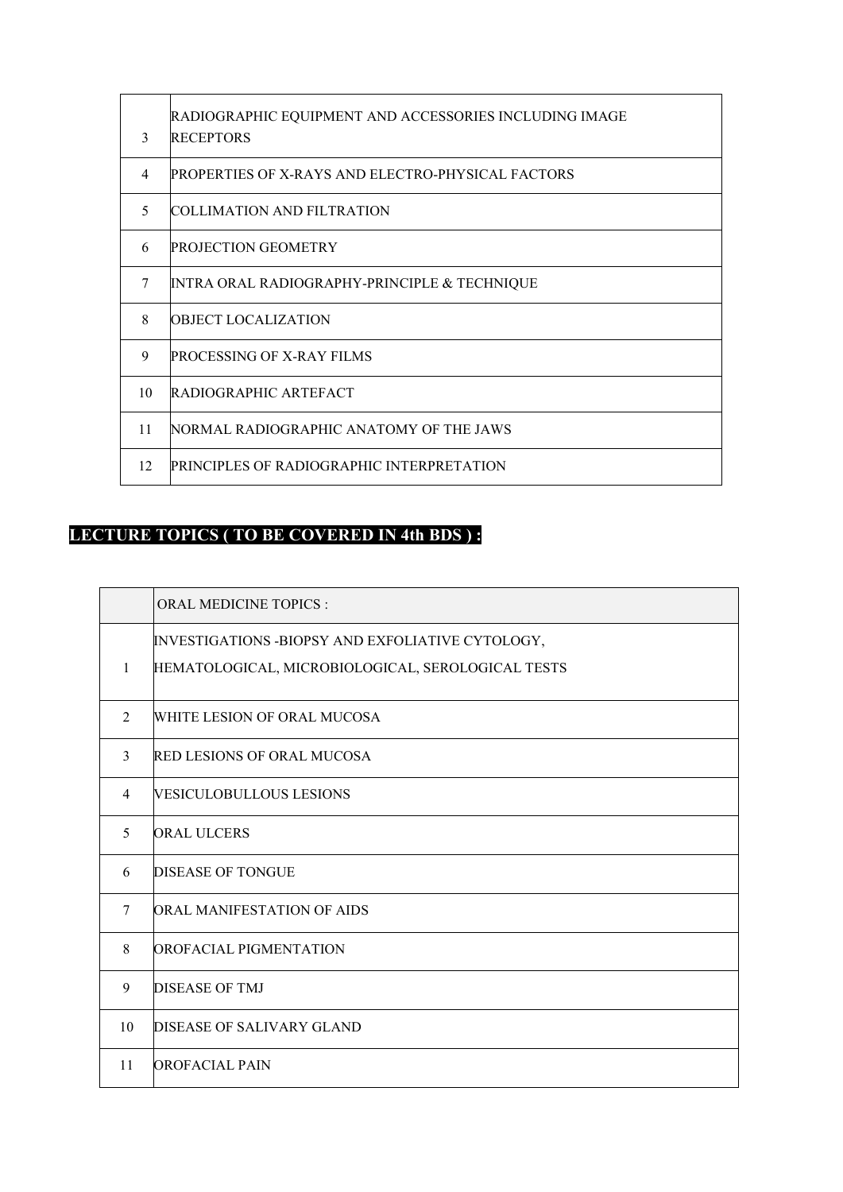| 3              | RADIOGRAPHIC EQUIPMENT AND ACCESSORIES INCLUDING IMAGE<br><b>RECEPTORS</b> |
|----------------|----------------------------------------------------------------------------|
| $\overline{4}$ | <b>PROPERTIES OF X-RAYS AND ELECTRO-PHYSICAL FACTORS</b>                   |
| $\sim$         | <b>COLLIMATION AND FILTRATION</b>                                          |
| 6              | <b>PROJECTION GEOMETRY</b>                                                 |
| 7              | INTRA ORAL RADIOGRAPHY-PRINCIPLE & TECHNIQUE                               |
| 8              | OBJECT LOCALIZATION                                                        |
| 9              | <b>PROCESSING OF X-RAY FILMS</b>                                           |
| 10             | <b>RADIOGRAPHIC ARTEFACT</b>                                               |
| 11             | NORMAL RADIOGRAPHIC ANATOMY OF THE JAWS                                    |
| 12             | <b>PRINCIPLES OF RADIOGRAPHIC INTERPRETATION</b>                           |

# **LECTURE TOPICS ( TO BE COVERED IN 4th BDS ) :**

|    | <b>ORAL MEDICINE TOPICS:</b>                                                                          |  |
|----|-------------------------------------------------------------------------------------------------------|--|
| 1  | INVESTIGATIONS -BIOPSY AND EXFOLIATIVE CYTOLOGY,<br>HEMATOLOGICAL, MICROBIOLOGICAL, SEROLOGICAL TESTS |  |
| 2  | WHITE LESION OF ORAL MUCOSA                                                                           |  |
| 3  | RED LESIONS OF ORAL MUCOSA                                                                            |  |
| 4  | VESICULOBULLOUS LESIONS                                                                               |  |
| 5  | <b>ORAL ULCERS</b>                                                                                    |  |
| 6  | <b>DISEASE OF TONGUE</b>                                                                              |  |
| 7  | ORAL MANIFESTATION OF AIDS                                                                            |  |
| 8  | OROFACIAL PIGMENTATION                                                                                |  |
| 9  | DISEASE OF TMJ                                                                                        |  |
| 10 | DISEASE OF SALIVARY GLAND                                                                             |  |
| 11 | OROFACIAL PAIN                                                                                        |  |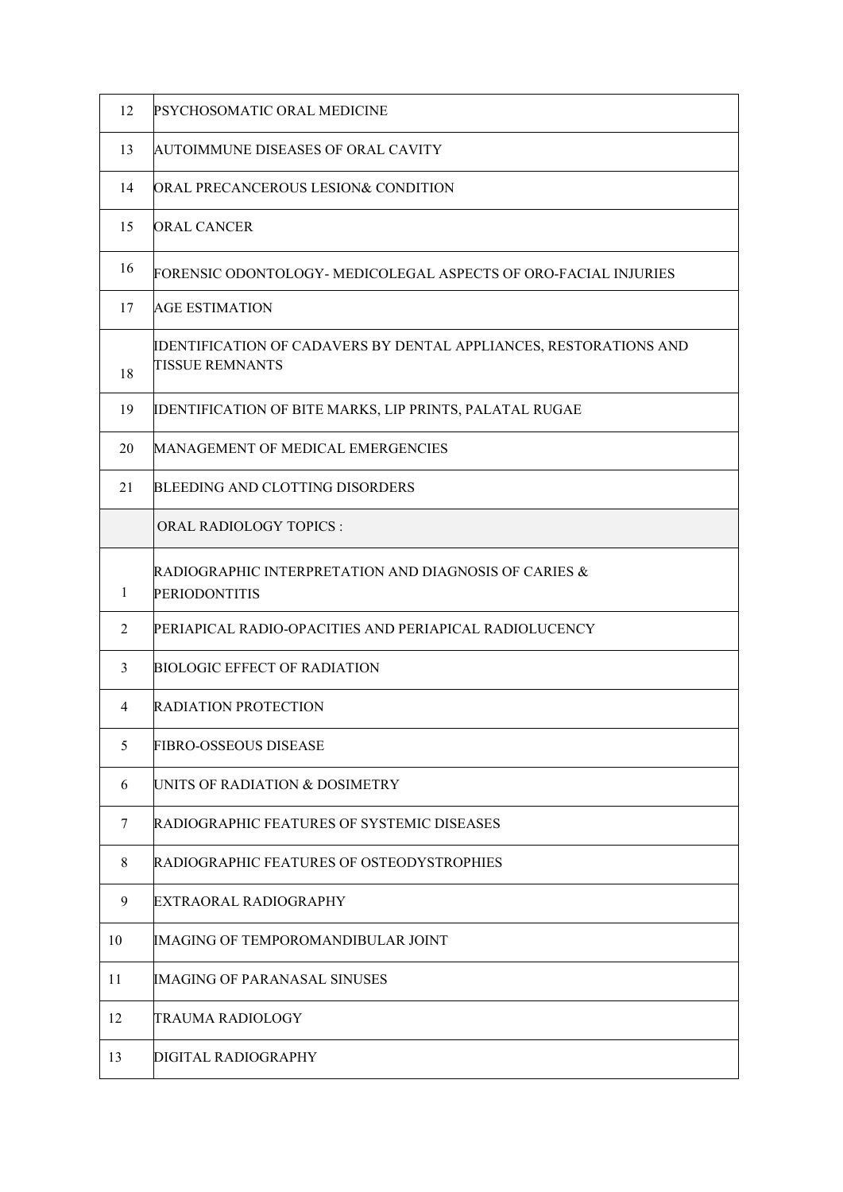| 12 | PSYCHOSOMATIC ORAL MEDICINE                                                                 |  |
|----|---------------------------------------------------------------------------------------------|--|
| 13 | AUTOIMMUNE DISEASES OF ORAL CAVITY                                                          |  |
| 14 | ORAL PRECANCEROUS LESION& CONDITION                                                         |  |
| 15 | ORAL CANCER                                                                                 |  |
| 16 | FORENSIC ODONTOLOGY- MEDICOLEGAL ASPECTS OF ORO-FACIAL INJURIES                             |  |
| 17 | AGE ESTIMATION                                                                              |  |
| 18 | IDENTIFICATION OF CADAVERS BY DENTAL APPLIANCES, RESTORATIONS AND<br><b>TISSUE REMNANTS</b> |  |
| 19 | IDENTIFICATION OF BITE MARKS, LIP PRINTS, PALATAL RUGAE                                     |  |
| 20 | MANAGEMENT OF MEDICAL EMERGENCIES                                                           |  |
| 21 | <b>BLEEDING AND CLOTTING DISORDERS</b>                                                      |  |
|    | <b>ORAL RADIOLOGY TOPICS:</b>                                                               |  |
| 1  | RADIOGRAPHIC INTERPRETATION AND DIAGNOSIS OF CARIES &<br><b>PERIODONTITIS</b>               |  |
| 2  | PERIAPICAL RADIO-OPACITIES AND PERIAPICAL RADIOLUCENCY                                      |  |
| 3  | <b>BIOLOGIC EFFECT OF RADIATION</b>                                                         |  |
| 4  | RADIATION PROTECTION                                                                        |  |
| 5  | FIBRO-OSSEOUS DISEASE                                                                       |  |
| 6  | UNITS OF RADIATION & DOSIMETRY                                                              |  |
| 7  | RADIOGRAPHIC FEATURES OF SYSTEMIC DISEASES                                                  |  |
| 8  | RADIOGRAPHIC FEATURES OF OSTEODYSTROPHIES                                                   |  |
| 9  | EXTRAORAL RADIOGRAPHY                                                                       |  |
| 10 | IMAGING OF TEMPOROMANDIBULAR JOINT                                                          |  |
| 11 | IMAGING OF PARANASAL SINUSES                                                                |  |
| 12 | TRAUMA RADIOLOGY                                                                            |  |
| 13 | DIGITAL RADIOGRAPHY                                                                         |  |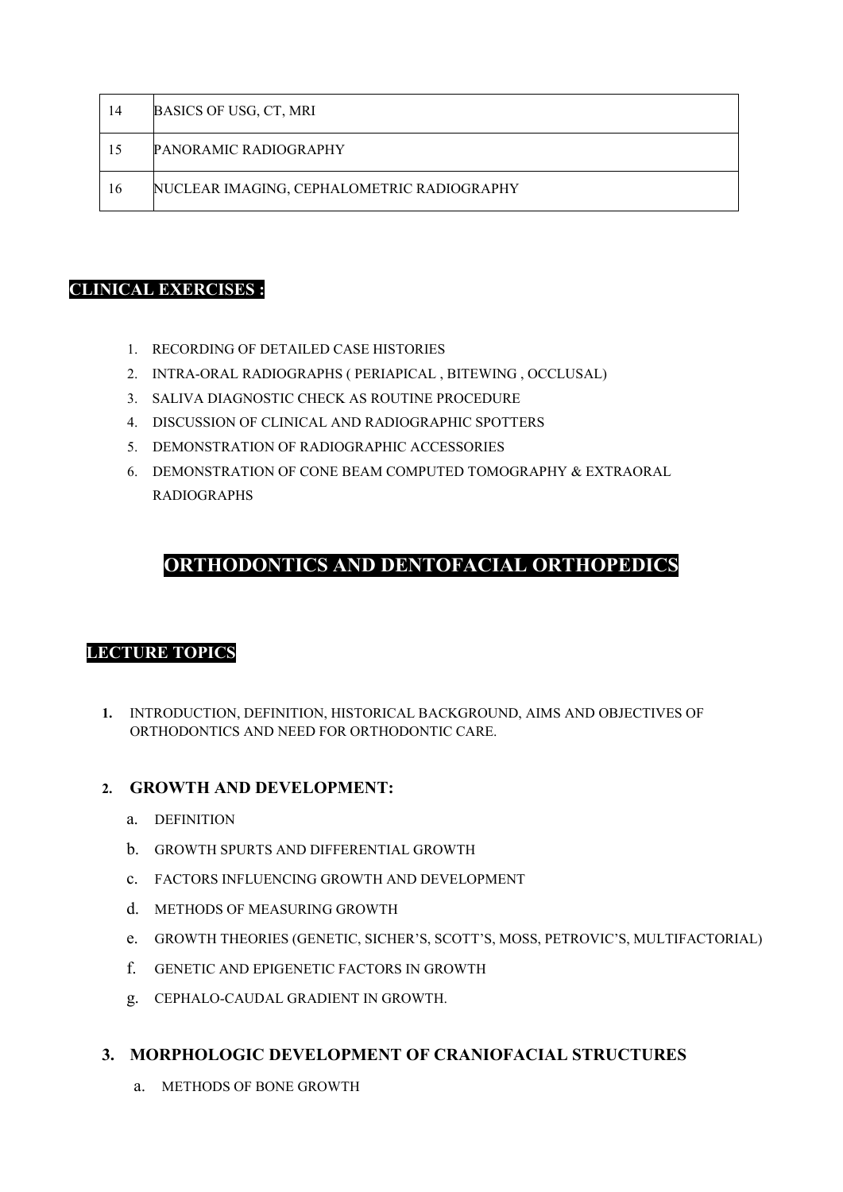| 14 | BASICS OF USG, CT, MRI                     |
|----|--------------------------------------------|
| 15 | <b>PANORAMIC RADIOGRAPHY</b>               |
| 16 | NUCLEAR IMAGING, CEPHALOMETRIC RADIOGRAPHY |

#### **CLINICAL EXERCISES :**

- 1. RECORDING OF DETAILED CASE HISTORIES
- 2. INTRA-ORAL RADIOGRAPHS ( PERIAPICAL , BITEWING , OCCLUSAL)
- 3. SALIVA DIAGNOSTIC CHECK AS ROUTINE PROCEDURE
- 4. DISCUSSION OF CLINICAL AND RADIOGRAPHIC SPOTTERS
- 5. DEMONSTRATION OF RADIOGRAPHIC ACCESSORIES
- 6. DEMONSTRATION OF CONE BEAM COMPUTED TOMOGRAPHY & EXTRAORAL RADIOGRAPHS

### **ORTHODONTICS AND DENTOFACIAL ORTHOPEDICS**

#### **LECTURE TOPICS**

**1.** INTRODUCTION, DEFINITION, HISTORICAL BACKGROUND, AIMS AND OBJECTIVES OF ORTHODONTICS AND NEED FOR ORTHODONTIC CARE.

#### **2. GROWTH AND DEVELOPMENT:**

- a. DEFINITION
- b. GROWTH SPURTS AND DIFFERENTIAL GROWTH
- c. FACTORS INFLUENCING GROWTH AND DEVELOPMENT
- d. METHODS OF MEASURING GROWTH
- e. GROWTH THEORIES (GENETIC, SICHER'S, SCOTT'S, MOSS, PETROVIC'S, MULTIFACTORIAL)
- f. GENETIC AND EPIGENETIC FACTORS IN GROWTH
- g. CEPHALO-CAUDAL GRADIENT IN GROWTH.

#### **3. MORPHOLOGIC DEVELOPMENT OF CRANIOFACIAL STRUCTURES**

a. METHODS OF BONE GROWTH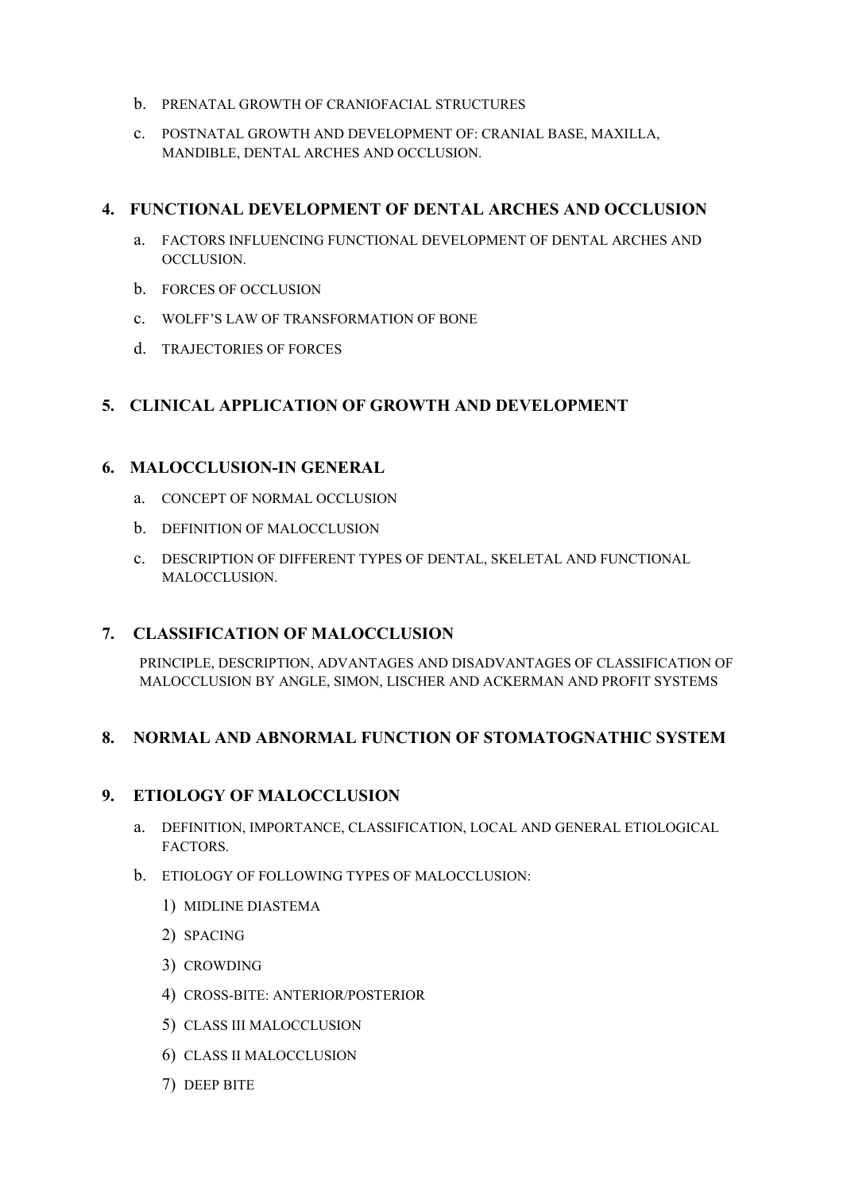- b. PRENATAL GROWTH OF CRANIOFACIAL STRUCTURES
- c. POSTNATAL GROWTH AND DEVELOPMENT OF: CRANIAL BASE, MAXILLA, MANDIBLE, DENTAL ARCHES AND OCCLUSION.

#### **4. FUNCTIONAL DEVELOPMENT OF DENTAL ARCHES AND OCCLUSION**

- a. FACTORS INFLUENCING FUNCTIONAL DEVELOPMENT OF DENTAL ARCHES AND OCCLUSION.
- b. FORCES OF OCCLUSION
- c. WOLFF'S LAW OF TRANSFORMATION OF BONE
- d. TRAJECTORIES OF FORCES

#### **5. CLINICAL APPLICATION OF GROWTH AND DEVELOPMENT**

#### **6. MALOCCLUSION-IN GENERAL**

- a. CONCEPT OF NORMAL OCCLUSION
- b. DEFINITION OF MALOCCLUSION
- c. DESCRIPTION OF DIFFERENT TYPES OF DENTAL, SKELETAL AND FUNCTIONAL MALOCCLUSION.

#### **7. CLASSIFICATION OF MALOCCLUSION**

PRINCIPLE, DESCRIPTION, ADVANTAGES AND DISADVANTAGES OF CLASSIFICATION OF MALOCCLUSION BY ANGLE, SIMON, LISCHER AND ACKERMAN AND PROFIT SYSTEMS

#### **8. NORMAL AND ABNORMAL FUNCTION OF STOMATOGNATHIC SYSTEM**

#### **9. ETIOLOGY OF MALOCCLUSION**

- a. DEFINITION, IMPORTANCE, CLASSIFICATION, LOCAL AND GENERAL ETIOLOGICAL FACTORS.
- b. ETIOLOGY OF FOLLOWING TYPES OF MALOCCLUSION:
	- 1) MIDLINE DIASTEMA
	- 2) SPACING
	- 3) CROWDING
	- 4) CROSS-BITE: ANTERIOR/POSTERIOR
	- 5) CLASS III MALOCCLUSION
	- 6) CLASS II MALOCCLUSION
	- 7) DEEP BITE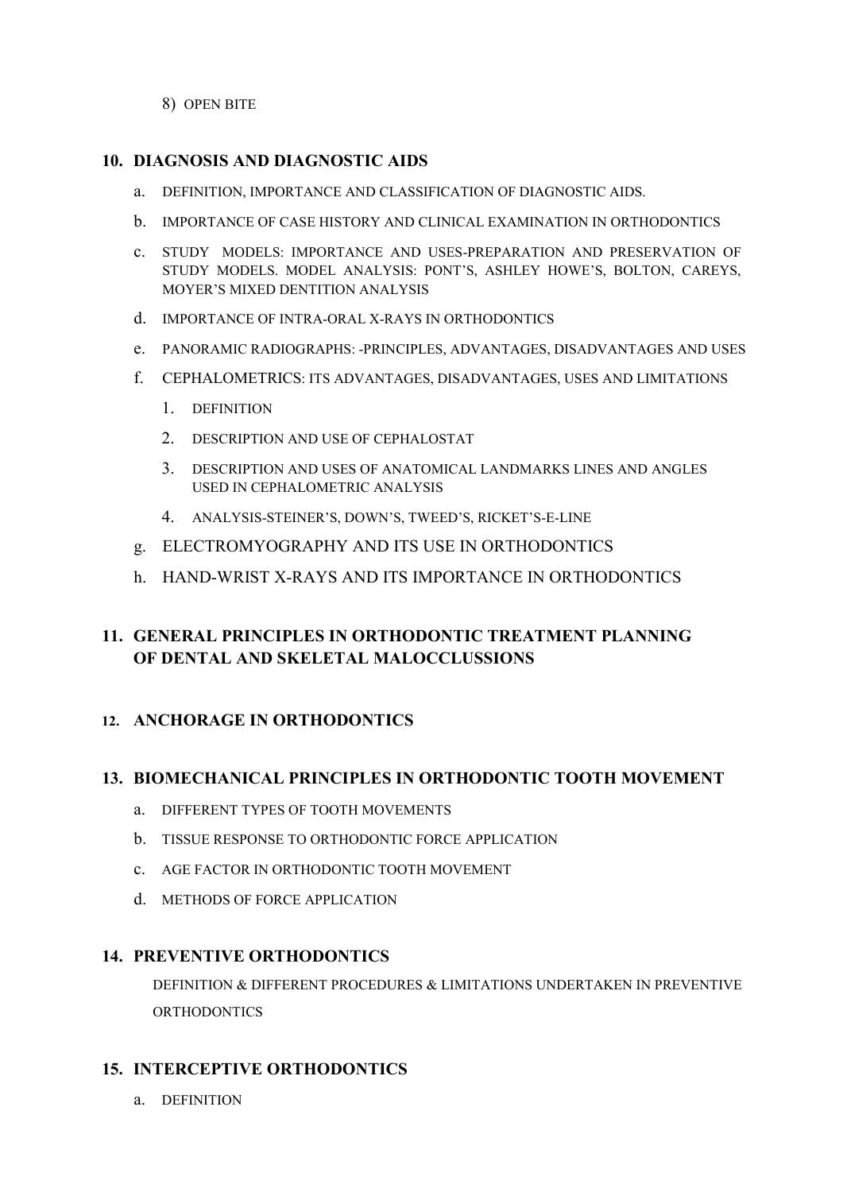8) OPEN BITE

#### **10. DIAGNOSIS AND DIAGNOSTIC AIDS**

- a. DEFINITION, IMPORTANCE AND CLASSIFICATION OF DIAGNOSTIC AIDS.
- b. IMPORTANCE OF CASE HISTORY AND CLINICAL EXAMINATION IN ORTHODONTICS
- c. STUDY MODELS: IMPORTANCE AND USES-PREPARATION AND PRESERVATION OF STUDY MODELS. MODEL ANALYSIS: PONT'S, ASHLEY HOWE'S, BOLTON, CAREYS, MOYER'S MIXED DENTITION ANALYSIS
- d. IMPORTANCE OF INTRA-ORAL X-RAYS IN ORTHODONTICS
- e. PANORAMIC RADIOGRAPHS: -PRINCIPLES, ADVANTAGES, DISADVANTAGES AND USES
- f. CEPHALOMETRICS: ITS ADVANTAGES, DISADVANTAGES, USES AND LIMITATIONS
	- 1. DEFINITION
	- 2. DESCRIPTION AND USE OF CEPHALOSTAT
	- 3. DESCRIPTION AND USES OF ANATOMICAL LANDMARKS LINES AND ANGLES USED IN CEPHALOMETRIC ANALYSIS
	- 4. ANALYSIS-STEINER'S, DOWN'S, TWEED'S, RICKET'S-E-LINE
- g. ELECTROMYOGRAPHY AND ITS USE IN ORTHODONTICS
- h. HAND-WRIST X-RAYS AND ITS IMPORTANCE IN ORTHODONTICS

### **11. GENERAL PRINCIPLES IN ORTHODONTIC TREATMENT PLANNING OF DENTAL AND SKELETAL MALOCCLUSSIONS**

#### **12. ANCHORAGE IN ORTHODONTICS**

#### **13. BIOMECHANICAL PRINCIPLES IN ORTHODONTIC TOOTH MOVEMENT**

- a. DIFFERENT TYPES OF TOOTH MOVEMENTS
- b. TISSUE RESPONSE TO ORTHODONTIC FORCE APPLICATION
- c. AGE FACTOR IN ORTHODONTIC TOOTH MOVEMENT
- d. METHODS OF FORCE APPLICATION

#### **14. PREVENTIVE ORTHODONTICS**

DEFINITION & DIFFERENT PROCEDURES & LIMITATIONS UNDERTAKEN IN PREVENTIVE ORTHODONTICS

#### **15. INTERCEPTIVE ORTHODONTICS**

a. DEFINITION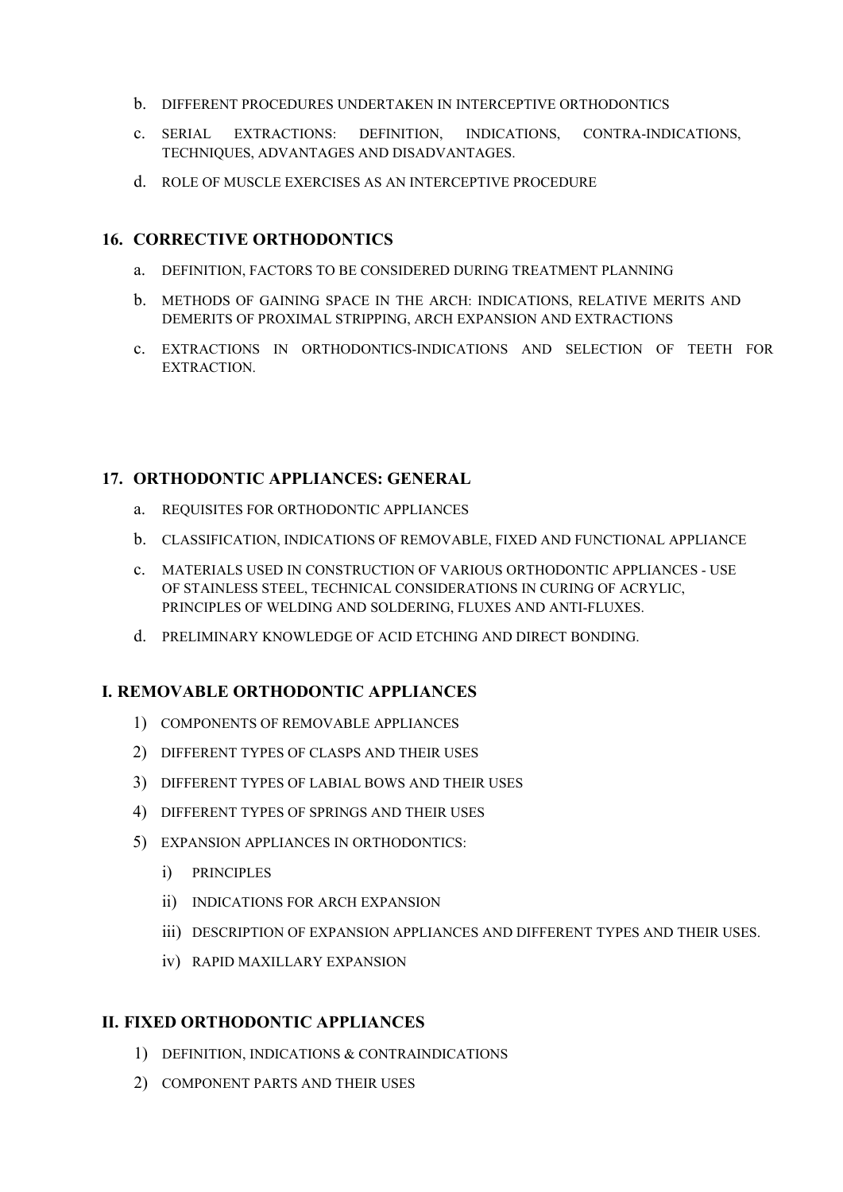- b. DIFFERENT PROCEDURES UNDERTAKEN IN INTERCEPTIVE ORTHODONTICS
- c. SERIAL EXTRACTIONS: DEFINITION, INDICATIONS, CONTRA-INDICATIONS, TECHNIQUES, ADVANTAGES AND DISADVANTAGES.
- d. ROLE OF MUSCLE EXERCISES AS AN INTERCEPTIVE PROCEDURE

#### **16. CORRECTIVE ORTHODONTICS**

- a. DEFINITION, FACTORS TO BE CONSIDERED DURING TREATMENT PLANNING
- b. METHODS OF GAINING SPACE IN THE ARCH: INDICATIONS, RELATIVE MERITS AND DEMERITS OF PROXIMAL STRIPPING, ARCH EXPANSION AND EXTRACTIONS
- c. EXTRACTIONS IN ORTHODONTICS-INDICATIONS AND SELECTION OF TEETH FOR EXTRACTION.

#### **17. ORTHODONTIC APPLIANCES: GENERAL**

- a. REQUISITES FOR ORTHODONTIC APPLIANCES
- b. CLASSIFICATION, INDICATIONS OF REMOVABLE, FIXED AND FUNCTIONAL APPLIANCE
- c. MATERIALS USED IN CONSTRUCTION OF VARIOUS ORTHODONTIC APPLIANCES USE OF STAINLESS STEEL, TECHNICAL CONSIDERATIONS IN CURING OF ACRYLIC, PRINCIPLES OF WELDING AND SOLDERING, FLUXES AND ANTI-FLUXES.
- d. PRELIMINARY KNOWLEDGE OF ACID ETCHING AND DIRECT BONDING.

#### **I. REMOVABLE ORTHODONTIC APPLIANCES**

- 1) COMPONENTS OF REMOVABLE APPLIANCES
- 2) DIFFERENT TYPES OF CLASPS AND THEIR USES
- 3) DIFFERENT TYPES OF LABIAL BOWS AND THEIR USES
- 4) DIFFERENT TYPES OF SPRINGS AND THEIR USES
- 5) EXPANSION APPLIANCES IN ORTHODONTICS:
	- i) PRINCIPLES
	- ii) INDICATIONS FOR ARCH EXPANSION
	- iii) DESCRIPTION OF EXPANSION APPLIANCES AND DIFFERENT TYPES AND THEIR USES.
	- iv) RAPID MAXILLARY EXPANSION

#### **II. FIXED ORTHODONTIC APPLIANCES**

- 1) DEFINITION, INDICATIONS & CONTRAINDICATIONS
- 2) COMPONENT PARTS AND THEIR USES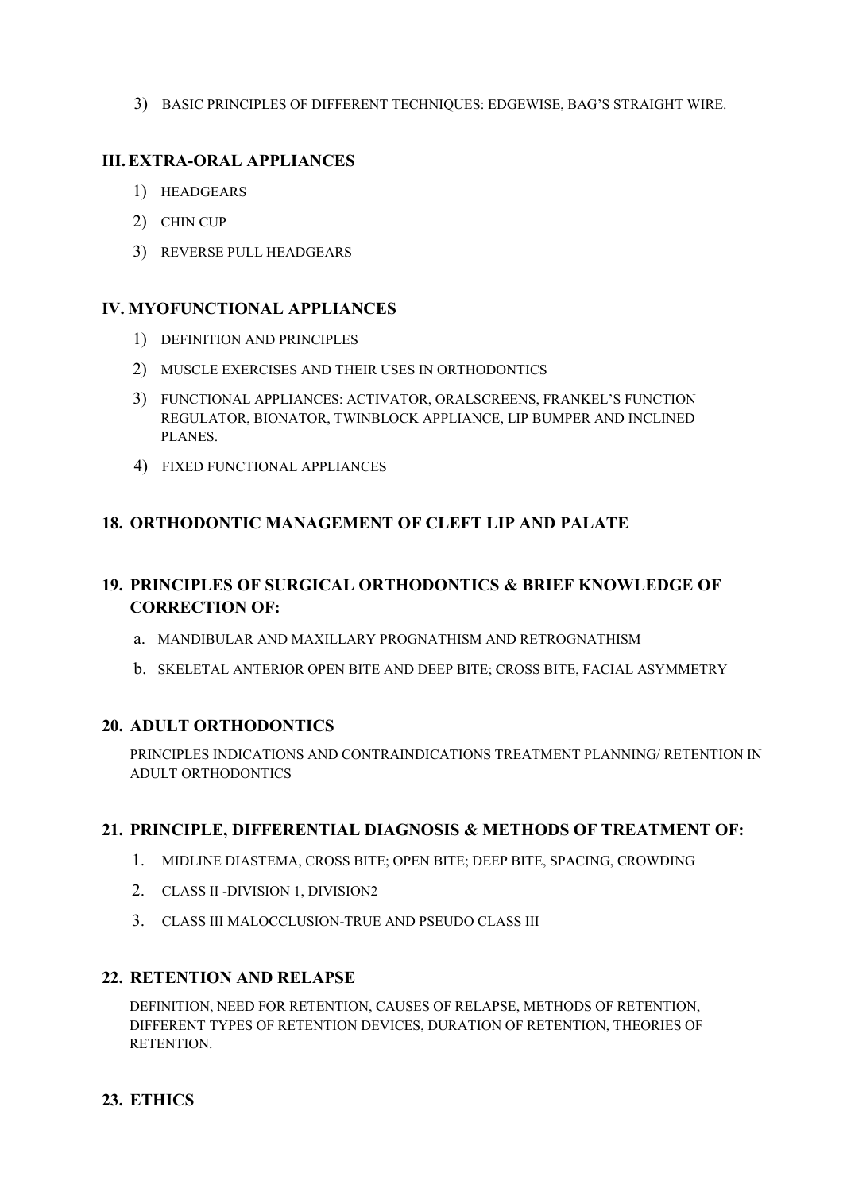3) BASIC PRINCIPLES OF DIFFERENT TECHNIQUES: EDGEWISE, BAG'S STRAIGHT WIRE.

### **III.EXTRA-ORAL APPLIANCES**

- 1) HEADGEARS
- 2) CHIN CUP
- 3) REVERSE PULL HEADGEARS

#### **IV. MYOFUNCTIONAL APPLIANCES**

- 1) DEFINITION AND PRINCIPLES
- 2) MUSCLE EXERCISES AND THEIR USES IN ORTHODONTICS
- 3) FUNCTIONAL APPLIANCES: ACTIVATOR, ORALSCREENS, FRANKEL'S FUNCTION REGULATOR, BIONATOR, TWINBLOCK APPLIANCE, LIP BUMPER AND INCLINED PLANES.
- 4) FIXED FUNCTIONAL APPLIANCES

#### **18. ORTHODONTIC MANAGEMENT OF CLEFT LIP AND PALATE**

### **19. PRINCIPLES OF SURGICAL ORTHODONTICS & BRIEF KNOWLEDGE OF CORRECTION OF:**

- a. MANDIBULAR AND MAXILLARY PROGNATHISM AND RETROGNATHISM
- b. SKELETAL ANTERIOR OPEN BITE AND DEEP BITE; CROSS BITE, FACIAL ASYMMETRY

#### **20. ADULT ORTHODONTICS**

PRINCIPLES INDICATIONS AND CONTRAINDICATIONS TREATMENT PLANNING/ RETENTION IN ADULT ORTHODONTICS

#### **21. PRINCIPLE, DIFFERENTIAL DIAGNOSIS & METHODS OF TREATMENT OF:**

- 1. MIDLINE DIASTEMA, CROSS BITE; OPEN BITE; DEEP BITE, SPACING, CROWDING
- 2. CLASS II -DIVISION 1, DIVISION2
- 3. CLASS III MALOCCLUSION-TRUE AND PSEUDO CLASS III

#### **22. RETENTION AND RELAPSE**

DEFINITION, NEED FOR RETENTION, CAUSES OF RELAPSE, METHODS OF RETENTION, DIFFERENT TYPES OF RETENTION DEVICES, DURATION OF RETENTION, THEORIES OF RETENTION.

#### **23. ETHICS**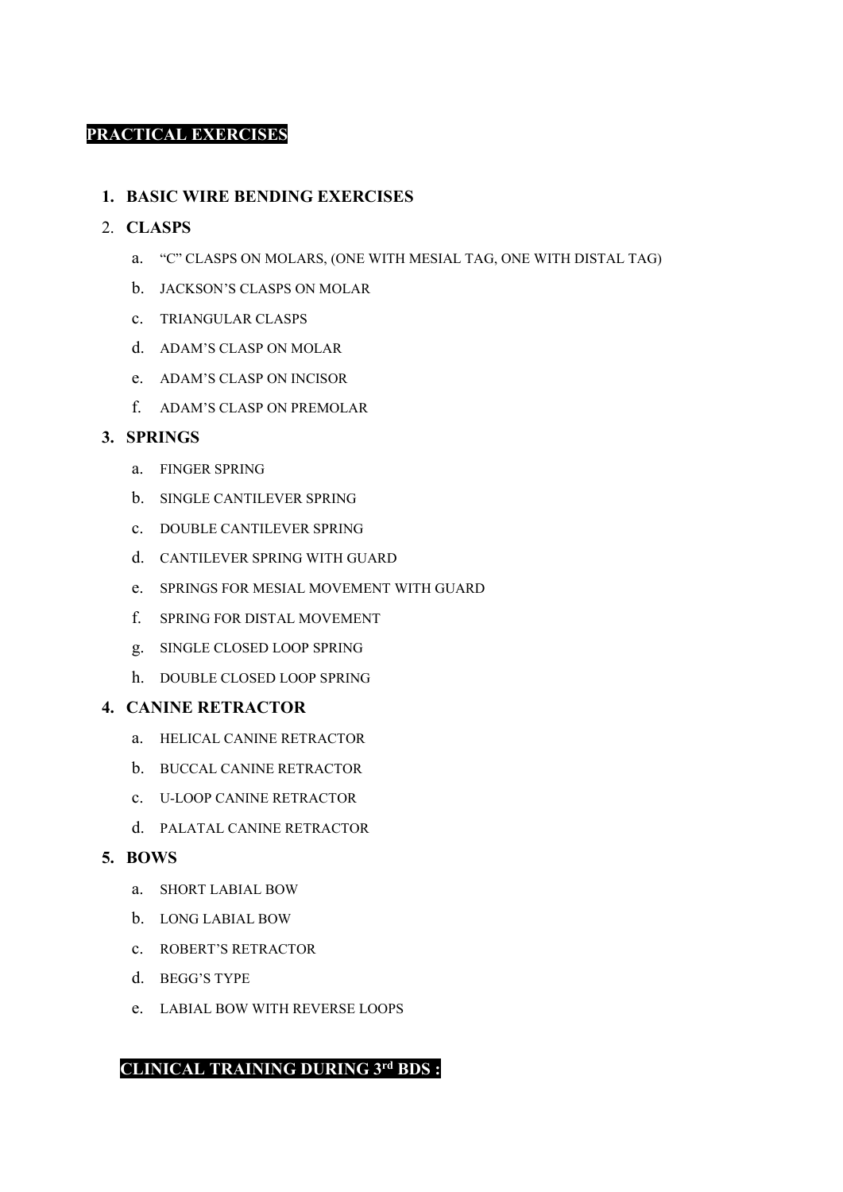#### **PRACTICAL EXERCISES**

#### **1. BASIC WIRE BENDING EXERCISES**

#### 2. **CLASPS**

- a. "C" CLASPS ON MOLARS, (ONE WITH MESIAL TAG, ONE WITH DISTAL TAG)
- b. JACKSON'S CLASPS ON MOLAR
- c. TRIANGULAR CLASPS
- d. ADAM'S CLASP ON MOLAR
- e. ADAM'S CLASP ON INCISOR
- f. ADAM'S CLASP ON PREMOLAR

#### **3. SPRINGS**

- a. FINGER SPRING
- b. SINGLE CANTILEVER SPRING
- c. DOUBLE CANTILEVER SPRING
- d. CANTILEVER SPRING WITH GUARD
- e. SPRINGS FOR MESIAL MOVEMENT WITH GUARD
- f. SPRING FOR DISTAL MOVEMENT
- g. SINGLE CLOSED LOOP SPRING
- h. DOUBLE CLOSED LOOP SPRING

#### **4. CANINE RETRACTOR**

- a. HELICAL CANINE RETRACTOR
- b. BUCCAL CANINE RETRACTOR
- c. U-LOOP CANINE RETRACTOR
- d. PALATAL CANINE RETRACTOR

#### **5. BOWS**

- a. SHORT LABIAL BOW
- b. LONG LABIAL BOW
- c. ROBERT'S RETRACTOR
- d. BEGG'S TYPE
- e. LABIAL BOW WITH REVERSE LOOPS

#### **CLINICAL TRAINING DURING 3rd BDS :**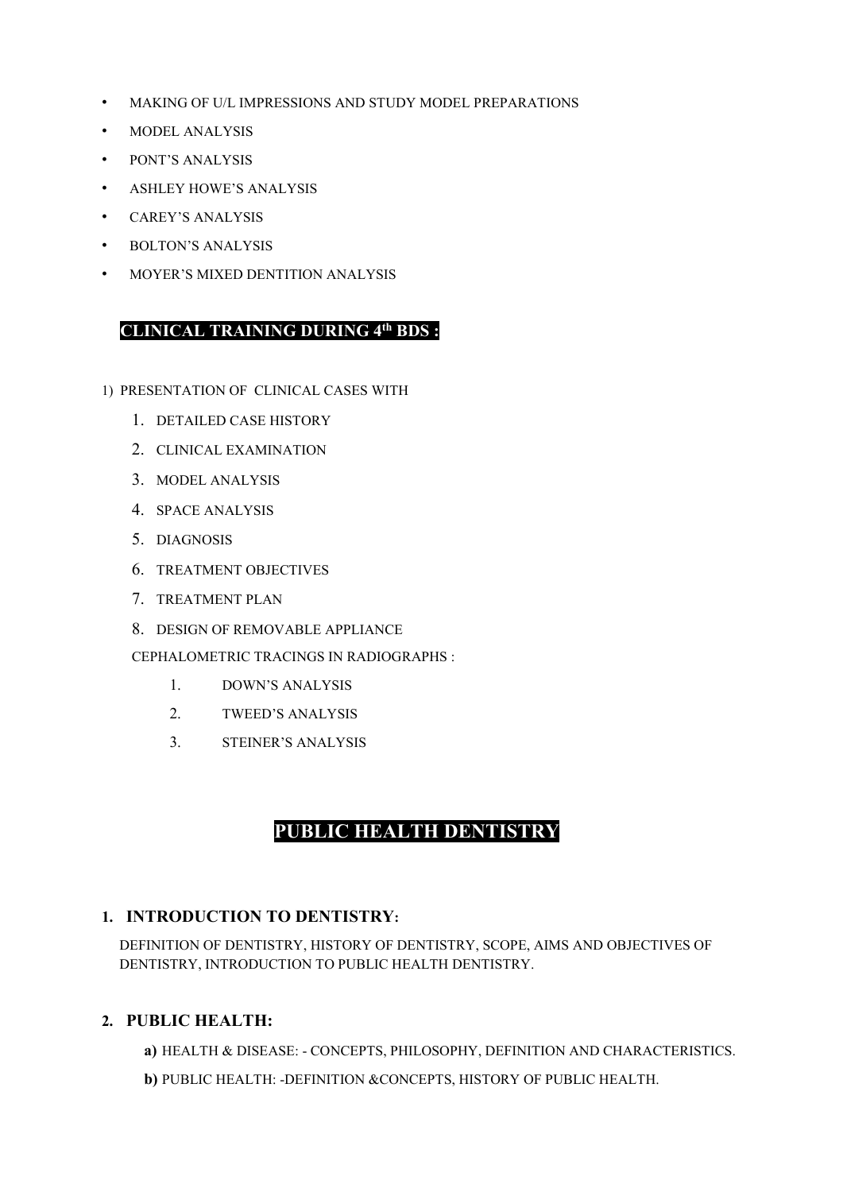- MAKING OF U/L IMPRESSIONS AND STUDY MODEL PREPARATIONS
- MODEL ANALYSIS
- PONT'S ANALYSIS
- ASHLEY HOWE'S ANALYSIS
- CAREY'S ANALYSIS
- BOLTON'S ANALYSIS
- MOYER'S MIXED DENTITION ANALYSIS

#### **CLINICAL TRAINING DURING 4th BDS :**

- 1) PRESENTATION OF CLINICAL CASES WITH
	- 1. DETAILED CASE HISTORY
	- 2. CLINICAL EXAMINATION
	- 3. MODEL ANALYSIS
	- 4. SPACE ANALYSIS
	- 5. DIAGNOSIS
	- 6. TREATMENT OBJECTIVES
	- 7. TREATMENT PLAN
	- 8. DESIGN OF REMOVABLE APPLIANCE

CEPHALOMETRIC TRACINGS IN RADIOGRAPHS :

- 1. DOWN'S ANALYSIS
- 2. TWEED'S ANALYSIS
- 3. STEINER'S ANALYSIS

### **PUBLIC HEALTH DENTISTRY**

#### **1. INTRODUCTION TO DENTISTRY:**

DEFINITION OF DENTISTRY, HISTORY OF DENTISTRY, SCOPE, AIMS AND OBJECTIVES OF DENTISTRY, INTRODUCTION TO PUBLIC HEALTH DENTISTRY.

#### **2. PUBLIC HEALTH:**

- **a)** HEALTH & DISEASE: CONCEPTS, PHILOSOPHY, DEFINITION AND CHARACTERISTICS.
- **b)** PUBLIC HEALTH: -DEFINITION &CONCEPTS, HISTORY OF PUBLIC HEALTH.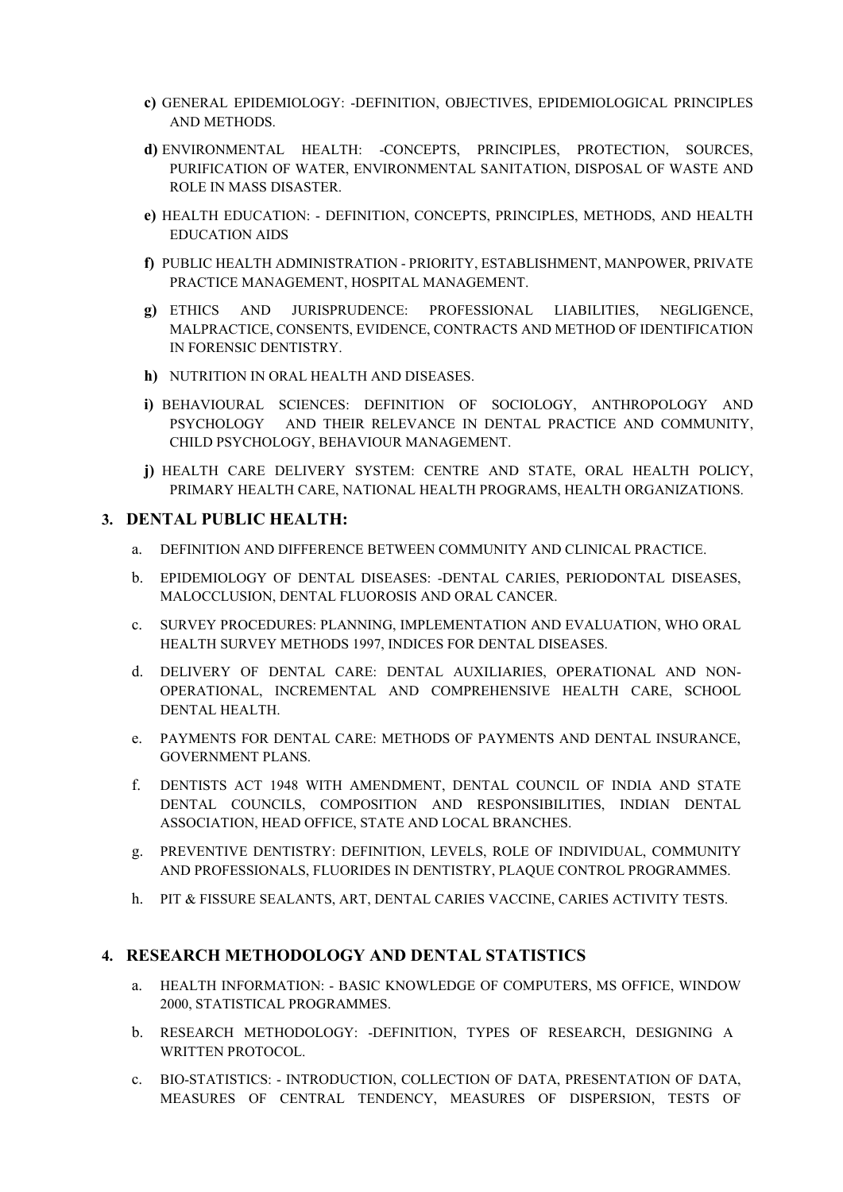- **c)** GENERAL EPIDEMIOLOGY: -DEFINITION, OBJECTIVES, EPIDEMIOLOGICAL PRINCIPLES AND METHODS.
- **d)** ENVIRONMENTAL HEALTH: -CONCEPTS, PRINCIPLES, PROTECTION, SOURCES, PURIFICATION OF WATER, ENVIRONMENTAL SANITATION, DISPOSAL OF WASTE AND ROLE IN MASS DISASTER.
- **e)** HEALTH EDUCATION: DEFINITION, CONCEPTS, PRINCIPLES, METHODS, AND HEALTH EDUCATION AIDS
- **f)** PUBLIC HEALTH ADMINISTRATION PRIORITY, ESTABLISHMENT, MANPOWER, PRIVATE PRACTICE MANAGEMENT, HOSPITAL MANAGEMENT.
- **g)** ETHICS AND JURISPRUDENCE: PROFESSIONAL LIABILITIES, NEGLIGENCE, MALPRACTICE, CONSENTS, EVIDENCE, CONTRACTS AND METHOD OF IDENTIFICATION IN FORENSIC DENTISTRY.
- **h)** NUTRITION IN ORAL HEALTH AND DISEASES.
- **i)** BEHAVIOURAL SCIENCES: DEFINITION OF SOCIOLOGY, ANTHROPOLOGY AND PSYCHOLOGY AND THEIR RELEVANCE IN DENTAL PRACTICE AND COMMUNITY, CHILD PSYCHOLOGY, BEHAVIOUR MANAGEMENT.
- **j)** HEALTH CARE DELIVERY SYSTEM: CENTRE AND STATE, ORAL HEALTH POLICY, PRIMARY HEALTH CARE, NATIONAL HEALTH PROGRAMS, HEALTH ORGANIZATIONS.

#### **3. DENTAL PUBLIC HEALTH:**

- a. DEFINITION AND DIFFERENCE BETWEEN COMMUNITY AND CLINICAL PRACTICE.
- b. EPIDEMIOLOGY OF DENTAL DISEASES: -DENTAL CARIES, PERIODONTAL DISEASES, MALOCCLUSION, DENTAL FLUOROSIS AND ORAL CANCER.
- c. SURVEY PROCEDURES: PLANNING, IMPLEMENTATION AND EVALUATION, WHO ORAL HEALTH SURVEY METHODS 1997, INDICES FOR DENTAL DISEASES.
- d. DELIVERY OF DENTAL CARE: DENTAL AUXILIARIES, OPERATIONAL AND NON-OPERATIONAL, INCREMENTAL AND COMPREHENSIVE HEALTH CARE, SCHOOL DENTAL HEALTH.
- e. PAYMENTS FOR DENTAL CARE: METHODS OF PAYMENTS AND DENTAL INSURANCE, GOVERNMENT PLANS.
- f. DENTISTS ACT 1948 WITH AMENDMENT, DENTAL COUNCIL OF INDIA AND STATE DENTAL COUNCILS, COMPOSITION AND RESPONSIBILITIES, INDIAN DENTAL ASSOCIATION, HEAD OFFICE, STATE AND LOCAL BRANCHES.
- g. PREVENTIVE DENTISTRY: DEFINITION, LEVELS, ROLE OF INDIVIDUAL, COMMUNITY AND PROFESSIONALS, FLUORIDES IN DENTISTRY, PLAQUE CONTROL PROGRAMMES.
- h. PIT & FISSURE SEALANTS, ART, DENTAL CARIES VACCINE, CARIES ACTIVITY TESTS.

#### **4. RESEARCH METHODOLOGY AND DENTAL STATISTICS**

- a. HEALTH INFORMATION: BASIC KNOWLEDGE OF COMPUTERS, MS OFFICE, WINDOW 2000, STATISTICAL PROGRAMMES.
- b. RESEARCH METHODOLOGY: -DEFINITION, TYPES OF RESEARCH, DESIGNING A WRITTEN PROTOCOL.
- c. BIO-STATISTICS: INTRODUCTION, COLLECTION OF DATA, PRESENTATION OF DATA, MEASURES OF CENTRAL TENDENCY, MEASURES OF DISPERSION, TESTS OF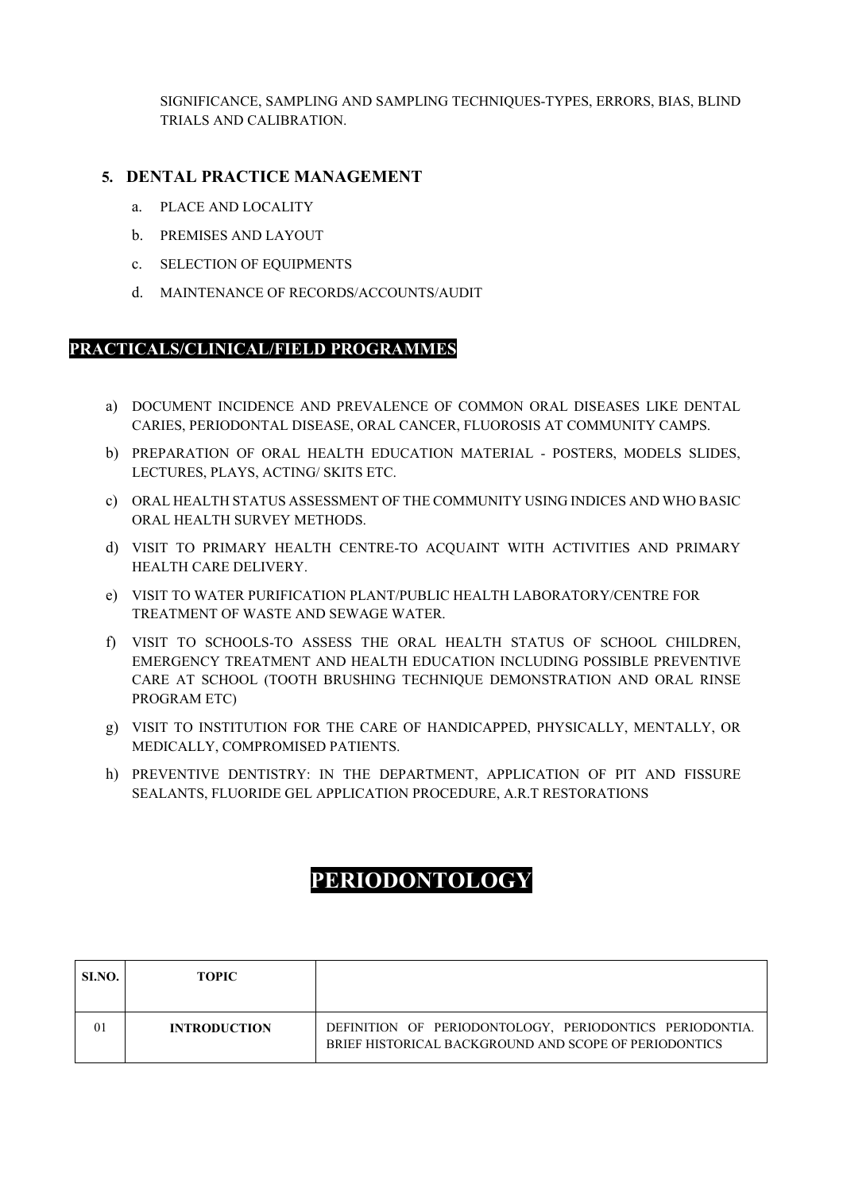SIGNIFICANCE, SAMPLING AND SAMPLING TECHNIQUES-TYPES, ERRORS, BIAS, BLIND TRIALS AND CALIBRATION.

#### **5. DENTAL PRACTICE MANAGEMENT**

- a. PLACE AND LOCALITY
- b. PREMISES AND LAYOUT
- c. SELECTION OF EQUIPMENTS
- d. MAINTENANCE OF RECORDS/ACCOUNTS/AUDIT

#### **PRACTICALS/CLINICAL/FIELD PROGRAMMES**

- a) DOCUMENT INCIDENCE AND PREVALENCE OF COMMON ORAL DISEASES LIKE DENTAL CARIES, PERIODONTAL DISEASE, ORAL CANCER, FLUOROSIS AT COMMUNITY CAMPS.
- b) PREPARATION OF ORAL HEALTH EDUCATION MATERIAL POSTERS, MODELS SLIDES, LECTURES, PLAYS, ACTING/ SKITS ETC.
- c) ORAL HEALTH STATUS ASSESSMENT OF THE COMMUNITY USING INDICES AND WHO BASIC ORAL HEALTH SURVEY METHODS.
- d) VISIT TO PRIMARY HEALTH CENTRE-TO ACQUAINT WITH ACTIVITIES AND PRIMARY HEALTH CARE DELIVERY.
- e) VISIT TO WATER PURIFICATION PLANT/PUBLIC HEALTH LABORATORY/CENTRE FOR TREATMENT OF WASTE AND SEWAGE WATER.
- f) VISIT TO SCHOOLS-TO ASSESS THE ORAL HEALTH STATUS OF SCHOOL CHILDREN, EMERGENCY TREATMENT AND HEALTH EDUCATION INCLUDING POSSIBLE PREVENTIVE CARE AT SCHOOL (TOOTH BRUSHING TECHNIQUE DEMONSTRATION AND ORAL RINSE PROGRAM ETC)
- g) VISIT TO INSTITUTION FOR THE CARE OF HANDICAPPED, PHYSICALLY, MENTALLY, OR MEDICALLY, COMPROMISED PATIENTS.
- h) PREVENTIVE DENTISTRY: IN THE DEPARTMENT, APPLICATION OF PIT AND FISSURE SEALANTS, FLUORIDE GEL APPLICATION PROCEDURE, A.R.T RESTORATIONS

# **PERIODONTOLOGY**

| SI.NO.   | <b>TOPIC</b>        |                                                                                                                  |
|----------|---------------------|------------------------------------------------------------------------------------------------------------------|
| $\Omega$ | <b>INTRODUCTION</b> | DEFINITION OF PERIODONTOLOGY, PERIODONTICS PERIODONTIA.<br>BRIEF HISTORICAL BACKGROUND AND SCOPE OF PERIODONTICS |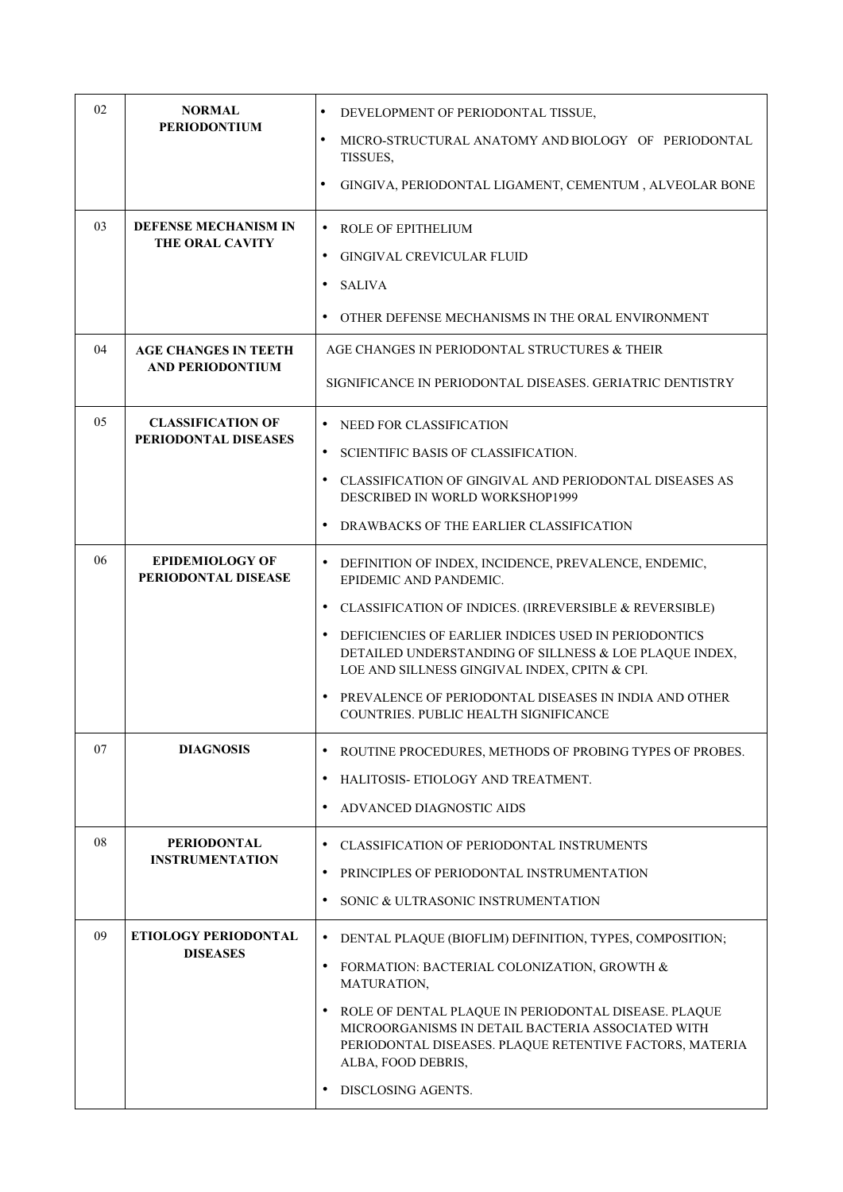| 02 | <b>NORMAL</b>                                          | DEVELOPMENT OF PERIODONTAL TISSUE,                                                                                                                                                         |
|----|--------------------------------------------------------|--------------------------------------------------------------------------------------------------------------------------------------------------------------------------------------------|
|    | <b>PERIODONTIUM</b>                                    | $\bullet$<br>MICRO-STRUCTURAL ANATOMY AND BIOLOGY OF PERIODONTAL<br>TISSUES,                                                                                                               |
|    |                                                        | $\bullet$<br>GINGIVA, PERIODONTAL LIGAMENT, CEMENTUM, ALVEOLAR BONE                                                                                                                        |
| 03 | <b>DEFENSE MECHANISM IN</b><br><b>THE ORAL CAVITY</b>  | $\bullet$<br>ROLE OF EPITHELIUM                                                                                                                                                            |
|    |                                                        | GINGIVAL CREVICULAR FLUID<br>٠                                                                                                                                                             |
|    |                                                        | <b>SALIVA</b><br>$\bullet$                                                                                                                                                                 |
|    |                                                        | OTHER DEFENSE MECHANISMS IN THE ORAL ENVIRONMENT                                                                                                                                           |
| 04 | <b>AGE CHANGES IN TEETH</b><br><b>AND PERIODONTIUM</b> | AGE CHANGES IN PERIODONTAL STRUCTURES & THEIR                                                                                                                                              |
|    |                                                        | SIGNIFICANCE IN PERIODONTAL DISEASES. GERIATRIC DENTISTRY                                                                                                                                  |
| 05 | <b>CLASSIFICATION OF</b>                               | • NEED FOR CLASSIFICATION                                                                                                                                                                  |
|    | PERIODONTAL DISEASES                                   | <b>SCIENTIFIC BASIS OF CLASSIFICATION.</b>                                                                                                                                                 |
|    |                                                        | CLASSIFICATION OF GINGIVAL AND PERIODONTAL DISEASES AS<br>DESCRIBED IN WORLD WORKSHOP1999                                                                                                  |
|    |                                                        | DRAWBACKS OF THE EARLIER CLASSIFICATION                                                                                                                                                    |
| 06 | <b>EPIDEMIOLOGY OF</b><br>PERIODONTAL DISEASE          | • DEFINITION OF INDEX, INCIDENCE, PREVALENCE, ENDEMIC,<br>EPIDEMIC AND PANDEMIC.                                                                                                           |
|    |                                                        | • CLASSIFICATION OF INDICES. (IRREVERSIBLE & REVERSIBLE)                                                                                                                                   |
|    |                                                        | • DEFICIENCIES OF EARLIER INDICES USED IN PERIODONTICS<br>DETAILED UNDERSTANDING OF SILLNESS & LOE PLAQUE INDEX,<br>LOE AND SILLNESS GINGIVAL INDEX, CPITN & CPI.                          |
|    |                                                        | PREVALENCE OF PERIODONTAL DISEASES IN INDIA AND OTHER<br>COUNTRIES. PUBLIC HEALTH SIGNIFICANCE                                                                                             |
| 07 | <b>DIAGNOSIS</b>                                       | ROUTINE PROCEDURES, METHODS OF PROBING TYPES OF PROBES.<br>$\bullet$                                                                                                                       |
|    |                                                        | HALITOSIS- ETIOLOGY AND TREATMENT.                                                                                                                                                         |
|    |                                                        | ADVANCED DIAGNOSTIC AIDS<br>٠                                                                                                                                                              |
| 08 | <b>PERIODONTAL</b>                                     | • CLASSIFICATION OF PERIODONTAL INSTRUMENTS                                                                                                                                                |
|    | <b>INSTRUMENTATION</b>                                 | PRINCIPLES OF PERIODONTAL INSTRUMENTATION<br>$\bullet$                                                                                                                                     |
|    |                                                        | SONIC & ULTRASONIC INSTRUMENTATION                                                                                                                                                         |
| 09 | <b>ETIOLOGY PERIODONTAL</b>                            | DENTAL PLAQUE (BIOFLIM) DEFINITION, TYPES, COMPOSITION;<br>$\bullet$                                                                                                                       |
|    | <b>DISEASES</b>                                        | FORMATION: BACTERIAL COLONIZATION, GROWTH &<br>$\bullet$<br>MATURATION,                                                                                                                    |
|    |                                                        | ROLE OF DENTAL PLAQUE IN PERIODONTAL DISEASE. PLAQUE<br>MICROORGANISMS IN DETAIL BACTERIA ASSOCIATED WITH<br>PERIODONTAL DISEASES. PLAQUE RETENTIVE FACTORS, MATERIA<br>ALBA, FOOD DEBRIS, |
|    |                                                        | <b>DISCLOSING AGENTS.</b>                                                                                                                                                                  |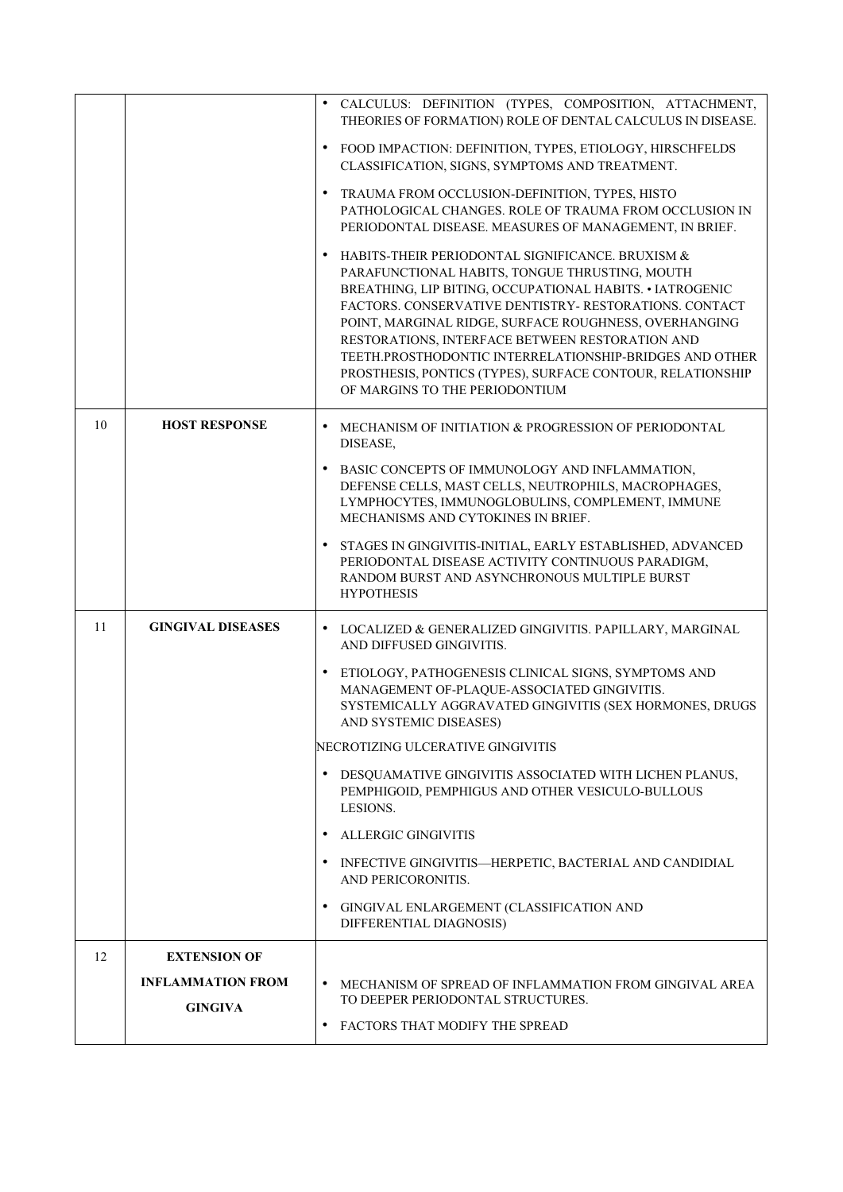|    |                                                                   | · CALCULUS: DEFINITION (TYPES, COMPOSITION, ATTACHMENT,<br>THEORIES OF FORMATION) ROLE OF DENTAL CALCULUS IN DISEASE.<br>FOOD IMPACTION: DEFINITION, TYPES, ETIOLOGY, HIRSCHFELDS<br>CLASSIFICATION, SIGNS, SYMPTOMS AND TREATMENT.<br>TRAUMA FROM OCCLUSION-DEFINITION, TYPES, HISTO<br>PATHOLOGICAL CHANGES. ROLE OF TRAUMA FROM OCCLUSION IN<br>PERIODONTAL DISEASE. MEASURES OF MANAGEMENT, IN BRIEF.<br>HABITS-THEIR PERIODONTAL SIGNIFICANCE. BRUXISM &<br>PARAFUNCTIONAL HABITS, TONGUE THRUSTING, MOUTH<br>BREATHING, LIP BITING, OCCUPATIONAL HABITS. • IATROGENIC<br>FACTORS. CONSERVATIVE DENTISTRY-RESTORATIONS. CONTACT<br>POINT, MARGINAL RIDGE, SURFACE ROUGHNESS, OVERHANGING<br>RESTORATIONS, INTERFACE BETWEEN RESTORATION AND<br>TEETH.PROSTHODONTIC INTERRELATIONSHIP-BRIDGES AND OTHER<br>PROSTHESIS, PONTICS (TYPES), SURFACE CONTOUR, RELATIONSHIP<br>OF MARGINS TO THE PERIODONTIUM |
|----|-------------------------------------------------------------------|-------------------------------------------------------------------------------------------------------------------------------------------------------------------------------------------------------------------------------------------------------------------------------------------------------------------------------------------------------------------------------------------------------------------------------------------------------------------------------------------------------------------------------------------------------------------------------------------------------------------------------------------------------------------------------------------------------------------------------------------------------------------------------------------------------------------------------------------------------------------------------------------------------------|
| 10 | <b>HOST RESPONSE</b>                                              | MECHANISM OF INITIATION & PROGRESSION OF PERIODONTAL<br>DISEASE,<br>BASIC CONCEPTS OF IMMUNOLOGY AND INFLAMMATION,<br>DEFENSE CELLS, MAST CELLS, NEUTROPHILS, MACROPHAGES,<br>LYMPHOCYTES, IMMUNOGLOBULINS, COMPLEMENT, IMMUNE<br>MECHANISMS AND CYTOKINES IN BRIEF.<br>STAGES IN GINGIVITIS-INITIAL, EARLY ESTABLISHED, ADVANCED<br>PERIODONTAL DISEASE ACTIVITY CONTINUOUS PARADIGM,<br>RANDOM BURST AND ASYNCHRONOUS MULTIPLE BURST<br><b>HYPOTHESIS</b>                                                                                                                                                                                                                                                                                                                                                                                                                                                 |
| 11 | <b>GINGIVAL DISEASES</b>                                          | $\bullet$<br>LOCALIZED & GENERALIZED GINGIVITIS. PAPILLARY, MARGINAL<br>AND DIFFUSED GINGIVITIS.<br>ETIOLOGY, PATHOGENESIS CLINICAL SIGNS, SYMPTOMS AND<br>٠<br>MANAGEMENT OF-PLAQUE-ASSOCIATED GINGIVITIS.<br>SYSTEMICALLY AGGRAVATED GINGIVITIS (SEX HORMONES, DRUGS<br>AND SYSTEMIC DISEASES)<br>NECROTIZING ULCERATIVE GINGIVITIS<br>• DESQUAMATIVE GINGIVITIS ASSOCIATED WITH LICHEN PLANUS,<br>PEMPHIGOID, PEMPHIGUS AND OTHER VESICULO-BULLOUS<br>LESIONS.<br><b>ALLERGIC GINGIVITIS</b><br>• INFECTIVE GINGIVITIS—HERPETIC, BACTERIAL AND CANDIDIAL<br>AND PERICORONITIS.<br>GINGIVAL ENLARGEMENT (CLASSIFICATION AND<br>DIFFERENTIAL DIAGNOSIS)                                                                                                                                                                                                                                                    |
| 12 | <b>EXTENSION OF</b><br><b>INFLAMMATION FROM</b><br><b>GINGIVA</b> | • MECHANISM OF SPREAD OF INFLAMMATION FROM GINGIVAL AREA<br>TO DEEPER PERIODONTAL STRUCTURES.<br>FACTORS THAT MODIFY THE SPREAD                                                                                                                                                                                                                                                                                                                                                                                                                                                                                                                                                                                                                                                                                                                                                                             |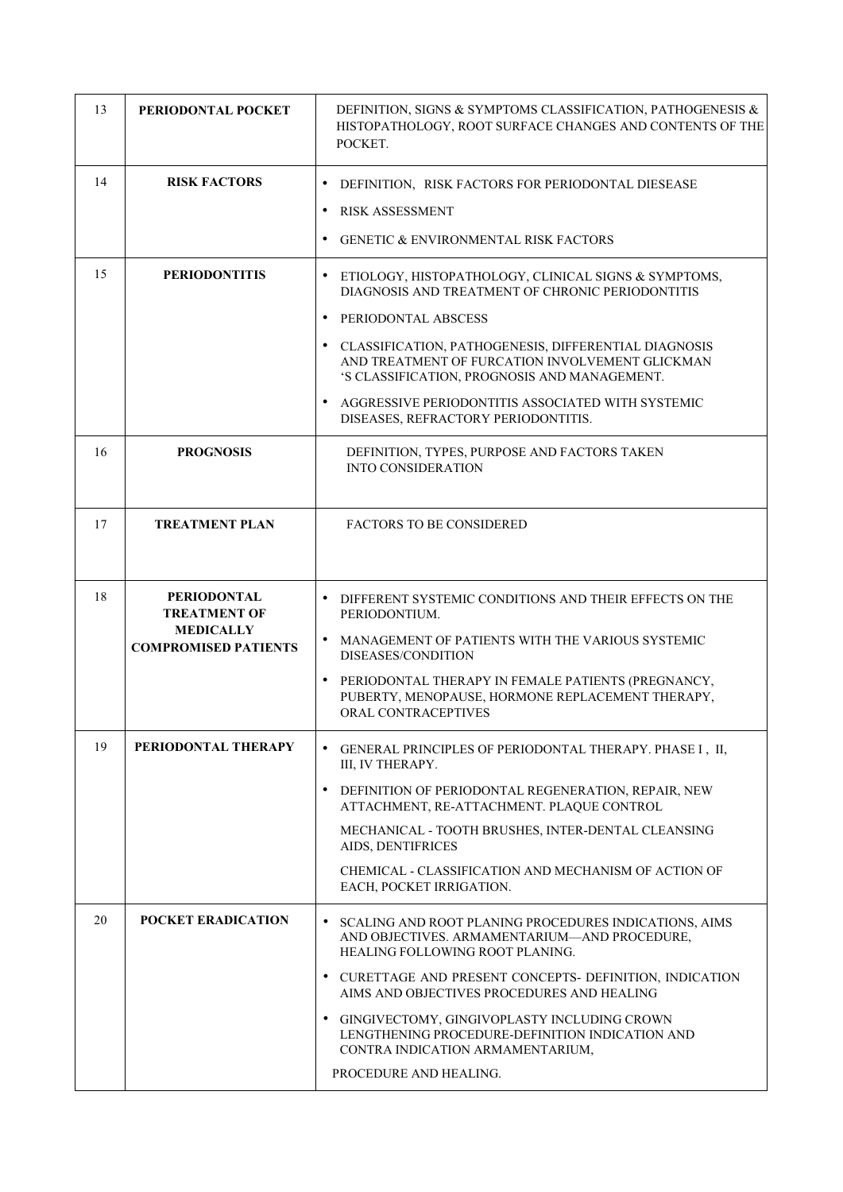| 13 | PERIODONTAL POCKET                              | DEFINITION, SIGNS & SYMPTOMS CLASSIFICATION, PATHOGENESIS &<br>HISTOPATHOLOGY, ROOT SURFACE CHANGES AND CONTENTS OF THE<br>POCKET.                      |
|----|-------------------------------------------------|---------------------------------------------------------------------------------------------------------------------------------------------------------|
| 14 | <b>RISK FACTORS</b>                             | $\bullet$<br>DEFINITION, RISK FACTORS FOR PERIODONTAL DIESEASE                                                                                          |
|    |                                                 | $\bullet$<br><b>RISK ASSESSMENT</b>                                                                                                                     |
|    |                                                 | <b>GENETIC &amp; ENVIRONMENTAL RISK FACTORS</b><br>$\bullet$                                                                                            |
| 15 | <b>PERIODONTITIS</b>                            | $\bullet$<br>ETIOLOGY, HISTOPATHOLOGY, CLINICAL SIGNS & SYMPTOMS,<br>DIAGNOSIS AND TREATMENT OF CHRONIC PERIODONTITIS                                   |
|    |                                                 | $\bullet$<br>PERIODONTAL ABSCESS                                                                                                                        |
|    |                                                 | CLASSIFICATION, PATHOGENESIS, DIFFERENTIAL DIAGNOSIS<br>AND TREATMENT OF FURCATION INVOLVEMENT GLICKMAN<br>'S CLASSIFICATION, PROGNOSIS AND MANAGEMENT. |
|    |                                                 | AGGRESSIVE PERIODONTITIS ASSOCIATED WITH SYSTEMIC<br>DISEASES, REFRACTORY PERIODONTITIS.                                                                |
| 16 | <b>PROGNOSIS</b>                                | DEFINITION, TYPES, PURPOSE AND FACTORS TAKEN<br><b>INTO CONSIDERATION</b>                                                                               |
| 17 | <b>TREATMENT PLAN</b>                           | <b>FACTORS TO BE CONSIDERED</b>                                                                                                                         |
| 18 | <b>PERIODONTAL</b><br><b>TREATMENT OF</b>       | $\bullet$<br>DIFFERENT SYSTEMIC CONDITIONS AND THEIR EFFECTS ON THE<br>PERIODONTIUM.                                                                    |
|    | <b>MEDICALLY</b><br><b>COMPROMISED PATIENTS</b> | • MANAGEMENT OF PATIENTS WITH THE VARIOUS SYSTEMIC<br>DISEASES/CONDITION                                                                                |
|    |                                                 | PERIODONTAL THERAPY IN FEMALE PATIENTS (PREGNANCY,<br>PUBERTY, MENOPAUSE, HORMONE REPLACEMENT THERAPY,<br>ORAL CONTRACEPTIVES                           |
| 19 | PERIODONTAL THERAPY                             | GENERAL PRINCIPLES OF PERIODONTAL THERAPY. PHASE I, II,<br>III. IV THERAPY.                                                                             |
|    |                                                 | DEFINITION OF PERIODONTAL REGENERATION, REPAIR, NEW<br>ATTACHMENT, RE-ATTACHMENT. PLAQUE CONTROL                                                        |
|    |                                                 | MECHANICAL - TOOTH BRUSHES, INTER-DENTAL CLEANSING<br>AIDS, DENTIFRICES                                                                                 |
|    |                                                 | CHEMICAL - CLASSIFICATION AND MECHANISM OF ACTION OF<br>EACH, POCKET IRRIGATION.                                                                        |
| 20 | <b>POCKET ERADICATION</b>                       | $\bullet$<br>SCALING AND ROOT PLANING PROCEDURES INDICATIONS, AIMS<br>AND OBJECTIVES. ARMAMENTARIUM-AND PROCEDURE,<br>HEALING FOLLOWING ROOT PLANING.   |
|    |                                                 | • CURETTAGE AND PRESENT CONCEPTS- DEFINITION, INDICATION<br>AIMS AND OBJECTIVES PROCEDURES AND HEALING                                                  |
|    |                                                 | • GINGIVECTOMY, GINGIVOPLASTY INCLUDING CROWN<br>LENGTHENING PROCEDURE-DEFINITION INDICATION AND<br>CONTRA INDICATION ARMAMENTARIUM,                    |
|    |                                                 | PROCEDURE AND HEALING.                                                                                                                                  |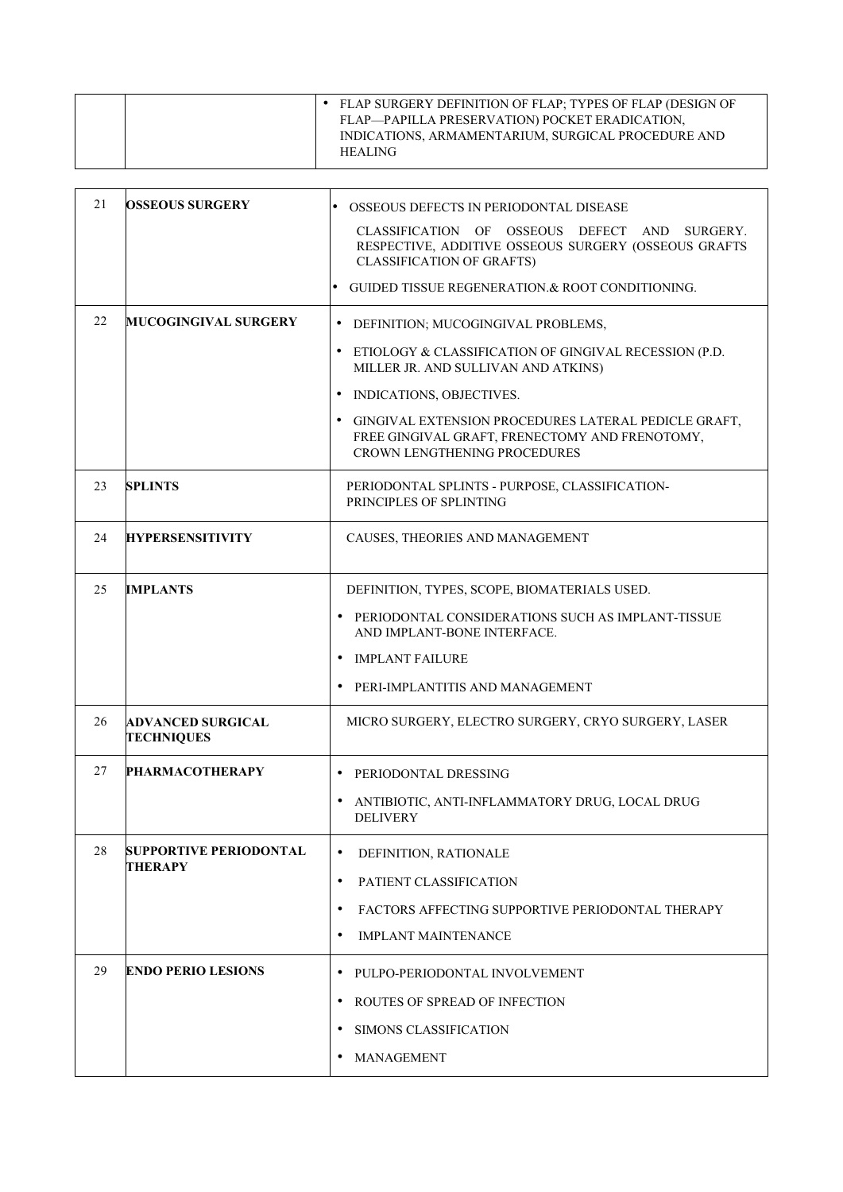| FLAP SURGERY DEFINITION OF FLAP; TYPES OF FLAP (DESIGN OF<br>FLAP—PAPILLA PRESERVATION) POCKET ERADICATION,<br>INDICATIONS, ARMAMENTARIUM, SURGICAL PROCEDURE AND<br><b>HEALING</b> |  |
|-------------------------------------------------------------------------------------------------------------------------------------------------------------------------------------|--|
|-------------------------------------------------------------------------------------------------------------------------------------------------------------------------------------|--|

| 21 | <b>OSSEOUS SURGERY</b>                        | OSSEOUS DEFECTS IN PERIODONTAL DISEASE                                                                                                        |
|----|-----------------------------------------------|-----------------------------------------------------------------------------------------------------------------------------------------------|
|    |                                               | CLASSIFICATION OF OSSEOUS DEFECT AND SURGERY.<br>RESPECTIVE, ADDITIVE OSSEOUS SURGERY (OSSEOUS GRAFTS<br><b>CLASSIFICATION OF GRAFTS)</b>     |
|    |                                               | GUIDED TISSUE REGENERATION.& ROOT CONDITIONING.<br>$\bullet$                                                                                  |
| 22 | <b>MUCOGINGIVAL SURGERY</b>                   | $\bullet$<br>DEFINITION; MUCOGINGIVAL PROBLEMS,                                                                                               |
|    |                                               | $\bullet$<br>ETIOLOGY & CLASSIFICATION OF GINGIVAL RECESSION (P.D.<br>MILLER JR. AND SULLIVAN AND ATKINS)                                     |
|    |                                               | INDICATIONS, OBJECTIVES.<br>٠                                                                                                                 |
|    |                                               | GINGIVAL EXTENSION PROCEDURES LATERAL PEDICLE GRAFT,<br>FREE GINGIVAL GRAFT, FRENECTOMY AND FRENOTOMY,<br><b>CROWN LENGTHENING PROCEDURES</b> |
| 23 | <b>SPLINTS</b>                                | PERIODONTAL SPLINTS - PURPOSE, CLASSIFICATION-<br>PRINCIPLES OF SPLINTING                                                                     |
| 24 | <b>HYPERSENSITIVITY</b>                       | CAUSES, THEORIES AND MANAGEMENT                                                                                                               |
| 25 | <b>IMPLANTS</b>                               | DEFINITION, TYPES, SCOPE, BIOMATERIALS USED.                                                                                                  |
|    |                                               | PERIODONTAL CONSIDERATIONS SUCH AS IMPLANT-TISSUE<br>٠<br>AND IMPLANT-BONE INTERFACE.                                                         |
|    |                                               | IMPLANT FAILURE<br>$\bullet$                                                                                                                  |
|    |                                               | PERI-IMPLANTITIS AND MANAGEMENT<br>$\bullet$                                                                                                  |
| 26 | <b>ADVANCED SURGICAL</b><br><b>TECHNIQUES</b> | MICRO SURGERY, ELECTRO SURGERY, CRYO SURGERY, LASER                                                                                           |
| 27 | <b>PHARMACOTHERAPY</b>                        | $\bullet$<br>PERIODONTAL DRESSING                                                                                                             |
|    |                                               | ANTIBIOTIC, ANTI-INFLAMMATORY DRUG, LOCAL DRUG<br><b>DELIVERY</b>                                                                             |
| 28 | SUPPORTIVE PERIODONTAL                        | $\bullet$<br>DEFINITION, RATIONALE                                                                                                            |
|    | <b>THERAPY</b>                                | PATIENT CLASSIFICATION<br>$\bullet$                                                                                                           |
|    |                                               | FACTORS AFFECTING SUPPORTIVE PERIODONTAL THERAPY<br>$\bullet$                                                                                 |
|    |                                               | <b>IMPLANT MAINTENANCE</b><br>$\bullet$                                                                                                       |
| 29 | <b>ENDO PERIO LESIONS</b>                     | $\bullet$<br>PULPO-PERIODONTAL INVOLVEMENT                                                                                                    |
|    |                                               | ROUTES OF SPREAD OF INFECTION<br>$\bullet$                                                                                                    |
|    |                                               | SIMONS CLASSIFICATION<br>٠                                                                                                                    |
|    |                                               | MANAGEMENT<br>$\bullet$                                                                                                                       |
|    |                                               |                                                                                                                                               |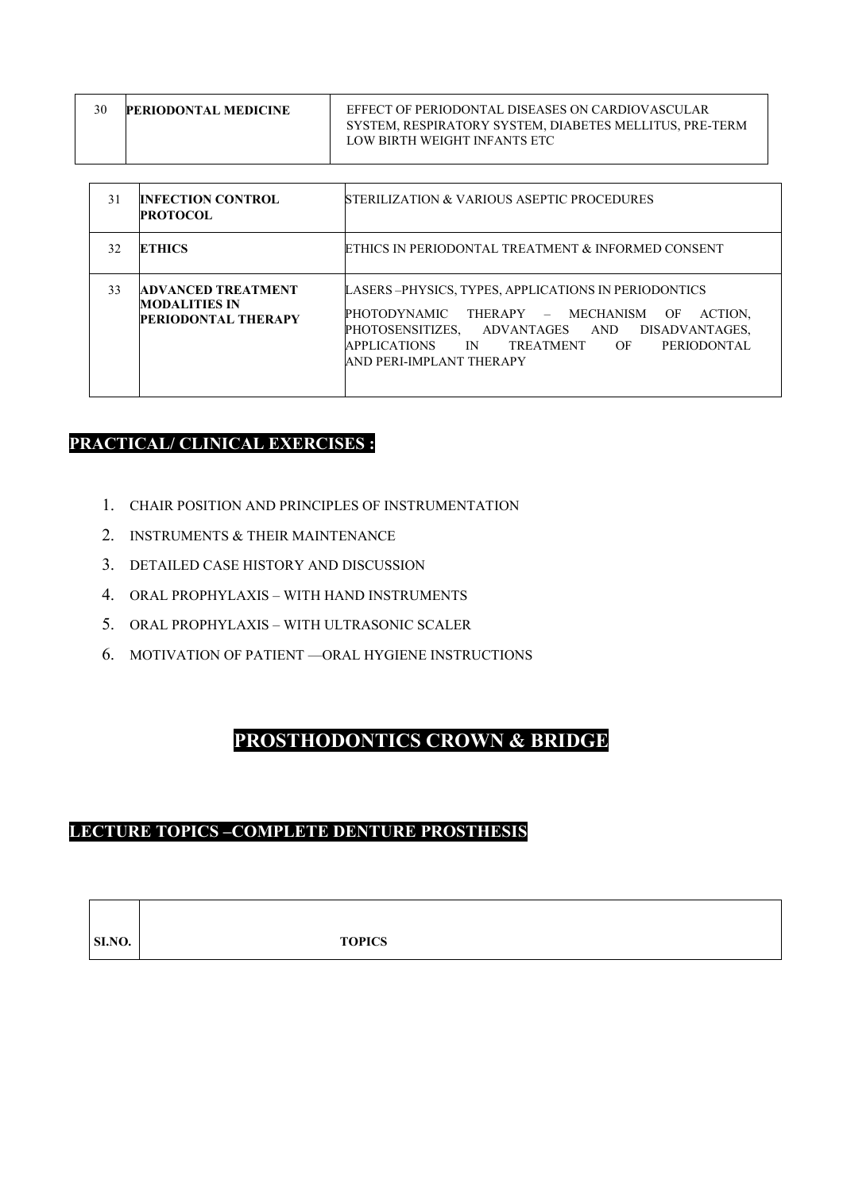| <b>PERIODONTAL MEDICINE</b> | EFFECT OF PERIODONTAL DISEASES ON CARDIOVASCULAR                                        |
|-----------------------------|-----------------------------------------------------------------------------------------|
|                             | SYSTEM, RESPIRATORY SYSTEM, DIABETES MELLITUS, PRE-TERM<br>LOW BIRTH WEIGHT INFANTS ETC |
|                             |                                                                                         |

| 31 | <b>INFECTION CONTROL</b><br><b>PROTOCOL</b>                                     | <b>STERILIZATION &amp; VARIOUS ASEPTIC PROCEDURES</b>                                                                                                                                                                                                                            |
|----|---------------------------------------------------------------------------------|----------------------------------------------------------------------------------------------------------------------------------------------------------------------------------------------------------------------------------------------------------------------------------|
| 32 | <b>ETHICS</b>                                                                   | ETHICS IN PERIODONTAL TREATMENT & INFORMED CONSENT                                                                                                                                                                                                                               |
| 33 | <b>ADVANCED TREATMENT</b><br><b>MODALITIES IN</b><br><b>PERIODONTAL THERAPY</b> | LASERS-PHYSICS, TYPES, APPLICATIONS IN PERIODONTICS<br><b>PHOTODYNAMIC</b><br>THERAPY - MECHANISM<br>ACTION.<br>OF<br>ADVANTAGES AND<br>PHOTOSENSITIZES,<br>DISADVANTAGES,<br><b>APPLICATIONS</b><br>TREATMENT OF<br><b>PERIODONTAL</b><br><b>IN</b><br>AND PERI-IMPLANT THERAPY |

### **PRACTICAL/ CLINICAL EXERCISES :**

- 1. CHAIR POSITION AND PRINCIPLES OF INSTRUMENTATION
- 2. INSTRUMENTS & THEIR MAINTENANCE
- 3. DETAILED CASE HISTORY AND DISCUSSION
- 4. ORAL PROPHYLAXIS WITH HAND INSTRUMENTS
- 5. ORAL PROPHYLAXIS WITH ULTRASONIC SCALER
- 6. MOTIVATION OF PATIENT —ORAL HYGIENE INSTRUCTIONS

# **PROSTHODONTICS CROWN & BRIDGE**

### **LECTURE TOPICS –COMPLETE DENTURE PROSTHESIS**

 $\Box$ 

| SI.NO. | <b>TOPICS</b> |
|--------|---------------|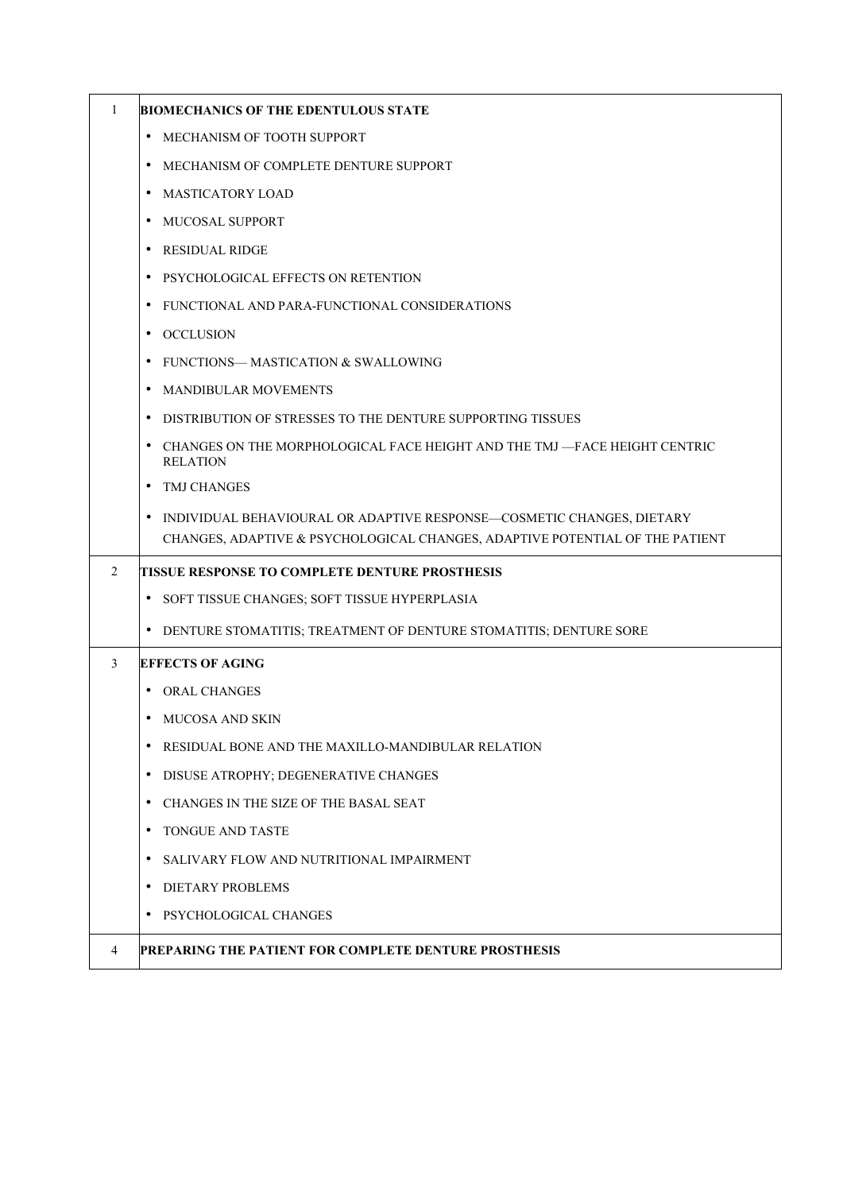| $\mathbf{1}$ | <b>BIOMECHANICS OF THE EDENTULOUS STATE</b>                                                                                                                        |
|--------------|--------------------------------------------------------------------------------------------------------------------------------------------------------------------|
|              | MECHANISM OF TOOTH SUPPORT<br>٠                                                                                                                                    |
|              | MECHANISM OF COMPLETE DENTURE SUPPORT<br>٠                                                                                                                         |
|              | <b>MASTICATORY LOAD</b><br>$\bullet$                                                                                                                               |
|              | MUCOSAL SUPPORT<br>٠                                                                                                                                               |
|              | RESIDUAL RIDGE<br>$\bullet$                                                                                                                                        |
|              | PSYCHOLOGICAL EFFECTS ON RETENTION<br>$\bullet$                                                                                                                    |
|              | FUNCTIONAL AND PARA-FUNCTIONAL CONSIDERATIONS<br>٠                                                                                                                 |
|              | OCCLUSION<br>٠                                                                                                                                                     |
|              | FUNCTIONS— MASTICATION & SWALLOWING<br>٠                                                                                                                           |
|              | MANDIBULAR MOVEMENTS<br>$\bullet$                                                                                                                                  |
|              | DISTRIBUTION OF STRESSES TO THE DENTURE SUPPORTING TISSUES<br>٠                                                                                                    |
|              | CHANGES ON THE MORPHOLOGICAL FACE HEIGHT AND THE TMJ -FACE HEIGHT CENTRIC<br>٠<br><b>RELATION</b>                                                                  |
|              | <b>TMJ CHANGES</b><br>$\bullet$                                                                                                                                    |
|              | $\bullet$<br>INDIVIDUAL BEHAVIOURAL OR ADAPTIVE RESPONSE—COSMETIC CHANGES, DIETARY<br>CHANGES, ADAPTIVE & PSYCHOLOGICAL CHANGES, ADAPTIVE POTENTIAL OF THE PATIENT |
| 2            | TISSUE RESPONSE TO COMPLETE DENTURE PROSTHESIS                                                                                                                     |
|              | • SOFT TISSUE CHANGES; SOFT TISSUE HYPERPLASIA                                                                                                                     |
|              | • DENTURE STOMATITIS; TREATMENT OF DENTURE STOMATITIS; DENTURE SORE                                                                                                |
| 3            | <b>EFFECTS OF AGING</b>                                                                                                                                            |
|              | <b>ORAL CHANGES</b><br>٠                                                                                                                                           |
|              | MUCOSA AND SKIN<br>$\bullet$                                                                                                                                       |
|              | RESIDUAL BONE AND THE MAXILLO-MANDIBULAR RELATION<br>$\bullet$                                                                                                     |
|              | DISUSE ATROPHY; DEGENERATIVE CHANGES<br>٠                                                                                                                          |
|              | CHANGES IN THE SIZE OF THE BASAL SEAT<br>$\bullet$                                                                                                                 |
|              | TONGUE AND TASTE<br>$\bullet$                                                                                                                                      |
|              | SALIVARY FLOW AND NUTRITIONAL IMPAIRMENT<br>٠                                                                                                                      |
|              | <b>DIETARY PROBLEMS</b><br>٠                                                                                                                                       |
|              | PSYCHOLOGICAL CHANGES<br>$\bullet$                                                                                                                                 |
| 4            | PREPARING THE PATIENT FOR COMPLETE DENTURE PROSTHESIS                                                                                                              |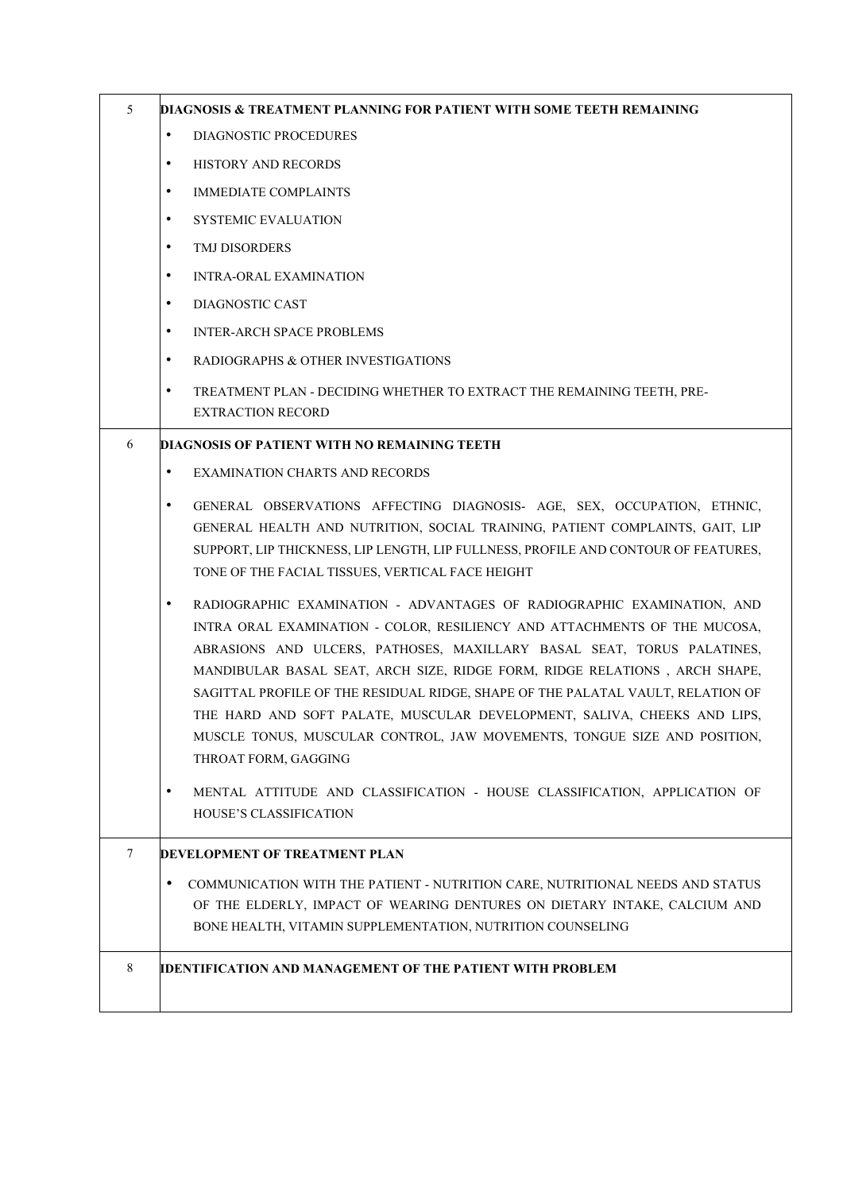| 5 | DIAGNOSIS & TREATMENT PLANNING FOR PATIENT WITH SOME TEETH REMAINING                                                                                                 |
|---|----------------------------------------------------------------------------------------------------------------------------------------------------------------------|
|   | $\bullet$<br>DIAGNOSTIC PROCEDURES                                                                                                                                   |
|   | ٠<br>HISTORY AND RECORDS                                                                                                                                             |
|   | ٠<br><b>IMMEDIATE COMPLAINTS</b>                                                                                                                                     |
|   | ٠<br><b>SYSTEMIC EVALUATION</b>                                                                                                                                      |
|   | TMJ DISORDERS<br>٠                                                                                                                                                   |
|   | $\bullet$<br><b>INTRA-ORAL EXAMINATION</b>                                                                                                                           |
|   | $\bullet$<br>DIAGNOSTIC CAST                                                                                                                                         |
|   | ٠<br><b>INTER-ARCH SPACE PROBLEMS</b>                                                                                                                                |
|   | ٠<br>RADIOGRAPHS & OTHER INVESTIGATIONS                                                                                                                              |
|   | ٠<br>TREATMENT PLAN - DECIDING WHETHER TO EXTRACT THE REMAINING TEETH, PRE-                                                                                          |
|   | <b>EXTRACTION RECORD</b>                                                                                                                                             |
| 6 | DIAGNOSIS OF PATIENT WITH NO REMAINING TEETH                                                                                                                         |
|   | $\bullet$<br><b>EXAMINATION CHARTS AND RECORDS</b>                                                                                                                   |
|   | $\bullet$<br>GENERAL OBSERVATIONS AFFECTING DIAGNOSIS- AGE, SEX, OCCUPATION, ETHNIC,<br>GENERAL HEALTH AND NUTRITION, SOCIAL TRAINING, PATIENT COMPLAINTS, GAIT, LIP |
|   | SUPPORT, LIP THICKNESS, LIP LENGTH, LIP FULLNESS, PROFILE AND CONTOUR OF FEATURES,<br>TONE OF THE FACIAL TISSUES, VERTICAL FACE HEIGHT                               |
|   | RADIOGRAPHIC EXAMINATION - ADVANTAGES OF RADIOGRAPHIC EXAMINATION, AND<br>٠<br>INTRA ORAL EXAMINATION - COLOR, RESILIENCY AND ATTACHMENTS OF THE MUCOSA,             |
|   | ABRASIONS AND ULCERS, PATHOSES, MAXILLARY BASAL SEAT, TORUS PALATINES,                                                                                               |
|   | MANDIBULAR BASAL SEAT, ARCH SIZE, RIDGE FORM, RIDGE RELATIONS, ARCH SHAPE,                                                                                           |
|   | SAGITTAL PROFILE OF THE RESIDUAL RIDGE, SHAPE OF THE PALATAL VAULT, RELATION OF<br>THE HARD AND SOFT PALATE, MUSCULAR DEVELOPMENT, SALIVA, CHEEKS AND LIPS,          |
|   | MUSCLE TONUS, MUSCULAR CONTROL, JAW MOVEMENTS, TONGUE SIZE AND POSITION,<br>THROAT FORM, GAGGING                                                                     |
|   | MENTAL ATTITUDE AND CLASSIFICATION - HOUSE CLASSIFICATION, APPLICATION OF<br>٠                                                                                       |
|   | HOUSE'S CLASSIFICATION                                                                                                                                               |
| 7 | <b>DEVELOPMENT OF TREATMENT PLAN</b>                                                                                                                                 |
|   | COMMUNICATION WITH THE PATIENT - NUTRITION CARE, NUTRITIONAL NEEDS AND STATUS<br>٠                                                                                   |
|   | OF THE ELDERLY, IMPACT OF WEARING DENTURES ON DIETARY INTAKE, CALCIUM AND                                                                                            |
|   | BONE HEALTH, VITAMIN SUPPLEMENTATION, NUTRITION COUNSELING                                                                                                           |
| 8 | IDENTIFICATION AND MANAGEMENT OF THE PATIENT WITH PROBLEM                                                                                                            |
|   |                                                                                                                                                                      |
|   |                                                                                                                                                                      |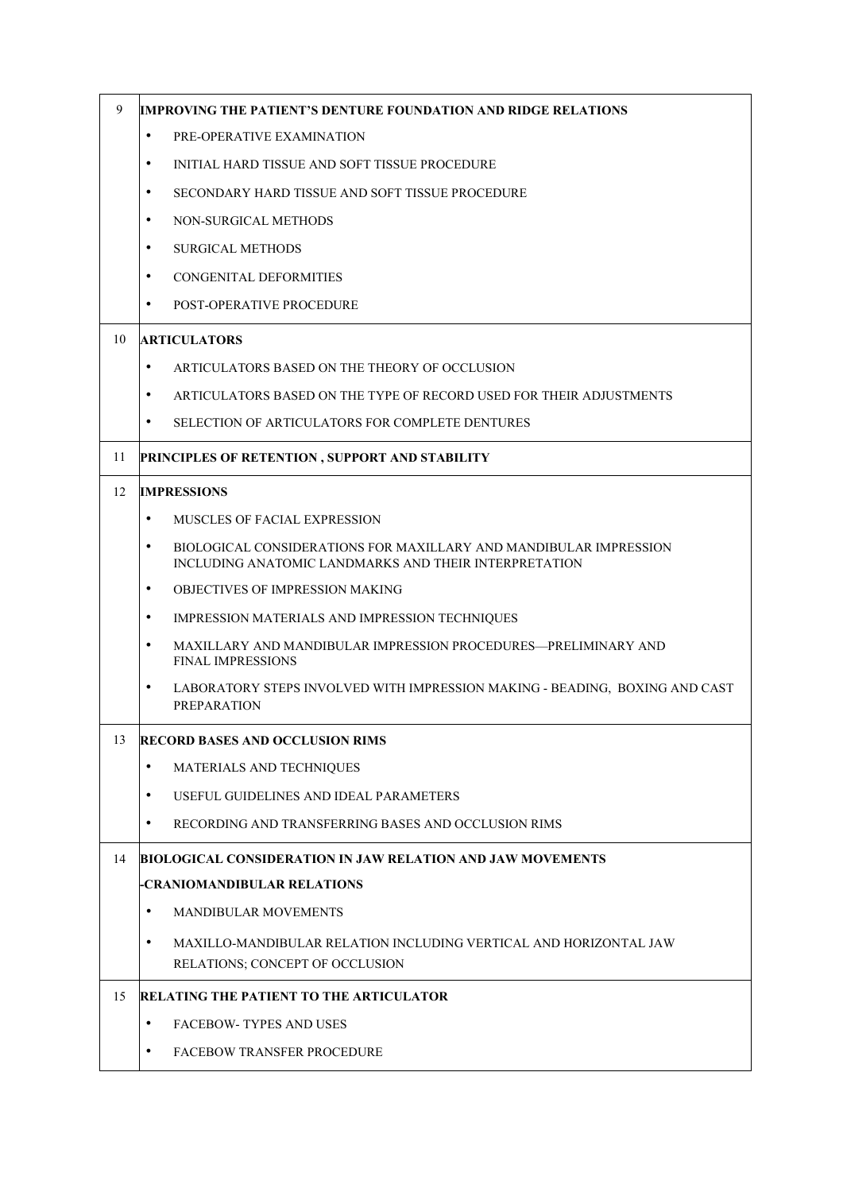| 9  | <b>IMPROVING THE PATIENT'S DENTURE FOUNDATION AND RIDGE RELATIONS</b>                                                                   |
|----|-----------------------------------------------------------------------------------------------------------------------------------------|
|    | $\bullet$<br>PRE-OPERATIVE EXAMINATION                                                                                                  |
|    | $\bullet$<br>INITIAL HARD TISSUE AND SOFT TISSUE PROCEDURE                                                                              |
|    | $\bullet$<br>SECONDARY HARD TISSUE AND SOFT TISSUE PROCEDURE                                                                            |
|    | $\bullet$<br><b>NON-SURGICAL METHODS</b>                                                                                                |
|    | $\bullet$<br><b>SURGICAL METHODS</b>                                                                                                    |
|    | $\bullet$<br><b>CONGENITAL DEFORMITIES</b>                                                                                              |
|    | $\bullet$<br><b>POST-OPERATIVE PROCEDURE</b>                                                                                            |
| 10 | <b>ARTICULATORS</b>                                                                                                                     |
|    | $\bullet$<br>ARTICULATORS BASED ON THE THEORY OF OCCLUSION                                                                              |
|    | $\bullet$<br>ARTICULATORS BASED ON THE TYPE OF RECORD USED FOR THEIR ADJUSTMENTS                                                        |
|    | $\bullet$<br>SELECTION OF ARTICULATORS FOR COMPLETE DENTURES                                                                            |
| 11 | PRINCIPLES OF RETENTION, SUPPORT AND STABILITY                                                                                          |
| 12 | <b>IMPRESSIONS</b>                                                                                                                      |
|    | $\bullet$<br><b>MUSCLES OF FACIAL EXPRESSION</b>                                                                                        |
|    | $\bullet$<br>BIOLOGICAL CONSIDERATIONS FOR MAXILLARY AND MANDIBULAR IMPRESSION<br>INCLUDING ANATOMIC LANDMARKS AND THEIR INTERPRETATION |
|    | OBJECTIVES OF IMPRESSION MAKING<br>$\bullet$                                                                                            |
|    | $\bullet$<br>IMPRESSION MATERIALS AND IMPRESSION TECHNIQUES                                                                             |
|    | $\bullet$<br>MAXILLARY AND MANDIBULAR IMPRESSION PROCEDURES—PRELIMINARY AND<br><b>FINAL IMPRESSIONS</b>                                 |
|    | $\bullet$<br>LABORATORY STEPS INVOLVED WITH IMPRESSION MAKING - BEADING, BOXING AND CAST<br><b>PREPARATION</b>                          |
| 13 | <b>RECORD BASES AND OCCLUSION RIMS</b>                                                                                                  |
|    | $\bullet$<br>MATERIALS AND TECHNIQUES                                                                                                   |
|    | USEFUL GUIDELINES AND IDEAL PARAMETERS<br>$\bullet$                                                                                     |
|    | $\bullet$<br>RECORDING AND TRANSFERRING BASES AND OCCLUSION RIMS                                                                        |
| 14 | <b>BIOLOGICAL CONSIDERATION IN JAW RELATION AND JAW MOVEMENTS</b>                                                                       |
|    | -CRANIOMANDIBULAR RELATIONS                                                                                                             |
|    | $\bullet$<br>MANDIBULAR MOVEMENTS                                                                                                       |
|    | MAXILLO-MANDIBULAR RELATION INCLUDING VERTICAL AND HORIZONTAL JAW<br>$\bullet$<br>RELATIONS; CONCEPT OF OCCLUSION                       |
| 15 | <b>RELATING THE PATIENT TO THE ARTICULATOR</b>                                                                                          |
|    | <b>FACEBOW-TYPES AND USES</b><br>$\bullet$                                                                                              |
|    | $\bullet$<br><b>FACEBOW TRANSFER PROCEDURE</b>                                                                                          |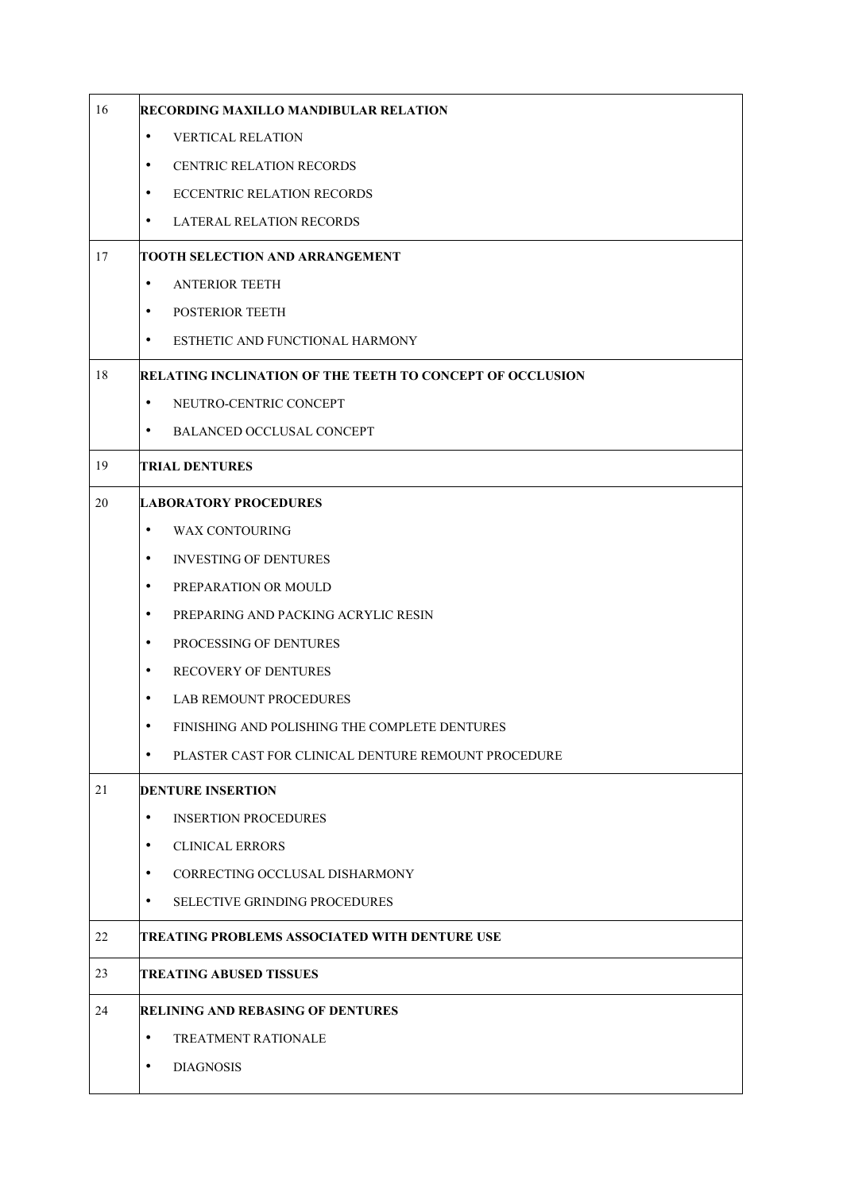| 16 | RECORDING MAXILLO MANDIBULAR RELATION                            |
|----|------------------------------------------------------------------|
|    | <b>VERTICAL RELATION</b><br>$\bullet$                            |
|    | CENTRIC RELATION RECORDS<br>$\bullet$                            |
|    | ECCENTRIC RELATION RECORDS<br>$\bullet$                          |
|    | <b>LATERAL RELATION RECORDS</b><br>$\bullet$                     |
| 17 | TOOTH SELECTION AND ARRANGEMENT                                  |
|    | <b>ANTERIOR TEETH</b><br>$\bullet$                               |
|    | POSTERIOR TEETH<br>$\bullet$                                     |
|    | ESTHETIC AND FUNCTIONAL HARMONY<br>$\bullet$                     |
| 18 | RELATING INCLINATION OF THE TEETH TO CONCEPT OF OCCLUSION        |
|    | NEUTRO-CENTRIC CONCEPT<br>$\bullet$                              |
|    | BALANCED OCCLUSAL CONCEPT<br>$\bullet$                           |
| 19 | <b>TRIAL DENTURES</b>                                            |
| 20 | <b>LABORATORY PROCEDURES</b>                                     |
|    | $\bullet$<br><b>WAX CONTOURING</b>                               |
|    | <b>INVESTING OF DENTURES</b><br>$\bullet$                        |
|    | PREPARATION OR MOULD<br>$\bullet$                                |
|    | PREPARING AND PACKING ACRYLIC RESIN<br>$\bullet$                 |
|    | $\bullet$<br>PROCESSING OF DENTURES                              |
|    | <b>RECOVERY OF DENTURES</b><br>$\bullet$                         |
|    | <b>LAB REMOUNT PROCEDURES</b><br>$\bullet$                       |
|    | FINISHING AND POLISHING THE COMPLETE DENTURES                    |
|    | $\bullet$<br>PLASTER CAST FOR CLINICAL DENTURE REMOUNT PROCEDURE |
| 21 | <b>DENTURE INSERTION</b>                                         |
|    | <b>INSERTION PROCEDURES</b><br>$\bullet$                         |
|    | <b>CLINICAL ERRORS</b><br>$\bullet$                              |
|    | CORRECTING OCCLUSAL DISHARMONY<br>$\bullet$                      |
|    | SELECTIVE GRINDING PROCEDURES<br>$\bullet$                       |
| 22 | TREATING PROBLEMS ASSOCIATED WITH DENTURE USE                    |
| 23 | <b>TREATING ABUSED TISSUES</b>                                   |
| 24 | <b>RELINING AND REBASING OF DENTURES</b>                         |
|    | <b>TREATMENT RATIONALE</b><br>$\bullet$                          |
|    | <b>DIAGNOSIS</b><br>$\bullet$                                    |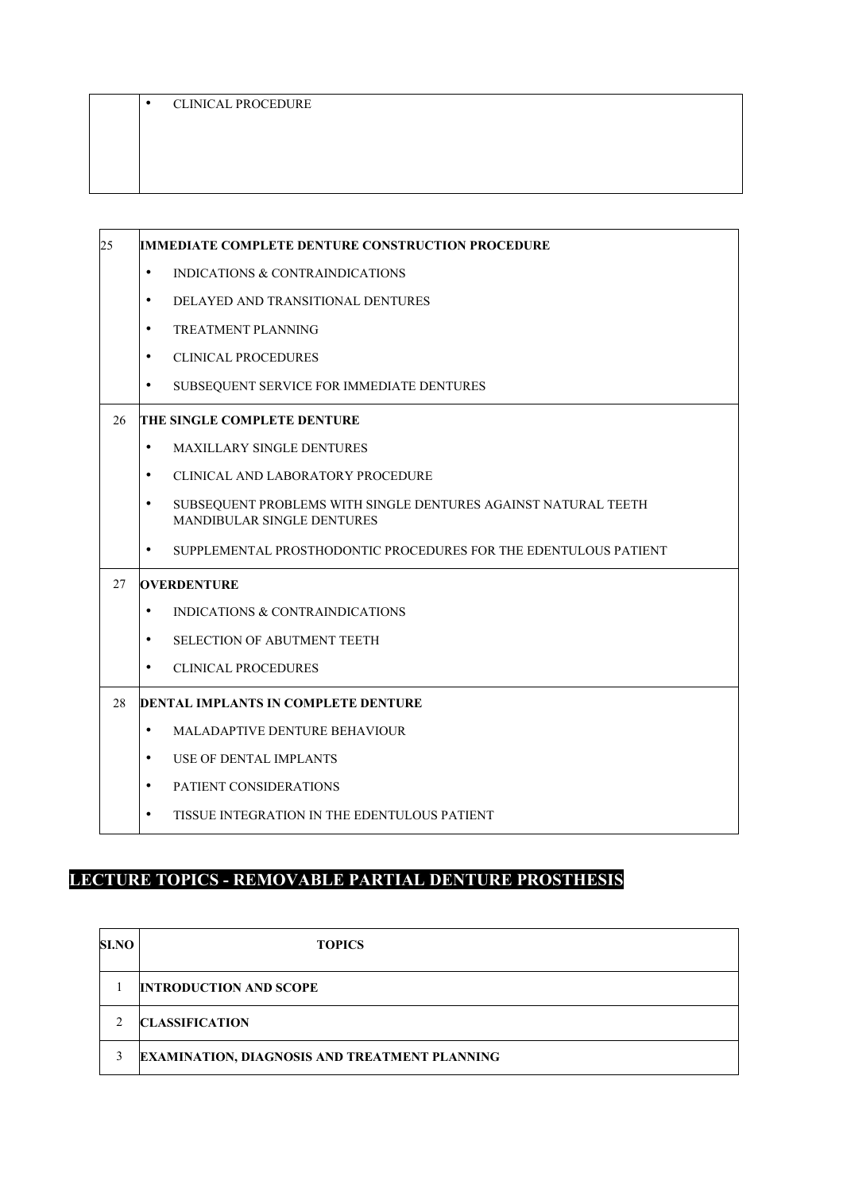| <b>CLINICAL PROCEDURE</b> |
|---------------------------|
|                           |

| 25 | <b>IMMEDIATE COMPLETE DENTURE CONSTRUCTION PROCEDURE</b>                                                  |
|----|-----------------------------------------------------------------------------------------------------------|
|    | $\bullet$<br>INDICATIONS & CONTRAINDICATIONS                                                              |
|    | DELAYED AND TRANSITIONAL DENTURES<br>$\bullet$                                                            |
|    | <b>TREATMENT PLANNING</b><br>$\bullet$                                                                    |
|    | <b>CLINICAL PROCEDURES</b><br>$\bullet$                                                                   |
|    | $\bullet$<br>SUBSEQUENT SERVICE FOR IMMEDIATE DENTURES                                                    |
| 26 | THE SINGLE COMPLETE DENTURE                                                                               |
|    | $\bullet$<br><b>MAXILLARY SINGLE DENTURES</b>                                                             |
|    | $\bullet$<br>CLINICAL AND LABORATORY PROCEDURE                                                            |
|    | SUBSEQUENT PROBLEMS WITH SINGLE DENTURES AGAINST NATURAL TEETH<br>$\bullet$<br>MANDIBULAR SINGLE DENTURES |
|    | SUPPLEMENTAL PROSTHODONTIC PROCEDURES FOR THE EDENTULOUS PATIENT<br>$\bullet$                             |
| 27 | <b>OVERDENTURE</b>                                                                                        |
|    | $\bullet$<br>INDICATIONS & CONTRAINDICATIONS                                                              |
|    | $\bullet$<br><b>SELECTION OF ABUTMENT TEETH</b>                                                           |
|    | <b>CLINICAL PROCEDURES</b><br>$\bullet$                                                                   |
| 28 | <b>DENTAL IMPLANTS IN COMPLETE DENTURE</b>                                                                |
|    | <b>MALADAPTIVE DENTURE BEHAVIOUR</b><br>$\bullet$                                                         |
|    | $\bullet$<br><b>USE OF DENTAL IMPLANTS</b>                                                                |
|    | PATIENT CONSIDERATIONS<br>$\bullet$                                                                       |
|    | $\bullet$<br>TISSUE INTEGRATION IN THE EDENTULOUS PATIENT                                                 |

# **LECTURE TOPICS - REMOVABLE PARTIAL DENTURE PROSTHESIS**

| <b>SI.NO</b>   | <b>TOPICS</b>                                        |
|----------------|------------------------------------------------------|
|                | <b>INTRODUCTION AND SCOPE</b>                        |
| $\mathfrak{D}$ | <b>CLASSIFICATION</b>                                |
| 3              | <b>EXAMINATION, DIAGNOSIS AND TREATMENT PLANNING</b> |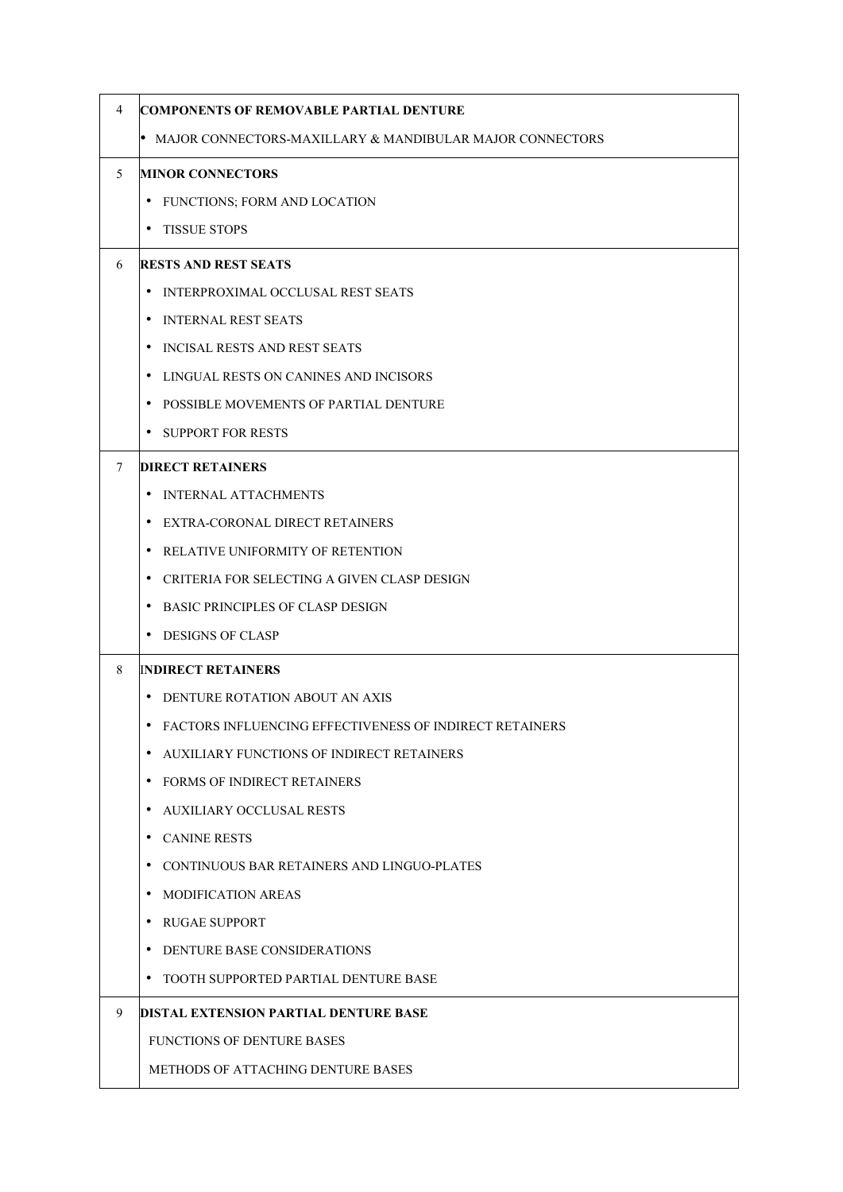| 4 | COMPONENTS OF REMOVABLE PARTIAL DENTURE                    |
|---|------------------------------------------------------------|
|   | • MAJOR CONNECTORS-MAXILLARY & MANDIBULAR MAJOR CONNECTORS |
| 5 | <b>MINOR CONNECTORS</b>                                    |
|   | FUNCTIONS; FORM AND LOCATION<br>$\bullet$                  |
|   | <b>TISSUE STOPS</b><br>$\bullet$                           |
| 6 | <b>RESTS AND REST SEATS</b>                                |
|   | INTERPROXIMAL OCCLUSAL REST SEATS<br>٠                     |
|   | INTERNAL REST SEATS<br>$\bullet$                           |
|   | INCISAL RESTS AND REST SEATS<br>٠                          |
|   | LINGUAL RESTS ON CANINES AND INCISORS<br>٠                 |
|   | POSSIBLE MOVEMENTS OF PARTIAL DENTURE<br>٠                 |
|   | <b>SUPPORT FOR RESTS</b><br>$\bullet$                      |
| 7 | <b>DIRECT RETAINERS</b>                                    |
|   | INTERNAL ATTACHMENTS<br>٠                                  |
|   | EXTRA-CORONAL DIRECT RETAINERS<br>٠                        |
|   | RELATIVE UNIFORMITY OF RETENTION<br>٠                      |
|   | CRITERIA FOR SELECTING A GIVEN CLASP DESIGN<br>٠           |
|   | <b>BASIC PRINCIPLES OF CLASP DESIGN</b><br>$\bullet$       |
|   | <b>DESIGNS OF CLASP</b><br>٠                               |
| 8 | <b>INDIRECT RETAINERS</b>                                  |
|   | DENTURE ROTATION ABOUT AN AXIS<br>٠                        |
|   | FACTORS INFLUENCING EFFECTIVENESS OF INDIRECT RETAINERS    |
|   | AUXILIARY FUNCTIONS OF INDIRECT RETAINERS<br>$\bullet$     |
|   | <b>FORMS OF INDIRECT RETAINERS</b><br>٠                    |
|   | AUXILIARY OCCLUSAL RESTS<br>٠                              |
|   | <b>CANINE RESTS</b><br>$\bullet$                           |
|   | CONTINUOUS BAR RETAINERS AND LINGUO-PLATES<br>٠            |
|   | <b>MODIFICATION AREAS</b><br>٠                             |
|   | <b>RUGAE SUPPORT</b><br>$\bullet$                          |
|   | DENTURE BASE CONSIDERATIONS<br>٠                           |
|   | • TOOTH SUPPORTED PARTIAL DENTURE BASE                     |
| 9 | DISTAL EXTENSION PARTIAL DENTURE BASE                      |
|   | <b>FUNCTIONS OF DENTURE BASES</b>                          |
|   | METHODS OF ATTACHING DENTURE BASES                         |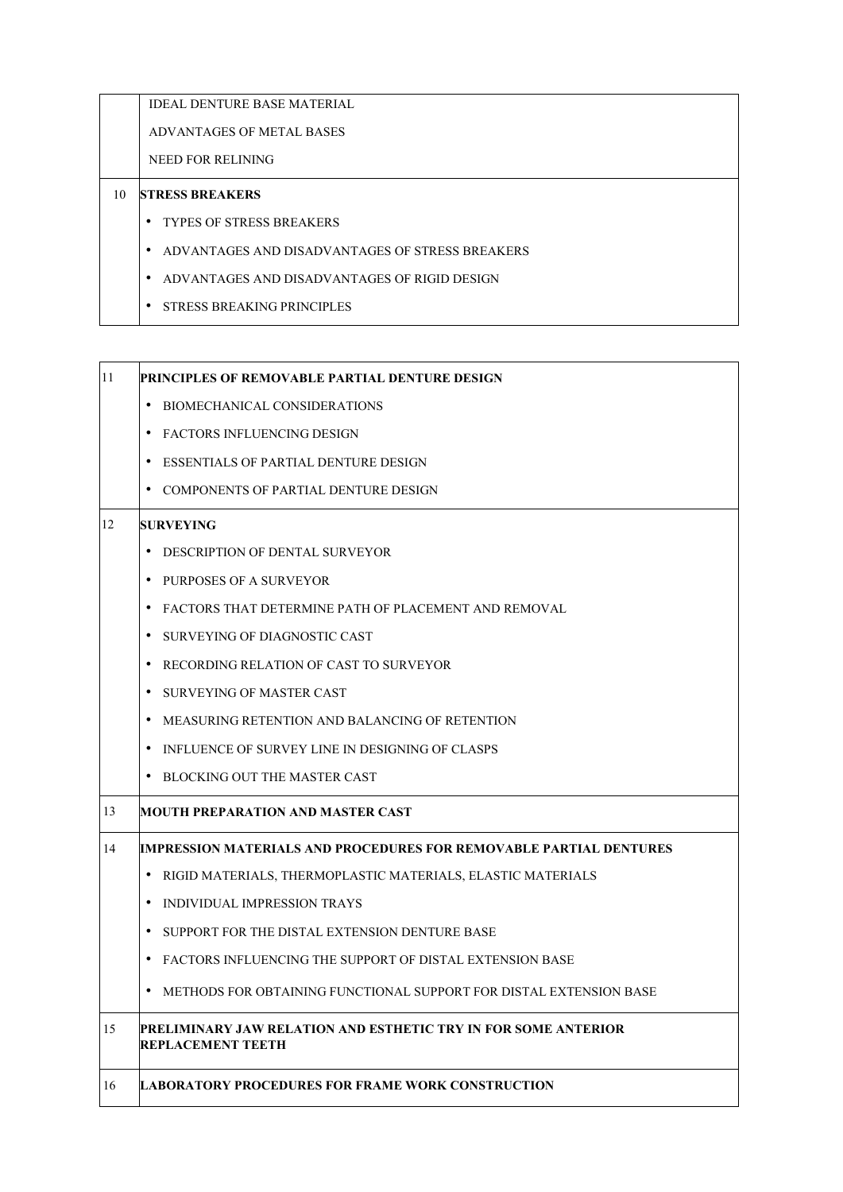IDEAL DENTURE BASE MATERIAL

ADVANTAGES OF METAL BASES

NEED FOR RELINING

#### 10 **STRESS BREAKERS**

- TYPES OF STRESS BREAKERS
- ADVANTAGES AND DISADVANTAGES OF STRESS BREAKERS
- ADVANTAGES AND DISADVANTAGES OF RIGID DESIGN
- STRESS BREAKING PRINCIPLES

| 11 | PRINCIPLES OF REMOVABLE PARTIAL DENTURE DESIGN                                             |
|----|--------------------------------------------------------------------------------------------|
|    | BIOMECHANICAL CONSIDERATIONS<br>$\bullet$                                                  |
|    | • FACTORS INFLUENCING DESIGN                                                               |
|    | ESSENTIALS OF PARTIAL DENTURE DESIGN                                                       |
|    | COMPONENTS OF PARTIAL DENTURE DESIGN                                                       |
| 12 | <b>SURVEYING</b>                                                                           |
|    | DESCRIPTION OF DENTAL SURVEYOR                                                             |
|    | • PURPOSES OF A SURVEYOR                                                                   |
|    | FACTORS THAT DETERMINE PATH OF PLACEMENT AND REMOVAL                                       |
|    | SURVEYING OF DIAGNOSTIC CAST                                                               |
|    | RECORDING RELATION OF CAST TO SURVEYOR                                                     |
|    | SURVEYING OF MASTER CAST                                                                   |
|    | MEASURING RETENTION AND BALANCING OF RETENTION                                             |
|    | INFLUENCE OF SURVEY LINE IN DESIGNING OF CLASPS                                            |
|    | BLOCKING OUT THE MASTER CAST                                                               |
| 13 | MOUTH PREPARATION AND MASTER CAST                                                          |
| 14 | IMPRESSION MATERIALS AND PROCEDURES FOR REMOVABLE PARTIAL DENTURES                         |
|    | $\bullet$<br>RIGID MATERIALS, THERMOPLASTIC MATERIALS, ELASTIC MATERIALS                   |
|    | INDIVIDUAL IMPRESSION TRAYS                                                                |
|    | SUPPORT FOR THE DISTAL EXTENSION DENTURE BASE                                              |
|    | FACTORS INFLUENCING THE SUPPORT OF DISTAL EXTENSION BASE                                   |
|    | METHODS FOR OBTAINING FUNCTIONAL SUPPORT FOR DISTAL EXTENSION BASE                         |
| 15 | PRELIMINARY JAW RELATION AND ESTHETIC TRY IN FOR SOME ANTERIOR<br><b>REPLACEMENT TEETH</b> |
| 16 | <b>LABORATORY PROCEDURES FOR FRAME WORK CONSTRUCTION</b>                                   |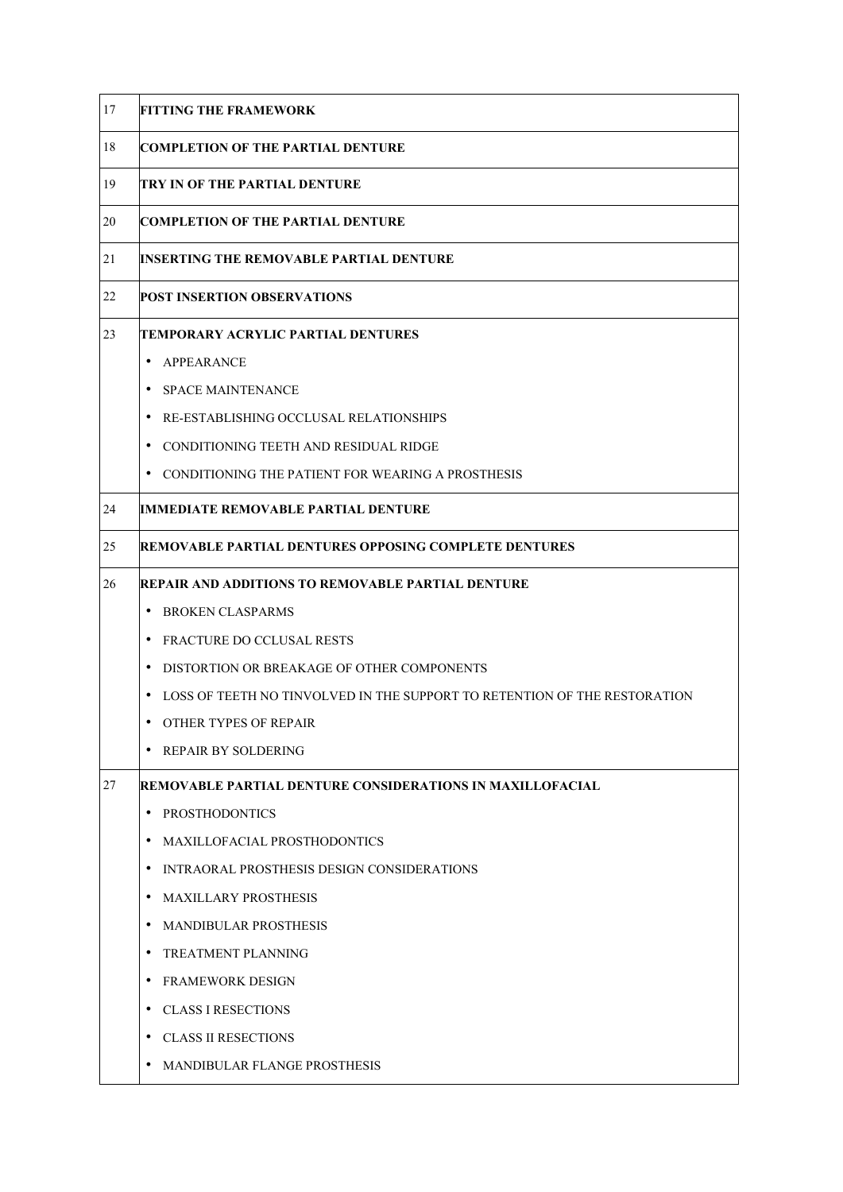| 17 | <b>FITTING THE FRAMEWORK</b>                                              |
|----|---------------------------------------------------------------------------|
| 18 | <b>COMPLETION OF THE PARTIAL DENTURE</b>                                  |
| 19 | ITRY IN OF THE PARTIAL DENTURE                                            |
| 20 | <b>COMPLETION OF THE PARTIAL DENTURE</b>                                  |
| 21 | INSERTING THE REMOVABLE PARTIAL DENTURE                                   |
| 22 | <b>POST INSERTION OBSERVATIONS</b>                                        |
| 23 | <b>TEMPORARY ACRYLIC PARTIAL DENTURES</b>                                 |
|    | $\bullet$<br>APPEARANCE                                                   |
|    | <b>SPACE MAINTENANCE</b><br>$\bullet$                                     |
|    | RE-ESTABLISHING OCCLUSAL RELATIONSHIPS                                    |
|    | • CONDITIONING TEETH AND RESIDUAL RIDGE                                   |
|    | • CONDITIONING THE PATIENT FOR WEARING A PROSTHESIS                       |
| 24 | IMMEDIATE REMOVABLE PARTIAL DENTURE                                       |
| 25 | <b>REMOVABLE PARTIAL DENTURES OPPOSING COMPLETE DENTURES</b>              |
| 26 | REPAIR AND ADDITIONS TO REMOVABLE PARTIAL DENTURE                         |
|    | <b>BROKEN CLASPARMS</b><br>$\bullet$                                      |
|    | FRACTURE DO CCLUSAL RESTS                                                 |
|    | $\bullet$<br>DISTORTION OR BREAKAGE OF OTHER COMPONENTS                   |
|    | LOSS OF TEETH NO TINVOLVED IN THE SUPPORT TO RETENTION OF THE RESTORATION |
|    | OTHER TYPES OF REPAIR                                                     |
|    | <b>REPAIR BY SOLDERING</b>                                                |
| 27 | REMOVABLE PARTIAL DENTURE CONSIDERATIONS IN MAXILLOFACIAL                 |
|    | $\bullet$<br><b>PROSTHODONTICS</b>                                        |
|    | <b>MAXILLOFACIAL PROSTHODONTICS</b>                                       |
|    | INTRAORAL PROSTHESIS DESIGN CONSIDERATIONS                                |
|    | <b>MAXILLARY PROSTHESIS</b>                                               |
|    | <b>MANDIBULAR PROSTHESIS</b><br>$\bullet$                                 |
|    | <b>TREATMENT PLANNING</b>                                                 |
|    | <b>FRAMEWORK DESIGN</b>                                                   |
|    | <b>CLASS I RESECTIONS</b><br>٠                                            |
|    | <b>CLASS II RESECTIONS</b>                                                |
|    | MANDIBULAR FLANGE PROSTHESIS                                              |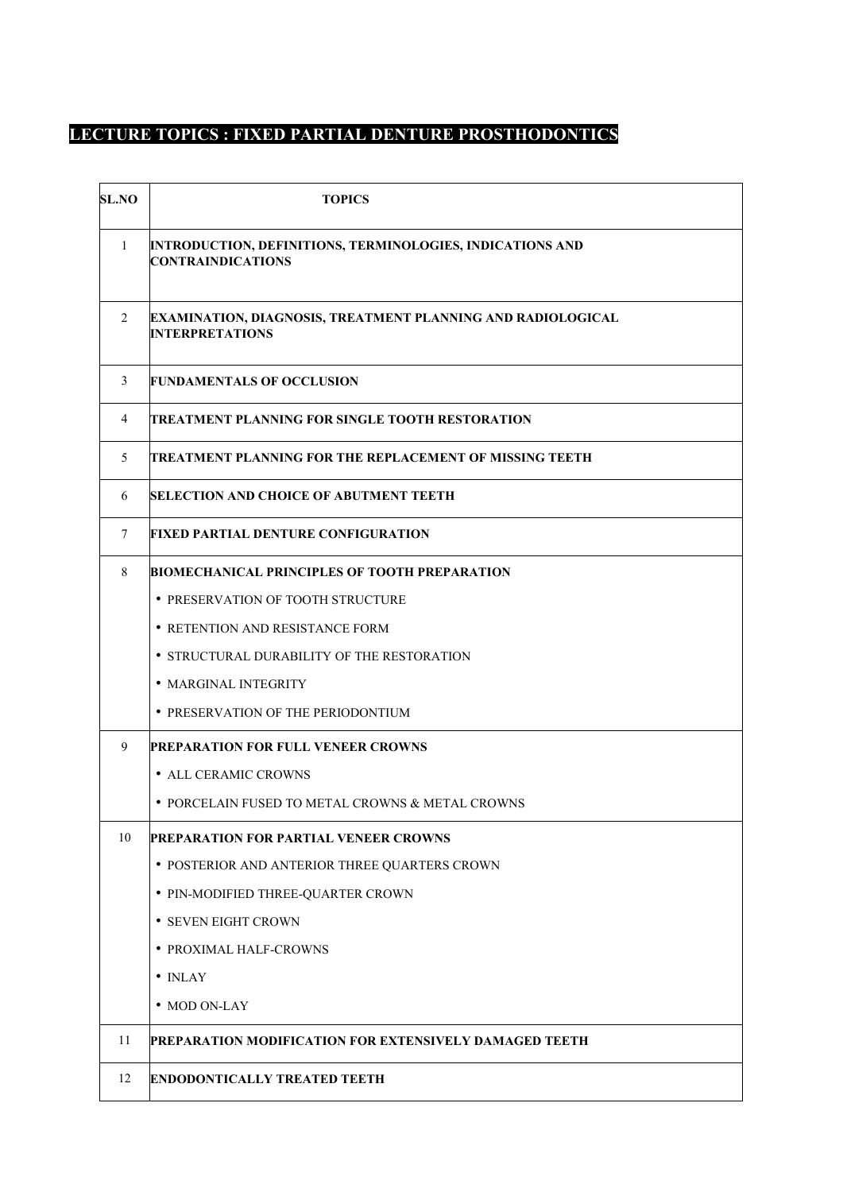# **LECTURE TOPICS : FIXED PARTIAL DENTURE PROSTHODONTICS**

| <b>SL.NO</b> | <b>TOPICS</b>                                                                         |
|--------------|---------------------------------------------------------------------------------------|
| $\mathbf{1}$ | INTRODUCTION, DEFINITIONS, TERMINOLOGIES, INDICATIONS AND<br><b>CONTRAINDICATIONS</b> |
| 2            | EXAMINATION, DIAGNOSIS, TREATMENT PLANNING AND RADIOLOGICAL<br><b>INTERPRETATIONS</b> |
| 3            | <b>FUNDAMENTALS OF OCCLUSION</b>                                                      |
| 4            | TREATMENT PLANNING FOR SINGLE TOOTH RESTORATION                                       |
| 5            | TREATMENT PLANNING FOR THE REPLACEMENT OF MISSING TEETH                               |
| 6            | <b>SELECTION AND CHOICE OF ABUTMENT TEETH</b>                                         |
| 7            | FIXED PARTIAL DENTURE CONFIGURATION                                                   |
| 8            | BIOMECHANICAL PRINCIPLES OF TOOTH PREPARATION                                         |
|              | • PRESERVATION OF TOOTH STRUCTURE                                                     |
|              | • RETENTION AND RESISTANCE FORM                                                       |
|              | • STRUCTURAL DURABILITY OF THE RESTORATION                                            |
|              | • MARGINAL INTEGRITY                                                                  |
|              | • PRESERVATION OF THE PERIODONTIUM                                                    |
| 9            | PREPARATION FOR FULL VENEER CROWNS                                                    |
|              | • ALL CERAMIC CROWNS                                                                  |
|              | • PORCELAIN FUSED TO METAL CROWNS & METAL CROWNS                                      |
| 10           | <b>PREPARATION FOR PARTIAL VENEER CROWNS</b>                                          |
|              | • POSTERIOR AND ANTERIOR THREE QUARTERS CROWN                                         |
|              | • PIN-MODIFIED THREE-QUARTER CROWN                                                    |
|              | • SEVEN EIGHT CROWN                                                                   |
|              | • PROXIMAL HALF-CROWNS                                                                |
|              | $\bullet$ INLAY                                                                       |
|              | • MOD ON-LAY                                                                          |
| 11           | PREPARATION MODIFICATION FOR EXTENSIVELY DAMAGED TEETH                                |
| 12           | <b>ENDODONTICALLY TREATED TEETH</b>                                                   |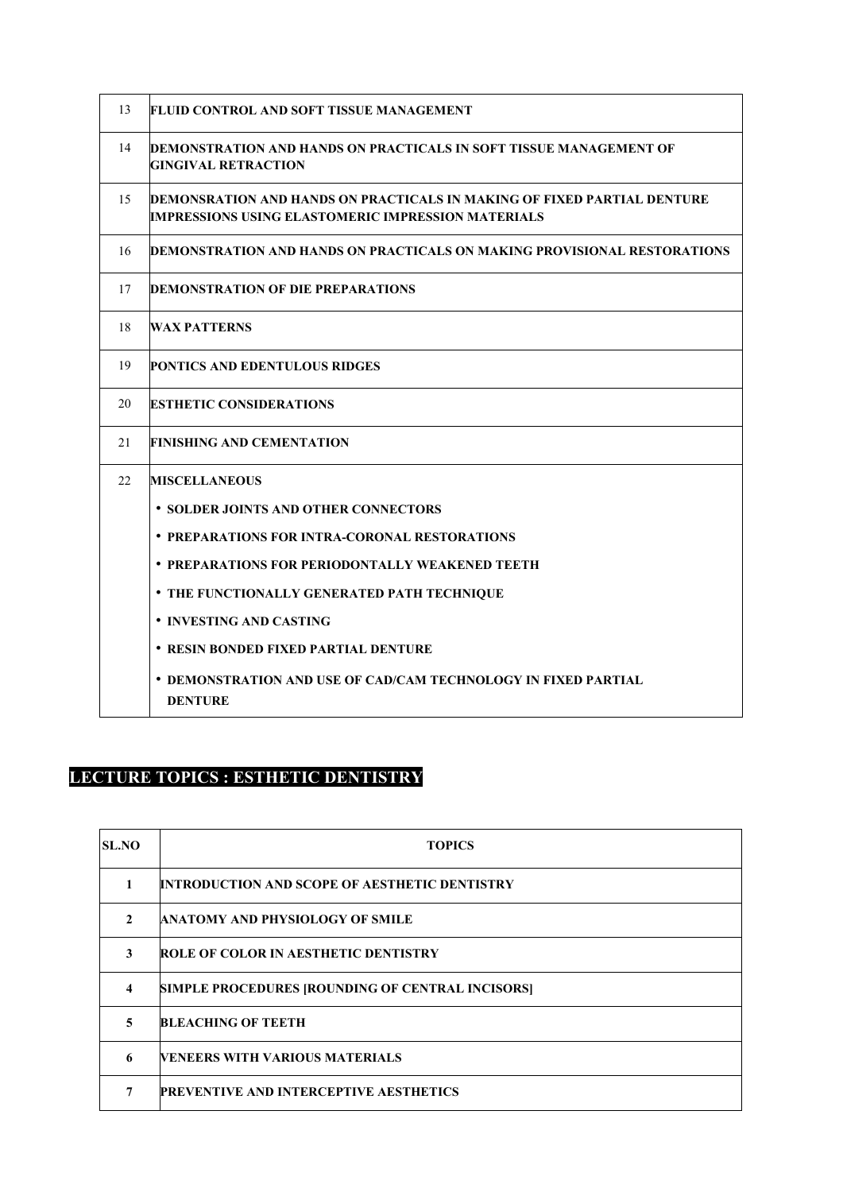| 13 | FLUID CONTROL AND SOFT TISSUE MANAGEMENT                                                                                             |
|----|--------------------------------------------------------------------------------------------------------------------------------------|
| 14 | DEMONSTRATION AND HANDS ON PRACTICALS IN SOFT TISSUE MANAGEMENT OF<br><b>GINGIVAL RETRACTION</b>                                     |
| 15 | DEMONSRATION AND HANDS ON PRACTICALS IN MAKING OF FIXED PARTIAL DENTURE<br><b>IMPRESSIONS USING ELASTOMERIC IMPRESSION MATERIALS</b> |
| 16 | DEMONSTRATION AND HANDS ON PRACTICALS ON MAKING PROVISIONAL RESTORATIONS                                                             |
| 17 | <b>DEMONSTRATION OF DIE PREPARATIONS</b>                                                                                             |
| 18 | WAX PATTERNS                                                                                                                         |
| 19 | <b>PONTICS AND EDENTULOUS RIDGES</b>                                                                                                 |
| 20 | <b>ESTHETIC CONSIDERATIONS</b>                                                                                                       |
| 21 | FINISHING AND CEMENTATION                                                                                                            |
| 22 | <b>MISCELLANEOUS</b>                                                                                                                 |
|    | • SOLDER JOINTS AND OTHER CONNECTORS                                                                                                 |
|    | • PREPARATIONS FOR INTRA-CORONAL RESTORATIONS                                                                                        |
|    | • PREPARATIONS FOR PERIODONTALLY WEAKENED TEETH                                                                                      |
|    | <b>• THE FUNCTIONALLY GENERATED PATH TECHNIQUE</b>                                                                                   |
|    | • INVESTING AND CASTING                                                                                                              |
|    | • RESIN BONDED FIXED PARTIAL DENTURE                                                                                                 |
|    | <b>• DEMONSTRATION AND USE OF CAD/CAM TECHNOLOGY IN FIXED PARTIAL</b><br><b>DENTURE</b>                                              |

### **LECTURE TOPICS : ESTHETIC DENTISTRY**

| <b>SL.NO</b> | <b>TOPICS</b>                                        |
|--------------|------------------------------------------------------|
|              | <b>INTRODUCTION AND SCOPE OF AESTHETIC DENTISTRY</b> |
| $\mathbf{2}$ | <b>ANATOMY AND PHYSIOLOGY OF SMILE</b>               |
| 3            | <b>ROLE OF COLOR IN AESTHETIC DENTISTRY</b>          |
| 4            | SIMPLE PROCEDURES [ROUNDING OF CENTRAL INCISORS]     |
| 5            | <b>BLEACHING OF TEETH</b>                            |
| 6            | <b>IVENEERS WITH VARIOUS MATERIALS</b>               |
| 7            | <b>PREVENTIVE AND INTERCEPTIVE AESTHETICS</b>        |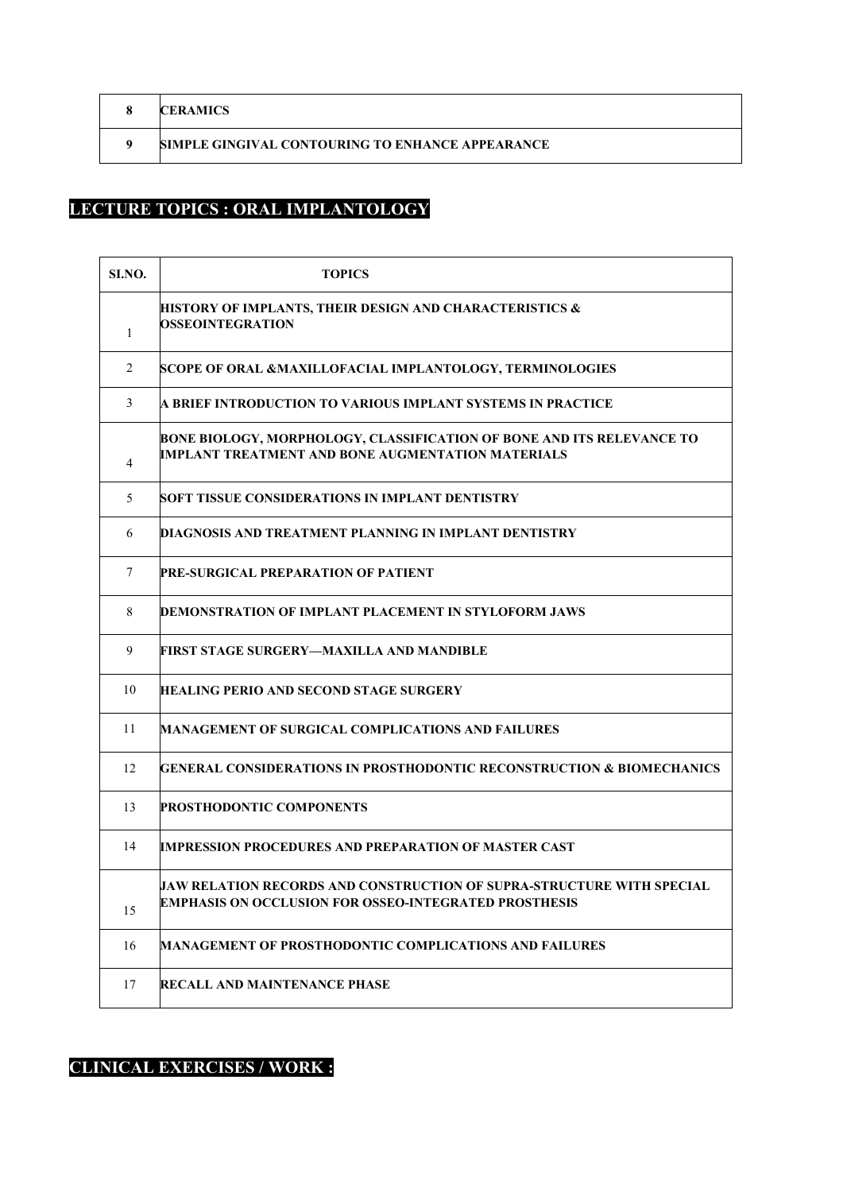| <b>CERAMICS</b>                                  |
|--------------------------------------------------|
| SIMPLE GINGIVAL CONTOURING TO ENHANCE APPEARANCE |

# **LECTURE TOPICS : ORAL IMPLANTOLOGY**

| SI.NO.         | <b>TOPICS</b>                                                                                                                         |
|----------------|---------------------------------------------------------------------------------------------------------------------------------------|
| $\mathbf{1}$   | HISTORY OF IMPLANTS, THEIR DESIGN AND CHARACTERISTICS &<br><b>OSSEOINTEGRATION</b>                                                    |
| 2              | SCOPE OF ORAL &MAXILLOFACIAL IMPLANTOLOGY, TERMINOLOGIES                                                                              |
| 3              | A BRIEF INTRODUCTION TO VARIOUS IMPLANT SYSTEMS IN PRACTICE                                                                           |
| $\overline{4}$ | BONE BIOLOGY, MORPHOLOGY, CLASSIFICATION OF BONE AND ITS RELEVANCE TO<br><b>IMPLANT TREATMENT AND BONE AUGMENTATION MATERIALS</b>     |
| 5              | SOFT TISSUE CONSIDERATIONS IN IMPLANT DENTISTRY                                                                                       |
| 6              | DIAGNOSIS AND TREATMENT PLANNING IN IMPLANT DENTISTRY                                                                                 |
| 7              | PRE-SURGICAL PREPARATION OF PATIENT                                                                                                   |
| 8              | DEMONSTRATION OF IMPLANT PLACEMENT IN STYLOFORM JAWS                                                                                  |
| 9              | FIRST STAGE SURGERY—MAXILLA AND MANDIBLE                                                                                              |
| 10             | HEALING PERIO AND SECOND STAGE SURGERY                                                                                                |
| 11             | MANAGEMENT OF SURGICAL COMPLICATIONS AND FAILURES                                                                                     |
| 12             | GENERAL CONSIDERATIONS IN PROSTHODONTIC RECONSTRUCTION & BIOMECHANICS                                                                 |
| 13             | <b>PROSTHODONTIC COMPONENTS</b>                                                                                                       |
| 14             | <b>IMPRESSION PROCEDURES AND PREPARATION OF MASTER CAST</b>                                                                           |
| 15             | JAW RELATION RECORDS AND CONSTRUCTION OF SUPRA-STRUCTURE WITH SPECIAL<br><b>EMPHASIS ON OCCLUSION FOR OSSEO-INTEGRATED PROSTHESIS</b> |
| 16             | <b>MANAGEMENT OF PROSTHODONTIC COMPLICATIONS AND FAILURES</b>                                                                         |
| 17             | <b>RECALL AND MAINTENANCE PHASE</b>                                                                                                   |

# **CLINICAL EXERCISES / WORK :**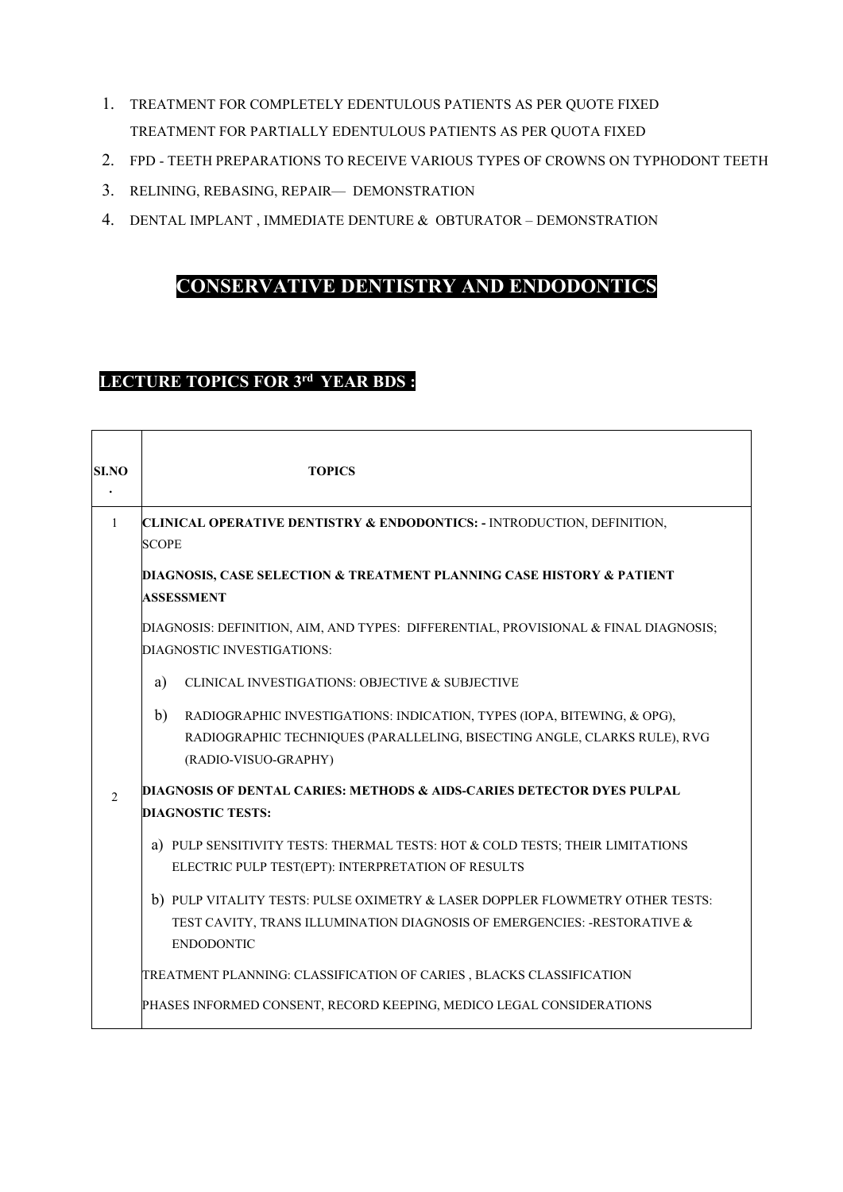- 1. TREATMENT FOR COMPLETELY EDENTULOUS PATIENTS AS PER QUOTE FIXED TREATMENT FOR PARTIALLY EDENTULOUS PATIENTS AS PER QUOTA FIXED
- 2. FPD TEETH PREPARATIONS TO RECEIVE VARIOUS TYPES OF CROWNS ON TYPHODONT TEETH
- 3. RELINING, REBASING, REPAIR— DEMONSTRATION
- 4. DENTAL IMPLANT , IMMEDIATE DENTURE & OBTURATOR DEMONSTRATION

### **CONSERVATIVE DENTISTRY AND ENDODONTICS**

# **LECTURE TOPICS FOR 3rd YEAR BDS :**

 $\overline{\phantom{a}}$ 

| <b>SI.NO</b>   | <b>TOPICS</b>                                                                                                                                                                     |  |
|----------------|-----------------------------------------------------------------------------------------------------------------------------------------------------------------------------------|--|
| -1             | CLINICAL OPERATIVE DENTISTRY & ENDODONTICS: - INTRODUCTION, DEFINITION,<br><b>SCOPE</b>                                                                                           |  |
|                | <b>DIAGNOSIS, CASE SELECTION &amp; TREATMENT PLANNING CASE HISTORY &amp; PATIENT</b><br><b>ASSESSMENT</b>                                                                         |  |
|                | DIAGNOSIS: DEFINITION, AIM, AND TYPES: DIFFERENTIAL, PROVISIONAL & FINAL DIAGNOSIS;<br>DIAGNOSTIC INVESTIGATIONS:                                                                 |  |
|                | a)<br>CLINICAL INVESTIGATIONS: OBJECTIVE & SUBJECTIVE                                                                                                                             |  |
|                | b)<br>RADIOGRAPHIC INVESTIGATIONS: INDICATION, TYPES (IOPA, BITEWING, & OPG),<br>RADIOGRAPHIC TECHNIQUES (PARALLELING, BISECTING ANGLE, CLARKS RULE), RVG<br>(RADIO-VISUO-GRAPHY) |  |
| $\mathfrak{D}$ | DIAGNOSIS OF DENTAL CARIES: METHODS & AIDS-CARIES DETECTOR DYES PULPAL<br><b>DIAGNOSTIC TESTS:</b>                                                                                |  |
|                | a) PULP SENSITIVITY TESTS: THERMAL TESTS: HOT & COLD TESTS; THEIR LIMITATIONS<br>ELECTRIC PULP TEST(EPT): INTERPRETATION OF RESULTS                                               |  |
|                | b) PULP VITALITY TESTS: PULSE OXIMETRY & LASER DOPPLER FLOWMETRY OTHER TESTS:<br>TEST CAVITY, TRANS ILLUMINATION DIAGNOSIS OF EMERGENCIES: -RESTORATIVE &<br><b>ENDODONTIC</b>    |  |
|                | TREATMENT PLANNING: CLASSIFICATION OF CARIES , BLACKS CLASSIFICATION                                                                                                              |  |
|                | PHASES INFORMED CONSENT, RECORD KEEPING, MEDICO LEGAL CONSIDERATIONS                                                                                                              |  |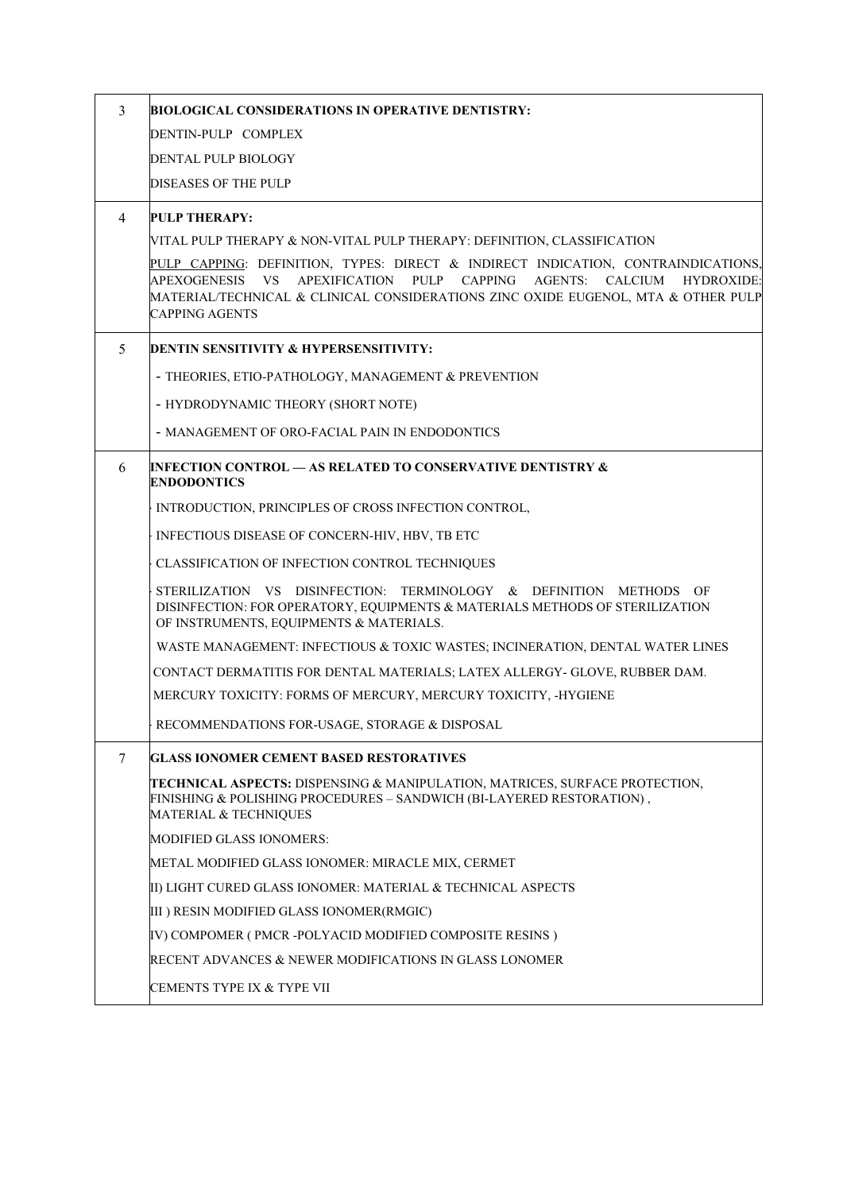| $\overline{3}$                                                                        | <b>BIOLOGICAL CONSIDERATIONS IN OPERATIVE DENTISTRY:</b>                                                                                                                                                                                                                             |  |
|---------------------------------------------------------------------------------------|--------------------------------------------------------------------------------------------------------------------------------------------------------------------------------------------------------------------------------------------------------------------------------------|--|
|                                                                                       | DENTIN-PULP COMPLEX                                                                                                                                                                                                                                                                  |  |
|                                                                                       | DENTAL PULP BIOLOGY                                                                                                                                                                                                                                                                  |  |
|                                                                                       | DISEASES OF THE PULP                                                                                                                                                                                                                                                                 |  |
| 4                                                                                     | <b>PULP THERAPY:</b>                                                                                                                                                                                                                                                                 |  |
|                                                                                       | VITAL PULP THERAPY & NON-VITAL PULP THERAPY: DEFINITION, CLASSIFICATION                                                                                                                                                                                                              |  |
|                                                                                       | PULP CAPPING: DEFINITION, TYPES: DIRECT & INDIRECT INDICATION, CONTRAINDICATIONS,<br><b>VS</b><br>APEXIFICATION PULP CAPPING<br>AGENTS: CALCIUM<br>APEXOGENESIS<br>HYDROXIDE:<br>MATERIAL/TECHNICAL & CLINICAL CONSIDERATIONS ZINC OXIDE EUGENOL, MTA & OTHER PULP<br>CAPPING AGENTS |  |
| 5                                                                                     | <b>DENTIN SENSITIVITY &amp; HYPERSENSITIVITY:</b>                                                                                                                                                                                                                                    |  |
|                                                                                       | - THEORIES, ETIO-PATHOLOGY, MANAGEMENT & PREVENTION                                                                                                                                                                                                                                  |  |
|                                                                                       | - HYDRODYNAMIC THEORY (SHORT NOTE)                                                                                                                                                                                                                                                   |  |
|                                                                                       | - MANAGEMENT OF ORO-FACIAL PAIN IN ENDODONTICS                                                                                                                                                                                                                                       |  |
| INFECTION CONTROL — AS RELATED TO CONSERVATIVE DENTISTRY &<br>6<br><b>ENDODONTICS</b> |                                                                                                                                                                                                                                                                                      |  |
|                                                                                       | INTRODUCTION, PRINCIPLES OF CROSS INFECTION CONTROL,                                                                                                                                                                                                                                 |  |
|                                                                                       | INFECTIOUS DISEASE OF CONCERN-HIV, HBV, TB ETC                                                                                                                                                                                                                                       |  |
|                                                                                       | CLASSIFICATION OF INFECTION CONTROL TECHNIQUES                                                                                                                                                                                                                                       |  |
|                                                                                       | STERILIZATION VS DISINFECTION: TERMINOLOGY & DEFINITION METHODS OF<br>DISINFECTION: FOR OPERATORY, EQUIPMENTS & MATERIALS METHODS OF STERILIZATION<br>OF INSTRUMENTS, EQUIPMENTS & MATERIALS.                                                                                        |  |
|                                                                                       | WASTE MANAGEMENT: INFECTIOUS & TOXIC WASTES; INCINERATION, DENTAL WATER LINES                                                                                                                                                                                                        |  |
|                                                                                       | CONTACT DERMATITIS FOR DENTAL MATERIALS; LATEX ALLERGY- GLOVE, RUBBER DAM.                                                                                                                                                                                                           |  |
|                                                                                       | MERCURY TOXICITY: FORMS OF MERCURY, MERCURY TOXICITY, -HYGIENE                                                                                                                                                                                                                       |  |
|                                                                                       | RECOMMENDATIONS FOR-USAGE, STORAGE & DISPOSAL                                                                                                                                                                                                                                        |  |
| 7                                                                                     | GLASS IONOMER CEMENT BASED RESTORATIVES                                                                                                                                                                                                                                              |  |
|                                                                                       | <b>TECHNICAL ASPECTS: DISPENSING &amp; MANIPULATION, MATRICES, SURFACE PROTECTION,</b><br>FINISHING & POLISHING PROCEDURES – SANDWICH (BI-LAYERED RESTORATION),<br>MATERIAL & TECHNIQUES                                                                                             |  |
|                                                                                       | <b>MODIFIED GLASS IONOMERS:</b>                                                                                                                                                                                                                                                      |  |
|                                                                                       | METAL MODIFIED GLASS IONOMER: MIRACLE MIX, CERMET                                                                                                                                                                                                                                    |  |
|                                                                                       | II) LIGHT CURED GLASS IONOMER: MATERIAL & TECHNICAL ASPECTS                                                                                                                                                                                                                          |  |
|                                                                                       | III) RESIN MODIFIED GLASS IONOMER(RMGIC)                                                                                                                                                                                                                                             |  |
|                                                                                       | IV) COMPOMER ( PMCR -POLYACID MODIFIED COMPOSITE RESINS )                                                                                                                                                                                                                            |  |
|                                                                                       | RECENT ADVANCES & NEWER MODIFICATIONS IN GLASS LONOMER                                                                                                                                                                                                                               |  |
|                                                                                       | CEMENTS TYPE IX & TYPE VII                                                                                                                                                                                                                                                           |  |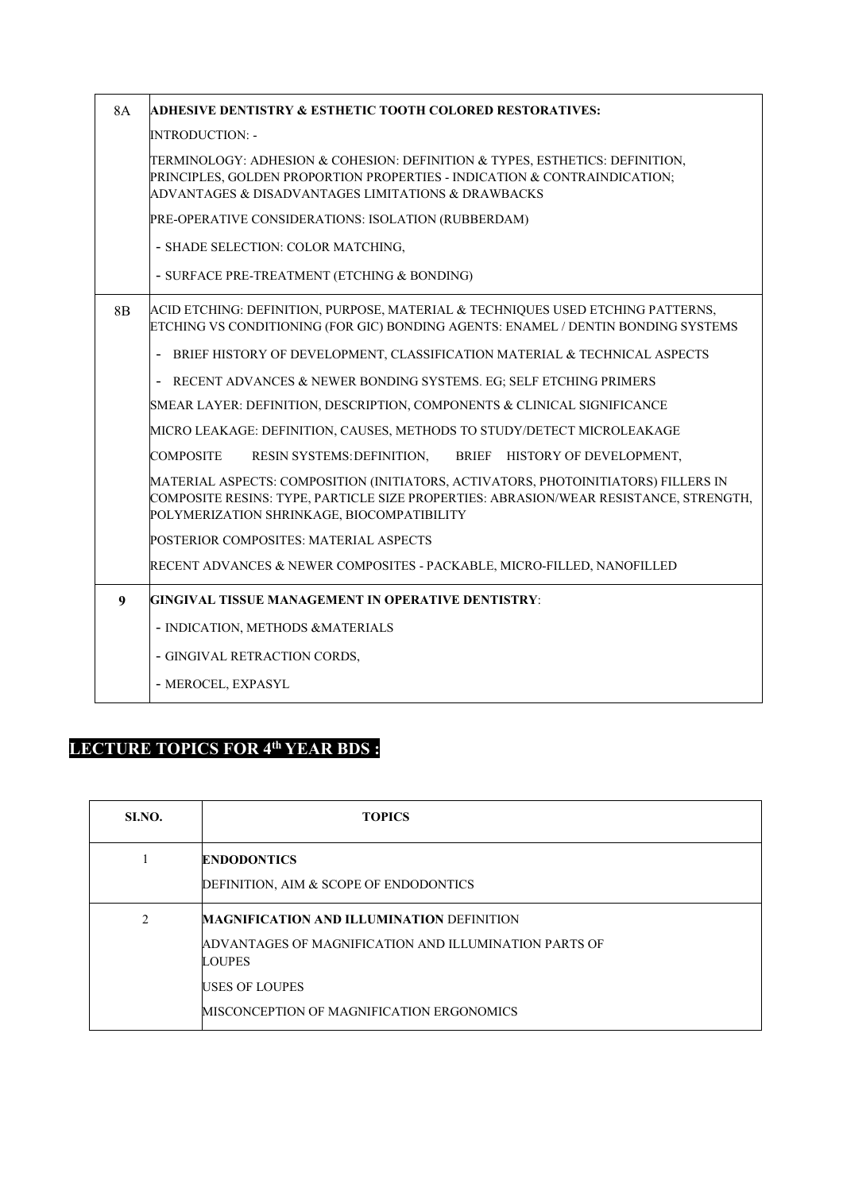| <b>8A</b> | <b>ADHESIVE DENTISTRY &amp; ESTHETIC TOOTH COLORED RESTORATIVES:</b>                                                                                                                                                      |  |
|-----------|---------------------------------------------------------------------------------------------------------------------------------------------------------------------------------------------------------------------------|--|
|           | <b>INTRODUCTION: -</b>                                                                                                                                                                                                    |  |
|           | TERMINOLOGY: ADHESION & COHESION: DEFINITION & TYPES, ESTHETICS: DEFINITION,<br>PRINCIPLES, GOLDEN PROPORTION PROPERTIES - INDICATION & CONTRAINDICATION;<br>ADVANTAGES & DISADVANTAGES LIMITATIONS & DRAWBACKS           |  |
|           | PRE-OPERATIVE CONSIDERATIONS: ISOLATION (RUBBERDAM)                                                                                                                                                                       |  |
|           | - SHADE SELECTION: COLOR MATCHING,                                                                                                                                                                                        |  |
|           | - SURFACE PRE-TREATMENT (ETCHING & BONDING)                                                                                                                                                                               |  |
| 8B        | ACID ETCHING: DEFINITION, PURPOSE, MATERIAL & TECHNIQUES USED ETCHING PATTERNS,<br>ETCHING VS CONDITIONING (FOR GIC) BONDING AGENTS: ENAMEL / DENTIN BONDING SYSTEMS                                                      |  |
|           | BRIEF HISTORY OF DEVELOPMENT, CLASSIFICATION MATERIAL & TECHNICAL ASPECTS                                                                                                                                                 |  |
|           | RECENT ADVANCES & NEWER BONDING SYSTEMS. EG; SELF ETCHING PRIMERS                                                                                                                                                         |  |
|           | SMEAR LAYER: DEFINITION, DESCRIPTION, COMPONENTS & CLINICAL SIGNIFICANCE                                                                                                                                                  |  |
|           | MICRO LEAKAGE: DEFINITION, CAUSES, METHODS TO STUDY/DETECT MICROLEAKAGE                                                                                                                                                   |  |
|           | <b>COMPOSITE</b><br>RESIN SYSTEMS: DEFINITION,<br>BRIEF HISTORY OF DEVELOPMENT,                                                                                                                                           |  |
|           | MATERIAL ASPECTS: COMPOSITION (INITIATORS, ACTIVATORS, PHOTOINITIATORS) FILLERS IN<br>COMPOSITE RESINS: TYPE, PARTICLE SIZE PROPERTIES: ABRASION/WEAR RESISTANCE, STRENGTH,<br>POLYMERIZATION SHRINKAGE, BIOCOMPATIBILITY |  |
|           | POSTERIOR COMPOSITES: MATERIAL ASPECTS                                                                                                                                                                                    |  |
|           | RECENT ADVANCES & NEWER COMPOSITES - PACKABLE, MICRO-FILLED, NANOFILLED                                                                                                                                                   |  |
| 9         | <b>GINGIVAL TISSUE MANAGEMENT IN OPERATIVE DENTISTRY:</b>                                                                                                                                                                 |  |
|           | - INDICATION, METHODS &MATERIALS                                                                                                                                                                                          |  |
|           | - GINGIVAL RETRACTION CORDS,                                                                                                                                                                                              |  |
|           | - MEROCEL, EXPASYL                                                                                                                                                                                                        |  |

# **LECTURE TOPICS FOR 4th YEAR BDS :**

| SLNO. | <b>TOPICS</b>                                                                                                                                                                                            |
|-------|----------------------------------------------------------------------------------------------------------------------------------------------------------------------------------------------------------|
|       | <b>ENDODONTICS</b><br>DEFINITION, AIM & SCOPE OF ENDODONTICS                                                                                                                                             |
| C     | <b>MAGNIFICATION AND ILLUMINATION DEFINITION</b><br>ADVANTAGES OF MAGNIFICATION AND ILLUMINATION PARTS OF<br><b>LOUPES</b><br><b>USES OF LOUPES</b><br><b>IMISCONCEPTION OF MAGNIFICATION ERGONOMICS</b> |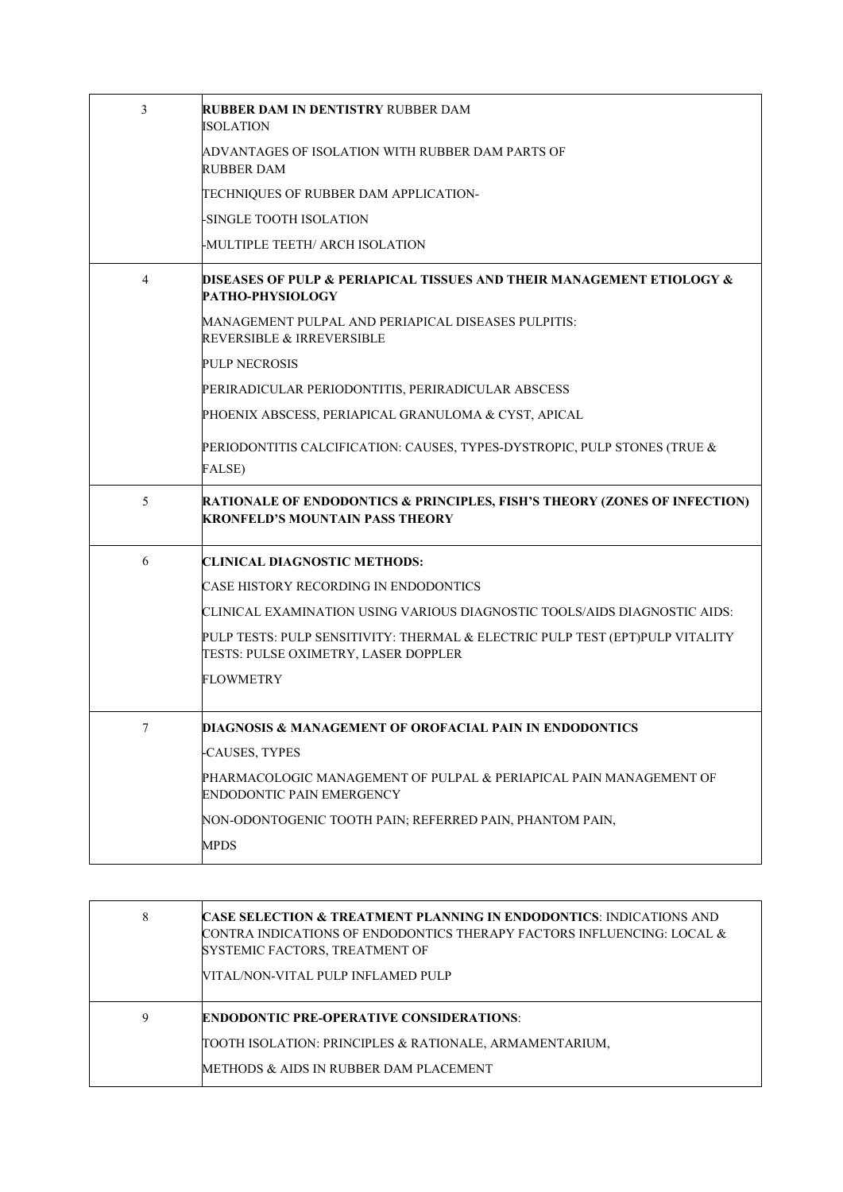| 3 | <b>RUBBER DAM IN DENTISTRY RUBBER DAM</b><br>ISOLATION                                                                         |
|---|--------------------------------------------------------------------------------------------------------------------------------|
|   | ADVANTAGES OF ISOLATION WITH RUBBER DAM PARTS OF<br><b>RUBBER DAM</b>                                                          |
|   | TECHNIQUES OF RUBBER DAM APPLICATION-                                                                                          |
|   | -SINGLE TOOTH ISOLATION                                                                                                        |
|   | -MULTIPLE TEETH/ ARCH ISOLATION                                                                                                |
| 4 | <b>DISEASES OF PULP &amp; PERIAPICAL TISSUES AND THEIR MANAGEMENT ETIOLOGY &amp;</b><br>PATHO-PHYSIOLOGY                       |
|   | MANAGEMENT PULPAL AND PERIAPICAL DISEASES PULPITIS:<br><b>REVERSIBLE &amp; IRREVERSIBLE</b>                                    |
|   | <b>PULP NECROSIS</b>                                                                                                           |
|   | PERIRADICULAR PERIODONTITIS, PERIRADICULAR ABSCESS                                                                             |
|   | PHOENIX ABSCESS, PERIAPICAL GRANULOMA & CYST, APICAL                                                                           |
|   | PERIODONTITIS CALCIFICATION: CAUSES, TYPES-DYSTROPIC, PULP STONES (TRUE &                                                      |
|   | FALSE)                                                                                                                         |
| 5 | <b>RATIONALE OF ENDODONTICS &amp; PRINCIPLES, FISH'S THEORY (ZONES OF INFECTION)</b><br><b>KRONFELD'S MOUNTAIN PASS THEORY</b> |
| 6 | <b>CLINICAL DIAGNOSTIC METHODS:</b>                                                                                            |
|   | CASE HISTORY RECORDING IN ENDODONTICS                                                                                          |
|   | CLINICAL EXAMINATION USING VARIOUS DIAGNOSTIC TOOLS/AIDS DIAGNOSTIC AIDS:                                                      |
|   | PULP TESTS: PULP SENSITIVITY: THERMAL & ELECTRIC PULP TEST (EPT)PULP VITALITY<br>TESTS: PULSE OXIMETRY, LASER DOPPLER          |
|   | <b>FLOWMETRY</b>                                                                                                               |
| 7 | DIAGNOSIS & MANAGEMENT OF OROFACIAL PAIN IN ENDODONTICS                                                                        |
|   |                                                                                                                                |
|   | -CAUSES, TYPES                                                                                                                 |
|   | PHARMACOLOGIC MANAGEMENT OF PULPAL & PERIAPICAL PAIN MANAGEMENT OF<br>ENDODONTIC PAIN EMERGENCY                                |
|   | NON-ODONTOGENIC TOOTH PAIN; REFERRED PAIN, PHANTOM PAIN,                                                                       |

| 8 | <b>CASE SELECTION &amp; TREATMENT PLANNING IN ENDODONTICS: INDICATIONS AND</b><br>CONTRA INDICATIONS OF ENDODONTICS THERAPY FACTORS INFLUENCING: LOCAL $\&$<br>SYSTEMIC FACTORS, TREATMENT OF<br>VITAL/NON-VITAL PULP INFLAMED PULP |
|---|-------------------------------------------------------------------------------------------------------------------------------------------------------------------------------------------------------------------------------------|
| 9 | <b>ENDODONTIC PRE-OPERATIVE CONSIDERATIONS:</b><br>TOOTH ISOLATION: PRINCIPLES & RATIONALE, ARMAMENTARIUM,<br>METHODS & AIDS IN RUBBER DAM PLACEMENT                                                                                |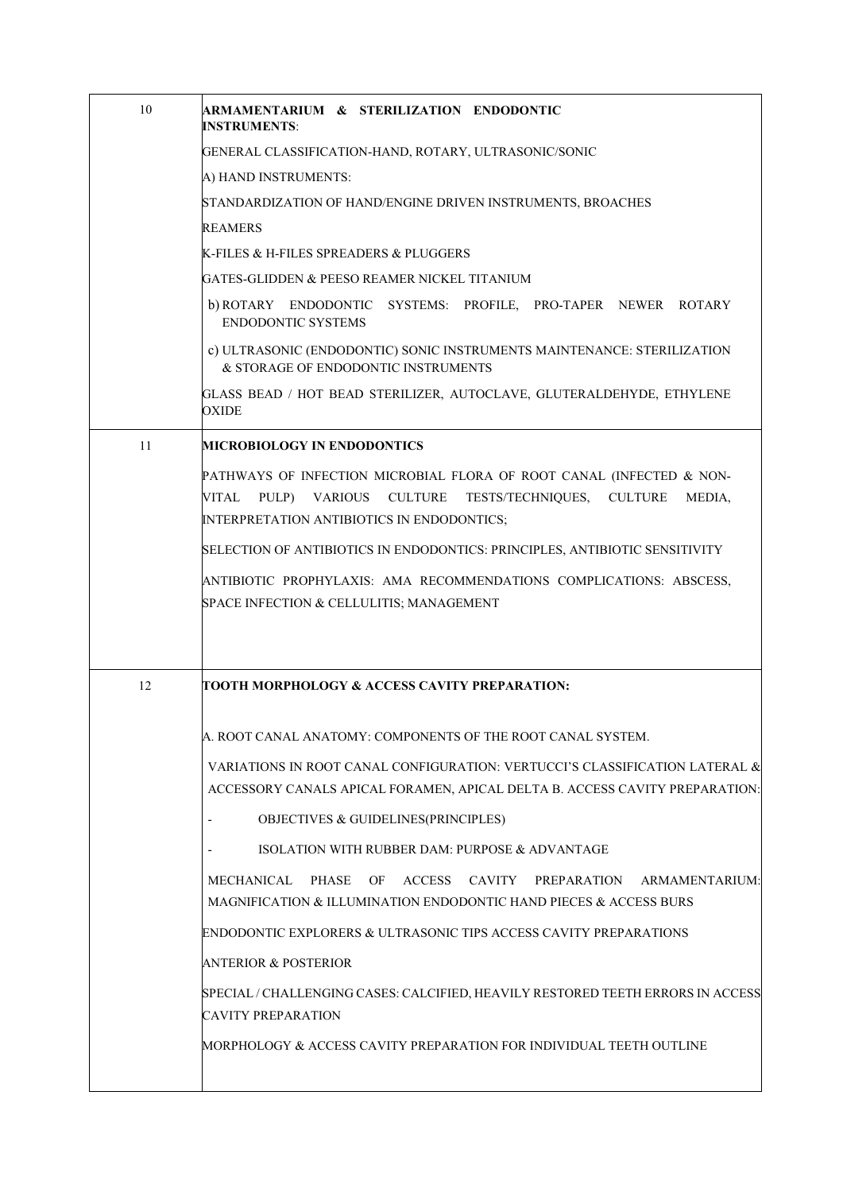| 10 | ARMAMENTARIUM & STERILIZATION ENDODONTIC<br><b>INSTRUMENTS:</b>                                                                                                                                                    |
|----|--------------------------------------------------------------------------------------------------------------------------------------------------------------------------------------------------------------------|
|    | GENERAL CLASSIFICATION-HAND, ROTARY, ULTRASONIC/SONIC                                                                                                                                                              |
|    | A) HAND INSTRUMENTS:                                                                                                                                                                                               |
|    | STANDARDIZATION OF HAND/ENGINE DRIVEN INSTRUMENTS, BROACHES                                                                                                                                                        |
|    | <b>REAMERS</b>                                                                                                                                                                                                     |
|    | K-FILES & H-FILES SPREADERS & PLUGGERS                                                                                                                                                                             |
|    | GATES-GLIDDEN & PEESO REAMER NICKEL TITANIUM                                                                                                                                                                       |
|    | b) ROTARY ENDODONTIC SYSTEMS: PROFILE, PRO-TAPER NEWER ROTARY<br><b>ENDODONTIC SYSTEMS</b>                                                                                                                         |
|    | c) ULTRASONIC (ENDODONTIC) SONIC INSTRUMENTS MAINTENANCE: STERILIZATION<br>& STORAGE OF ENDODONTIC INSTRUMENTS                                                                                                     |
|    | GLASS BEAD / HOT BEAD STERILIZER, AUTOCLAVE, GLUTERALDEHYDE, ETHYLENE<br><b>OXIDE</b>                                                                                                                              |
| 11 | <b>MICROBIOLOGY IN ENDODONTICS</b>                                                                                                                                                                                 |
|    | PATHWAYS OF INFECTION MICROBIAL FLORA OF ROOT CANAL (INFECTED & NON-<br>PULP)<br>VARIOUS<br><b>CULTURE</b><br>TESTS/TECHNIQUES,<br><b>CULTURE</b><br>VITAL<br>MEDIA,<br>INTERPRETATION ANTIBIOTICS IN ENDODONTICS; |
|    | SELECTION OF ANTIBIOTICS IN ENDODONTICS: PRINCIPLES, ANTIBIOTIC SENSITIVITY                                                                                                                                        |
|    | ANTIBIOTIC PROPHYLAXIS: AMA RECOMMENDATIONS COMPLICATIONS: ABSCESS,<br>SPACE INFECTION & CELLULITIS; MANAGEMENT                                                                                                    |
|    |                                                                                                                                                                                                                    |
| 12 | TOOTH MORPHOLOGY & ACCESS CAVITY PREPARATION:                                                                                                                                                                      |
|    | A. ROOT CANAL ANATOMY: COMPONENTS OF THE ROOT CANAL SYSTEM.                                                                                                                                                        |
|    | VARIATIONS IN ROOT CANAL CONFIGURATION: VERTUCCI'S CLASSIFICATION LATERAL &<br>ACCESSORY CANALS APICAL FORAMEN, APICAL DELTA B. ACCESS CAVITY PREPARATION:                                                         |
|    | OBJECTIVES & GUIDELINES(PRINCIPLES)                                                                                                                                                                                |
|    | ISOLATION WITH RUBBER DAM: PURPOSE & ADVANTAGE                                                                                                                                                                     |
|    | PHASE<br><b>ACCESS</b><br>CAVITY<br>MECHANICAL<br>OF<br>PREPARATION<br>ARMAMENTARIUM:<br>MAGNIFICATION & ILLUMINATION ENDODONTIC HAND PIECES & ACCESS BURS                                                         |
|    | ENDODONTIC EXPLORERS & ULTRASONIC TIPS ACCESS CAVITY PREPARATIONS                                                                                                                                                  |
|    | <b>ANTERIOR &amp; POSTERIOR</b>                                                                                                                                                                                    |
|    | SPECIAL / CHALLENGING CASES: CALCIFIED, HEAVILY RESTORED TEETH ERRORS IN ACCESS<br><b>CAVITY PREPARATION</b>                                                                                                       |
|    | MORPHOLOGY & ACCESS CAVITY PREPARATION FOR INDIVIDUAL TEETH OUTLINE                                                                                                                                                |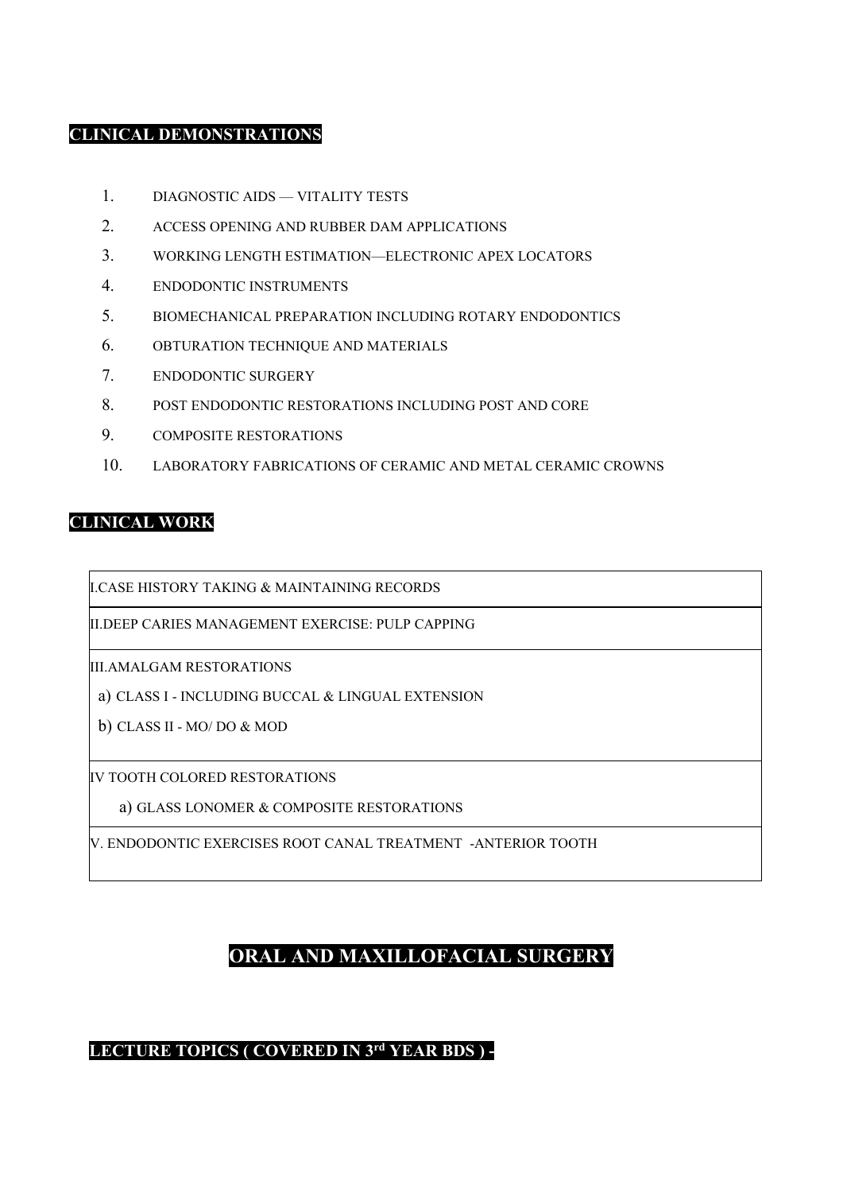#### **CLINICAL DEMONSTRATIONS**

- 1. DIAGNOSTIC AIDS VITALITY TESTS
- 2. ACCESS OPENING AND RUBBER DAM APPLICATIONS
- 3. WORKING LENGTH ESTIMATION—ELECTRONIC APEX LOCATORS
- 4. ENDODONTIC INSTRUMENTS
- 5. BIOMECHANICAL PREPARATION INCLUDING ROTARY ENDODONTICS
- 6. OBTURATION TECHNIQUE AND MATERIALS
- 7. ENDODONTIC SURGERY
- 8. POST ENDODONTIC RESTORATIONS INCLUDING POST AND CORE
- 9. COMPOSITE RESTORATIONS
- 10. LABORATORY FABRICATIONS OF CERAMIC AND METAL CERAMIC CROWNS

#### **CLINICAL WORK**

I.CASE HISTORY TAKING & MAINTAINING RECORDS

II.DEEP CARIES MANAGEMENT EXERCISE: PULP CAPPING

III.AMALGAM RESTORATIONS

a) CLASS I - INCLUDING BUCCAL & LINGUAL EXTENSION

b) CLASS II - MO/ DO & MOD

IV TOOTH COLORED RESTORATIONS

a) GLASS LONOMER & COMPOSITE RESTORATIONS

V. ENDODONTIC EXERCISES ROOT CANAL TREATMENT -ANTERIOR TOOTH

## **ORAL AND MAXILLOFACIAL SURGERY**

#### **LECTURE TOPICS ( COVERED IN 3rd YEAR BDS ) -**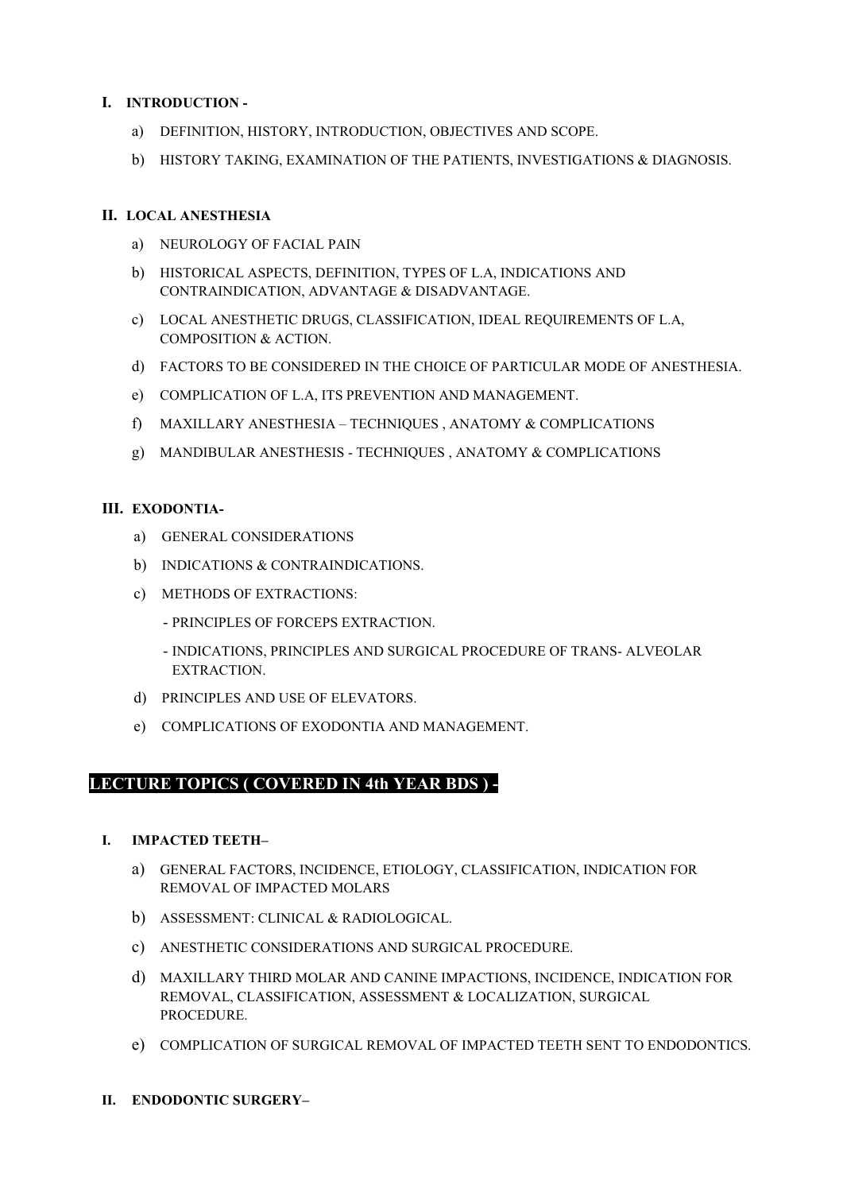#### **I. INTRODUCTION -**

- a) DEFINITION, HISTORY, INTRODUCTION, OBJECTIVES AND SCOPE.
- b) HISTORY TAKING, EXAMINATION OF THE PATIENTS, INVESTIGATIONS & DIAGNOSIS.

#### **II. LOCAL ANESTHESIA**

- a) NEUROLOGY OF FACIAL PAIN
- b) HISTORICAL ASPECTS, DEFINITION, TYPES OF L.A, INDICATIONS AND CONTRAINDICATION, ADVANTAGE & DISADVANTAGE.
- c) LOCAL ANESTHETIC DRUGS, CLASSIFICATION, IDEAL REQUIREMENTS OF L.A, COMPOSITION & ACTION.
- d) FACTORS TO BE CONSIDERED IN THE CHOICE OF PARTICULAR MODE OF ANESTHESIA.
- e) COMPLICATION OF L.A, ITS PREVENTION AND MANAGEMENT.
- f) MAXILLARY ANESTHESIA TECHNIQUES , ANATOMY & COMPLICATIONS
- g) MANDIBULAR ANESTHESIS TECHNIQUES , ANATOMY & COMPLICATIONS

#### **III. EXODONTIA-**

- a) GENERAL CONSIDERATIONS
- b) INDICATIONS & CONTRAINDICATIONS.
- c) METHODS OF EXTRACTIONS:
	- PRINCIPLES OF FORCEPS EXTRACTION.
	- INDICATIONS, PRINCIPLES AND SURGICAL PROCEDURE OF TRANS- ALVEOLAR EXTRACTION.
- d) PRINCIPLES AND USE OF ELEVATORS.
- e) COMPLICATIONS OF EXODONTIA AND MANAGEMENT.

#### **LECTURE TOPICS ( COVERED IN 4th YEAR BDS ) -**

- **I. IMPACTED TEETH–**
	- a) GENERAL FACTORS, INCIDENCE, ETIOLOGY, CLASSIFICATION, INDICATION FOR REMOVAL OF IMPACTED MOLARS
	- b) ASSESSMENT: CLINICAL & RADIOLOGICAL.
	- c) ANESTHETIC CONSIDERATIONS AND SURGICAL PROCEDURE.
	- d) MAXILLARY THIRD MOLAR AND CANINE IMPACTIONS, INCIDENCE, INDICATION FOR REMOVAL, CLASSIFICATION, ASSESSMENT & LOCALIZATION, SURGICAL PROCEDURE.
	- e) COMPLICATION OF SURGICAL REMOVAL OF IMPACTED TEETH SENT TO ENDODONTICS.
- **II. ENDODONTIC SURGERY–**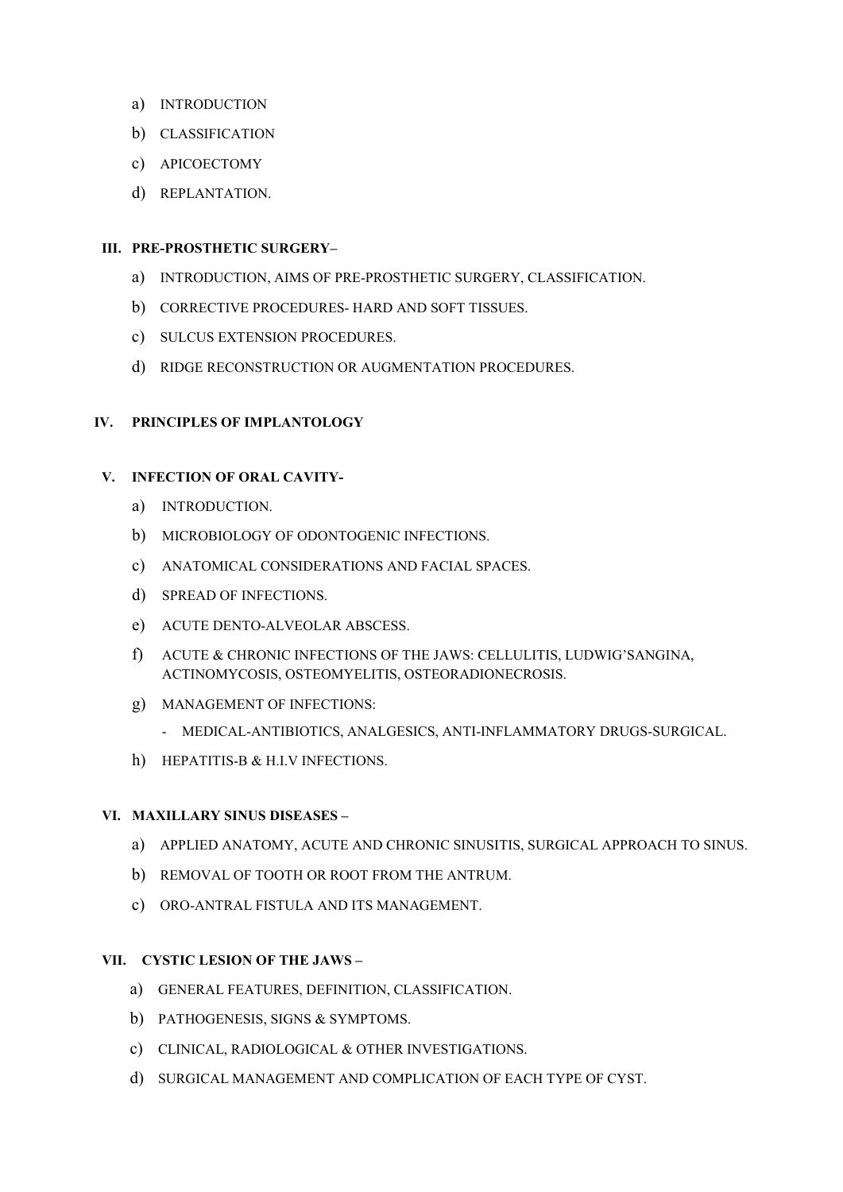- a) INTRODUCTION
- b) CLASSIFICATION
- c) APICOECTOMY
- d) REPLANTATION.

#### **III. PRE-PROSTHETIC SURGERY–**

- a) INTRODUCTION, AIMS OF PRE-PROSTHETIC SURGERY, CLASSIFICATION.
- b) CORRECTIVE PROCEDURES- HARD AND SOFT TISSUES.
- c) SULCUS EXTENSION PROCEDURES.
- d) RIDGE RECONSTRUCTION OR AUGMENTATION PROCEDURES.

#### **IV. PRINCIPLES OF IMPLANTOLOGY**

#### **V. INFECTION OF ORAL CAVITY-**

- a) INTRODUCTION.
- b) MICROBIOLOGY OF ODONTOGENIC INFECTIONS.
- c) ANATOMICAL CONSIDERATIONS AND FACIAL SPACES.
- d) SPREAD OF INFECTIONS.
- e) ACUTE DENTO-ALVEOLAR ABSCESS.
- f) ACUTE & CHRONIC INFECTIONS OF THE JAWS: CELLULITIS, LUDWIG'SANGINA, ACTINOMYCOSIS, OSTEOMYELITIS, OSTEORADIONECROSIS.
- g) MANAGEMENT OF INFECTIONS:
	- MEDICAL-ANTIBIOTICS, ANALGESICS, ANTI-INFLAMMATORY DRUGS-SURGICAL.
- h) HEPATITIS-B & H.I.V INFECTIONS.

#### **VI. MAXILLARY SINUS DISEASES –**

- a) APPLIED ANATOMY, ACUTE AND CHRONIC SINUSITIS, SURGICAL APPROACH TO SINUS.
- b) REMOVAL OF TOOTH OR ROOT FROM THE ANTRUM.
- c) ORO-ANTRAL FISTULA AND ITS MANAGEMENT.

#### **VII. CYSTIC LESION OF THE JAWS –**

- a) GENERAL FEATURES, DEFINITION, CLASSIFICATION.
- b) PATHOGENESIS, SIGNS & SYMPTOMS.
- c) CLINICAL, RADIOLOGICAL & OTHER INVESTIGATIONS.
- d) SURGICAL MANAGEMENT AND COMPLICATION OF EACH TYPE OF CYST.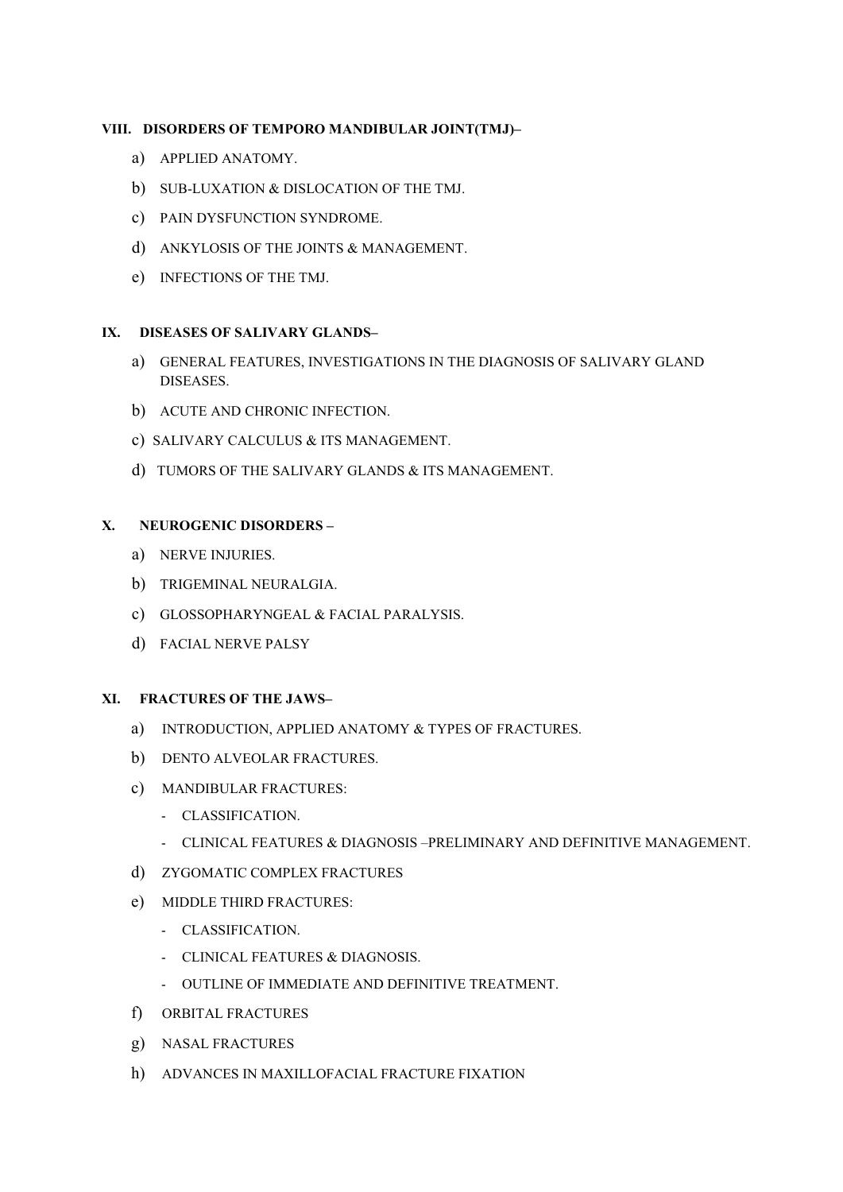#### **VIII. DISORDERS OF TEMPORO MANDIBULAR JOINT(TMJ)–**

- a) APPLIED ANATOMY.
- b) SUB-LUXATION & DISLOCATION OF THE TMJ.
- c) PAIN DYSFUNCTION SYNDROME.
- d) ANKYLOSIS OF THE JOINTS & MANAGEMENT.
- e) INFECTIONS OF THE TMJ.

#### **IX. DISEASES OF SALIVARY GLANDS–**

- a) GENERAL FEATURES, INVESTIGATIONS IN THE DIAGNOSIS OF SALIVARY GLAND DISEASES.
- b) ACUTE AND CHRONIC INFECTION.
- c) SALIVARY CALCULUS & ITS MANAGEMENT.
- d) TUMORS OF THE SALIVARY GLANDS & ITS MANAGEMENT.

#### **X. NEUROGENIC DISORDERS –**

- a) NERVE INJURIES.
- b) TRIGEMINAL NEURALGIA.
- c) GLOSSOPHARYNGEAL & FACIAL PARALYSIS.
- d) FACIAL NERVE PALSY

#### **XI. FRACTURES OF THE JAWS–**

- a) INTRODUCTION, APPLIED ANATOMY & TYPES OF FRACTURES.
- b) DENTO ALVEOLAR FRACTURES.
- c) MANDIBULAR FRACTURES:
	- CLASSIFICATION.
	- CLINICAL FEATURES & DIAGNOSIS –PRELIMINARY AND DEFINITIVE MANAGEMENT.
- d) ZYGOMATIC COMPLEX FRACTURES
- e) MIDDLE THIRD FRACTURES:
	- CLASSIFICATION.
	- CLINICAL FEATURES & DIAGNOSIS.
	- OUTLINE OF IMMEDIATE AND DEFINITIVE TREATMENT.
- f) ORBITAL FRACTURES
- g) NASAL FRACTURES
- h) ADVANCES IN MAXILLOFACIAL FRACTURE FIXATION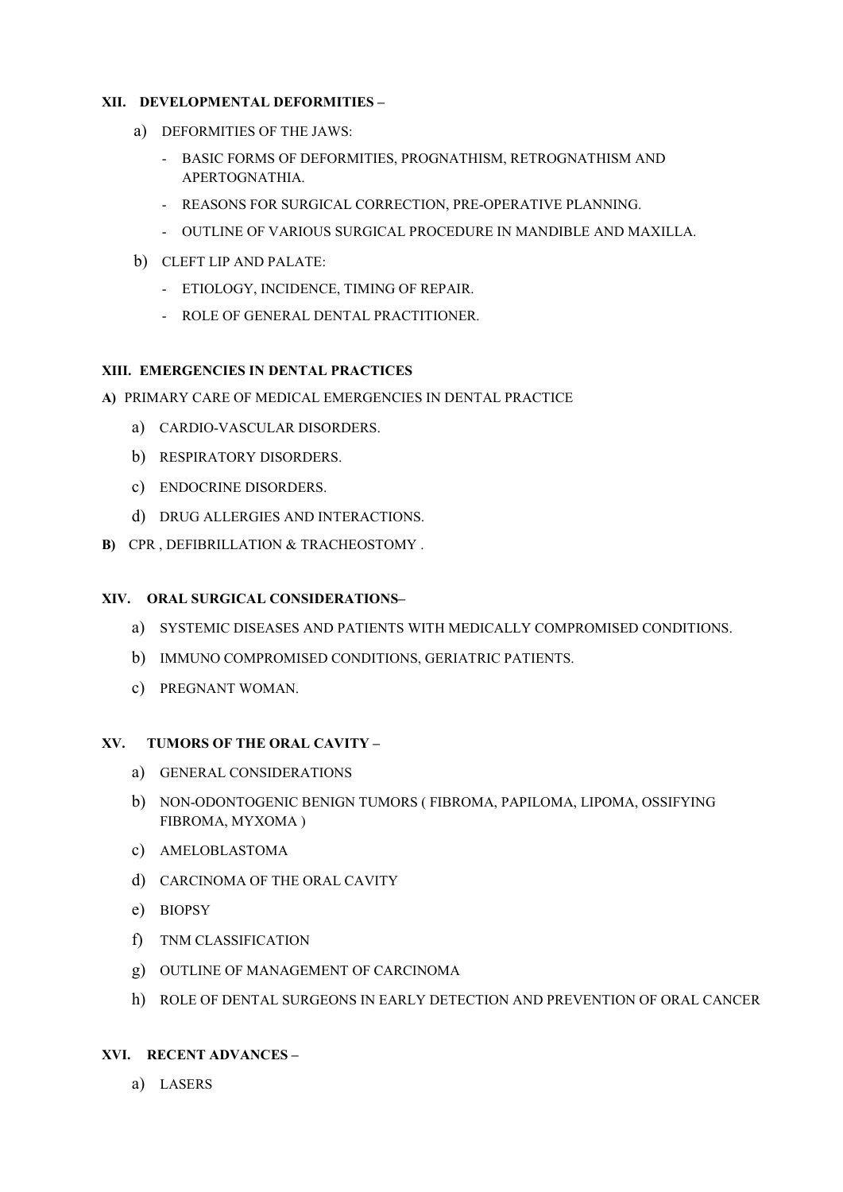#### **XII. DEVELOPMENTAL DEFORMITIES –**

- a) DEFORMITIES OF THE JAWS:
	- BASIC FORMS OF DEFORMITIES, PROGNATHISM, RETROGNATHISM AND APERTOGNATHIA.
	- REASONS FOR SURGICAL CORRECTION, PRE-OPERATIVE PLANNING.
	- OUTLINE OF VARIOUS SURGICAL PROCEDURE IN MANDIBLE AND MAXILLA.
- b) CLEFT LIP AND PALATE:
	- ETIOLOGY, INCIDENCE, TIMING OF REPAIR.
	- ROLE OF GENERAL DENTAL PRACTITIONER.

#### **XIII. EMERGENCIES IN DENTAL PRACTICES**

- **A)** PRIMARY CARE OF MEDICAL EMERGENCIES IN DENTAL PRACTICE
	- a) CARDIO-VASCULAR DISORDERS.
	- b) RESPIRATORY DISORDERS.
	- c) ENDOCRINE DISORDERS.
	- d) DRUG ALLERGIES AND INTERACTIONS.
- **B)** CPR , DEFIBRILLATION & TRACHEOSTOMY .

#### **XIV. ORAL SURGICAL CONSIDERATIONS–**

- a) SYSTEMIC DISEASES AND PATIENTS WITH MEDICALLY COMPROMISED CONDITIONS.
- b) IMMUNO COMPROMISED CONDITIONS, GERIATRIC PATIENTS.
- c) PREGNANT WOMAN.

#### **XV. TUMORS OF THE ORAL CAVITY –**

- a) GENERAL CONSIDERATIONS
- b) NON-ODONTOGENIC BENIGN TUMORS ( FIBROMA, PAPILOMA, LIPOMA, OSSIFYING FIBROMA, MYXOMA )
- c) AMELOBLASTOMA
- d) CARCINOMA OF THE ORAL CAVITY
- e) BIOPSY
- f) TNM CLASSIFICATION
- g) OUTLINE OF MANAGEMENT OF CARCINOMA
- h) ROLE OF DENTAL SURGEONS IN EARLY DETECTION AND PREVENTION OF ORAL CANCER

#### **XVI. RECENT ADVANCES –**

a) LASERS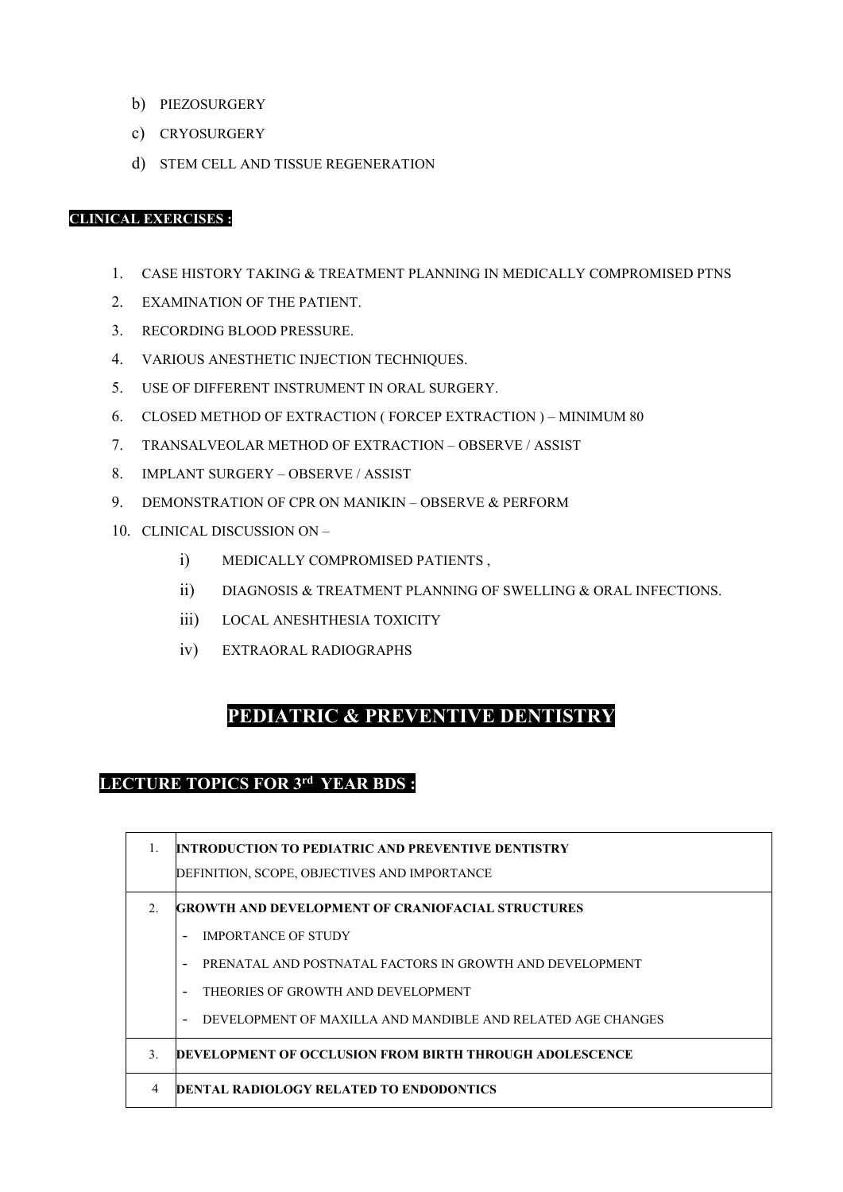- b) PIEZOSURGERY
- c) CRYOSURGERY
- d) STEM CELL AND TISSUE REGENERATION

#### **CLINICAL EXERCISES :**

- 1. CASE HISTORY TAKING & TREATMENT PLANNING IN MEDICALLY COMPROMISED PTNS
- 2. EXAMINATION OF THE PATIENT.
- 3. RECORDING BLOOD PRESSURE.
- 4. VARIOUS ANESTHETIC INJECTION TECHNIQUES.
- 5. USE OF DIFFERENT INSTRUMENT IN ORAL SURGERY.
- 6. CLOSED METHOD OF EXTRACTION ( FORCEP EXTRACTION ) MINIMUM 80
- 7. TRANSALVEOLAR METHOD OF EXTRACTION OBSERVE / ASSIST
- 8. IMPLANT SURGERY OBSERVE / ASSIST
- 9. DEMONSTRATION OF CPR ON MANIKIN OBSERVE & PERFORM
- 10. CLINICAL DISCUSSION ON
	- i) MEDICALLY COMPROMISED PATIENTS ,
	- ii) DIAGNOSIS & TREATMENT PLANNING OF SWELLING & ORAL INFECTIONS.
	- iii) LOCAL ANESHTHESIA TOXICITY
	- iv) EXTRAORAL RADIOGRAPHS

### **PEDIATRIC & PREVENTIVE DENTISTRY**

### **LECTURE TOPICS FOR 3rd YEAR BDS :**

|               | <b>INTRODUCTION TO PEDIATRIC AND PREVENTIVE DENTISTRY</b>                               |
|---------------|-----------------------------------------------------------------------------------------|
|               | DEFINITION, SCOPE, OBJECTIVES AND IMPORTANCE                                            |
| 2.            | <b>GROWTH AND DEVELOPMENT OF CRANIOFACIAL STRUCTURES</b>                                |
|               | <b>IMPORTANCE OF STUDY</b><br>$\blacksquare$                                            |
|               | PRENATAL AND POSTNATAL FACTORS IN GROWTH AND DEVELOPMENT<br>$\blacksquare$              |
|               | THEORIES OF GROWTH AND DEVELOPMENT<br>$\overline{\phantom{a}}$                          |
|               | DEVELOPMENT OF MAXILLA AND MANDIBLE AND RELATED AGE CHANGES<br>$\overline{\phantom{0}}$ |
| $\mathcal{E}$ | DEVELOPMENT OF OCCLUSION FROM BIRTH THROUGH ADOLESCENCE                                 |
| 4             | <b>IDENTAL RADIOLOGY RELATED TO ENDODONTICS</b>                                         |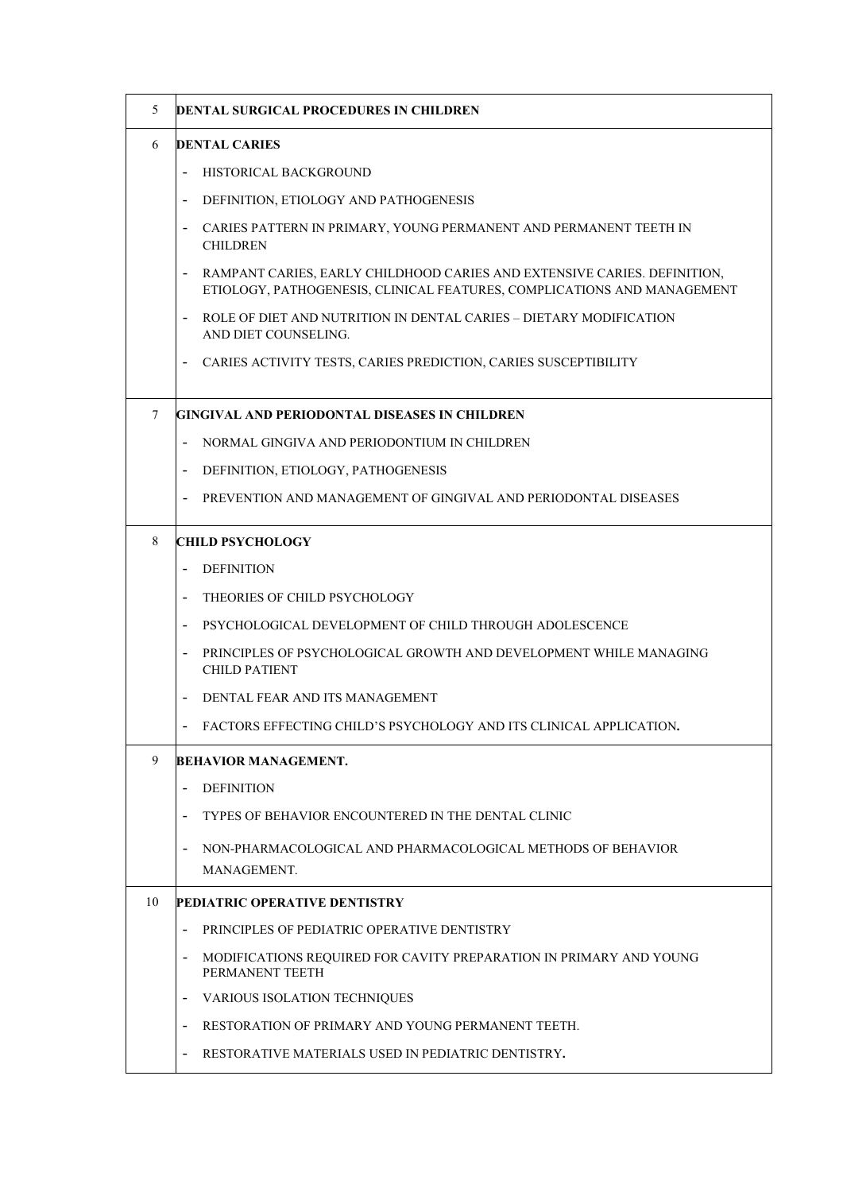| 5      | <b>DENTAL SURGICAL PROCEDURES IN CHILDREN</b>                                                                                                                                   |
|--------|---------------------------------------------------------------------------------------------------------------------------------------------------------------------------------|
| 6      | <b>DENTAL CARIES</b>                                                                                                                                                            |
|        | HISTORICAL BACKGROUND<br>$\overline{\phantom{a}}$                                                                                                                               |
|        | DEFINITION, ETIOLOGY AND PATHOGENESIS<br>$\overline{\phantom{a}}$                                                                                                               |
|        | CARIES PATTERN IN PRIMARY, YOUNG PERMANENT AND PERMANENT TEETH IN<br><b>CHILDREN</b>                                                                                            |
|        | RAMPANT CARIES, EARLY CHILDHOOD CARIES AND EXTENSIVE CARIES. DEFINITION,<br>$\overline{\phantom{a}}$<br>ETIOLOGY, PATHOGENESIS, CLINICAL FEATURES, COMPLICATIONS AND MANAGEMENT |
|        | ROLE OF DIET AND NUTRITION IN DENTAL CARIES - DIETARY MODIFICATION<br>$\overline{\phantom{a}}$<br>AND DIET COUNSELING.                                                          |
|        | CARIES ACTIVITY TESTS, CARIES PREDICTION, CARIES SUSCEPTIBILITY                                                                                                                 |
| $\tau$ | GINGIVAL AND PERIODONTAL DISEASES IN CHILDREN                                                                                                                                   |
|        | NORMAL GINGIVA AND PERIODONTIUM IN CHILDREN                                                                                                                                     |
|        | DEFINITION, ETIOLOGY, PATHOGENESIS<br>$\overline{\phantom{a}}$                                                                                                                  |
|        | PREVENTION AND MANAGEMENT OF GINGIVAL AND PERIODONTAL DISEASES                                                                                                                  |
| 8      | <b>CHILD PSYCHOLOGY</b>                                                                                                                                                         |
|        | <b>DEFINITION</b>                                                                                                                                                               |
|        | THEORIES OF CHILD PSYCHOLOGY<br>$\overline{\phantom{a}}$                                                                                                                        |
|        | PSYCHOLOGICAL DEVELOPMENT OF CHILD THROUGH ADOLESCENCE<br>$\overline{\phantom{a}}$                                                                                              |
|        | PRINCIPLES OF PSYCHOLOGICAL GROWTH AND DEVELOPMENT WHILE MANAGING<br><b>CHILD PATIENT</b>                                                                                       |
|        | DENTAL FEAR AND ITS MANAGEMENT                                                                                                                                                  |
|        | FACTORS EFFECTING CHILD'S PSYCHOLOGY AND ITS CLINICAL APPLICATION.                                                                                                              |
| 9      | <b>BEHAVIOR MANAGEMENT.</b>                                                                                                                                                     |
|        | <b>DEFINITION</b>                                                                                                                                                               |
|        | TYPES OF BEHAVIOR ENCOUNTERED IN THE DENTAL CLINIC                                                                                                                              |
|        | NON-PHARMACOLOGICAL AND PHARMACOLOGICAL METHODS OF BEHAVIOR<br>MANAGEMENT.                                                                                                      |
| 10     | PEDIATRIC OPERATIVE DENTISTRY                                                                                                                                                   |
|        | PRINCIPLES OF PEDIATRIC OPERATIVE DENTISTRY<br>$\overline{\phantom{a}}$                                                                                                         |
|        | MODIFICATIONS REQUIRED FOR CAVITY PREPARATION IN PRIMARY AND YOUNG<br>PERMANENT TEETH                                                                                           |
|        | VARIOUS ISOLATION TECHNIQUES                                                                                                                                                    |
|        | RESTORATION OF PRIMARY AND YOUNG PERMANENT TEETH.                                                                                                                               |
|        | RESTORATIVE MATERIALS USED IN PEDIATRIC DENTISTRY.                                                                                                                              |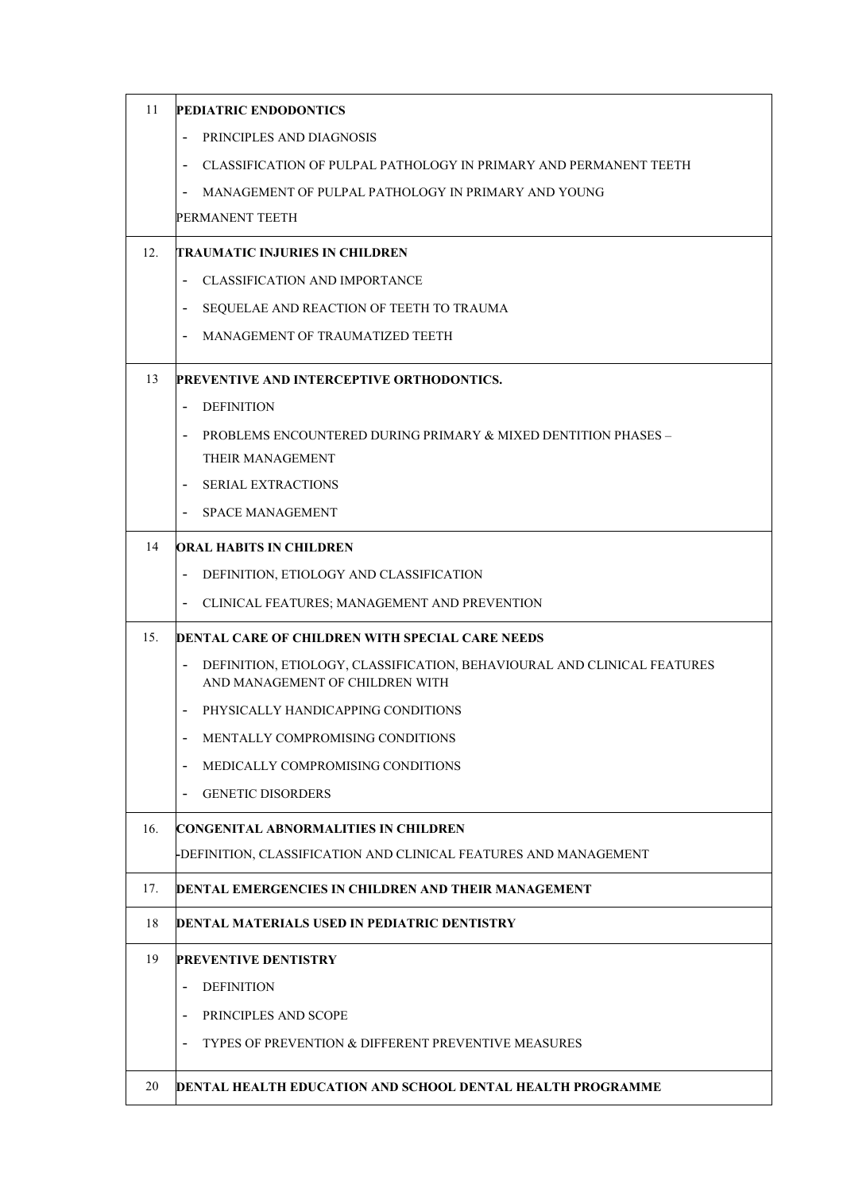| 11  | <b>PEDIATRIC ENDODONTICS</b>                                                                                                           |
|-----|----------------------------------------------------------------------------------------------------------------------------------------|
|     | PRINCIPLES AND DIAGNOSIS                                                                                                               |
|     | CLASSIFICATION OF PULPAL PATHOLOGY IN PRIMARY AND PERMANENT TEETH                                                                      |
|     | MANAGEMENT OF PULPAL PATHOLOGY IN PRIMARY AND YOUNG                                                                                    |
|     | PERMANENT TEETH                                                                                                                        |
| 12. | TRAUMATIC INJURIES IN CHILDREN                                                                                                         |
|     | <b>CLASSIFICATION AND IMPORTANCE</b>                                                                                                   |
|     | SEQUELAE AND REACTION OF TEETH TO TRAUMA<br>-                                                                                          |
|     | MANAGEMENT OF TRAUMATIZED TEETH<br>$\blacksquare$                                                                                      |
| 13  | PREVENTIVE AND INTERCEPTIVE ORTHODONTICS.                                                                                              |
|     | <b>DEFINITION</b><br>$\overline{\phantom{a}}$                                                                                          |
|     | PROBLEMS ENCOUNTERED DURING PRIMARY & MIXED DENTITION PHASES -                                                                         |
|     | THEIR MANAGEMENT                                                                                                                       |
|     | <b>SERIAL EXTRACTIONS</b><br>$\overline{\phantom{a}}$                                                                                  |
|     | <b>SPACE MANAGEMENT</b><br>$\overline{\phantom{a}}$                                                                                    |
| 14  | ORAL HABITS IN CHILDREN                                                                                                                |
|     | DEFINITION, ETIOLOGY AND CLASSIFICATION<br>$\overline{\phantom{a}}$                                                                    |
|     | CLINICAL FEATURES; MANAGEMENT AND PREVENTION                                                                                           |
| 15. | <b>DENTAL CARE OF CHILDREN WITH SPECIAL CARE NEEDS</b>                                                                                 |
|     | DEFINITION, ETIOLOGY, CLASSIFICATION, BEHAVIOURAL AND CLINICAL FEATURES<br>$\overline{\phantom{a}}$<br>AND MANAGEMENT OF CHILDREN WITH |
|     | PHYSICALLY HANDICAPPING CONDITIONS<br>$\overline{\phantom{a}}$                                                                         |
|     | MENTALLY COMPROMISING CONDITIONS                                                                                                       |
|     | MEDICALLY COMPROMISING CONDITIONS                                                                                                      |
|     | <b>GENETIC DISORDERS</b><br>$\overline{\phantom{a}}$                                                                                   |
| 16. | CONGENITAL ABNORMALITIES IN CHILDREN                                                                                                   |
|     | -DEFINITION, CLASSIFICATION AND CLINICAL FEATURES AND MANAGEMENT                                                                       |
| 17. | DENTAL EMERGENCIES IN CHILDREN AND THEIR MANAGEMENT                                                                                    |
| 18  | DENTAL MATERIALS USED IN PEDIATRIC DENTISTRY                                                                                           |
| 19  | <b>PREVENTIVE DENTISTRY</b>                                                                                                            |
|     | <b>DEFINITION</b><br>$\overline{\phantom{a}}$                                                                                          |
|     | PRINCIPLES AND SCOPE                                                                                                                   |
|     | <b>TYPES OF PREVENTION &amp; DIFFERENT PREVENTIVE MEASURES</b><br>$\overline{\phantom{a}}$                                             |
| 20  | <b>DENTAL HEALTH EDUCATION AND SCHOOL DENTAL HEALTH PROGRAMME</b>                                                                      |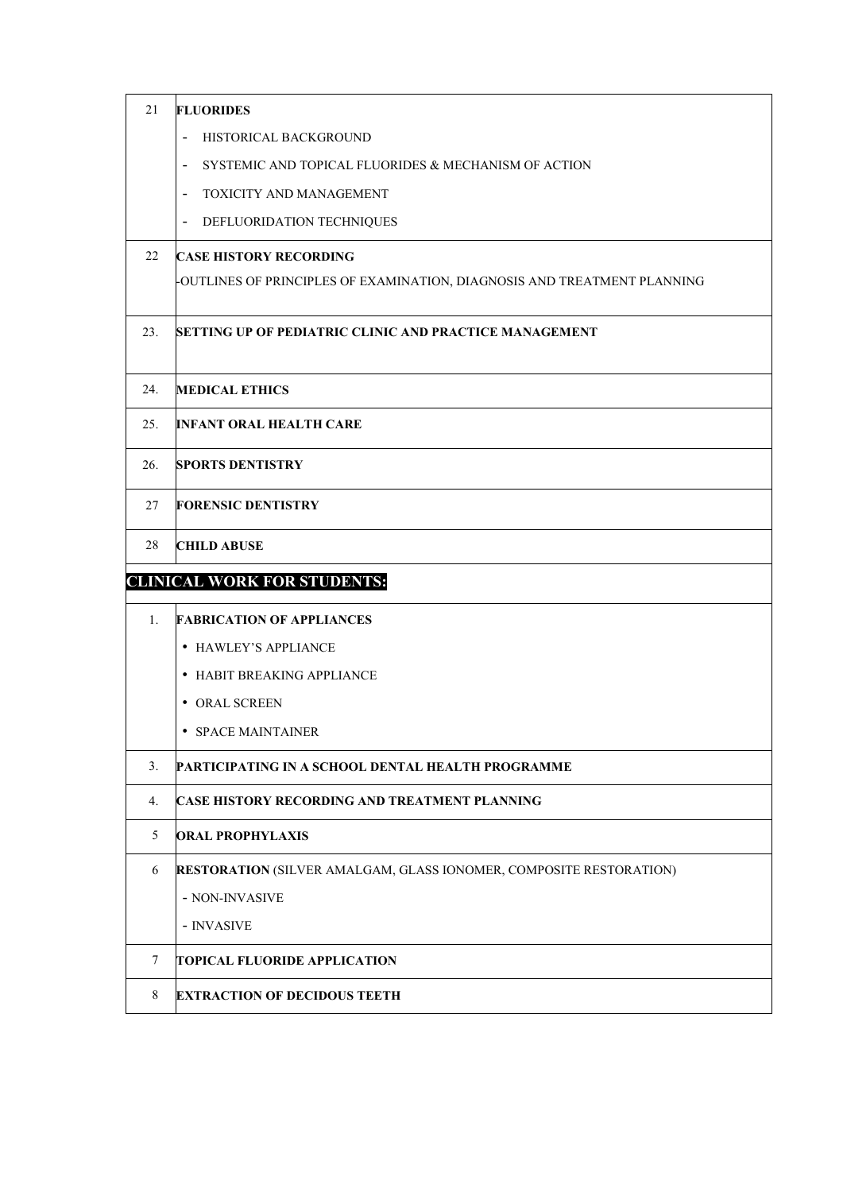| 21  | <b>FLUORIDES</b>                                                                     |
|-----|--------------------------------------------------------------------------------------|
|     | HISTORICAL BACKGROUND<br>$\qquad \qquad \blacksquare$                                |
|     | SYSTEMIC AND TOPICAL FLUORIDES & MECHANISM OF ACTION<br>$\qquad \qquad \blacksquare$ |
|     | TOXICITY AND MANAGEMENT<br>$\qquad \qquad -$                                         |
|     | DEFLUORIDATION TECHNIQUES<br>$\qquad \qquad \blacksquare$                            |
| 22  | <b>CASE HISTORY RECORDING</b>                                                        |
|     | -OUTLINES OF PRINCIPLES OF EXAMINATION, DIAGNOSIS AND TREATMENT PLANNING             |
| 23. | <b>SETTING UP OF PEDIATRIC CLINIC AND PRACTICE MANAGEMENT</b>                        |
| 24. | <b>MEDICAL ETHICS</b>                                                                |
| 25. | <b>INFANT ORAL HEALTH CARE</b>                                                       |
| 26. | <b>SPORTS DENTISTRY</b>                                                              |
| 27  | <b>FORENSIC DENTISTRY</b>                                                            |
| 28  | <b>CHILD ABUSE</b>                                                                   |
|     | <b>CLINICAL WORK FOR STUDENTS:</b>                                                   |
| 1.  | <b>FABRICATION OF APPLIANCES</b>                                                     |
|     | • HAWLEY'S APPLIANCE                                                                 |
|     | • HABIT BREAKING APPLIANCE                                                           |
|     | • ORAL SCREEN                                                                        |
|     | • SPACE MAINTAINER                                                                   |
| 3.  | PARTICIPATING IN A SCHOOL DENTAL HEALTH PROGRAMME                                    |
| 4.  | <b>CASE HISTORY RECORDING AND TREATMENT PLANNING</b>                                 |
| 5   | <b>ORAL PROPHYLAXIS</b>                                                              |
| 6   | <b>RESTORATION (SILVER AMALGAM, GLASS IONOMER, COMPOSITE RESTORATION)</b>            |
|     | - NON-INVASIVE                                                                       |
|     | - INVASIVE                                                                           |
| 7   |                                                                                      |
|     | <b>TOPICAL FLUORIDE APPLICATION</b>                                                  |